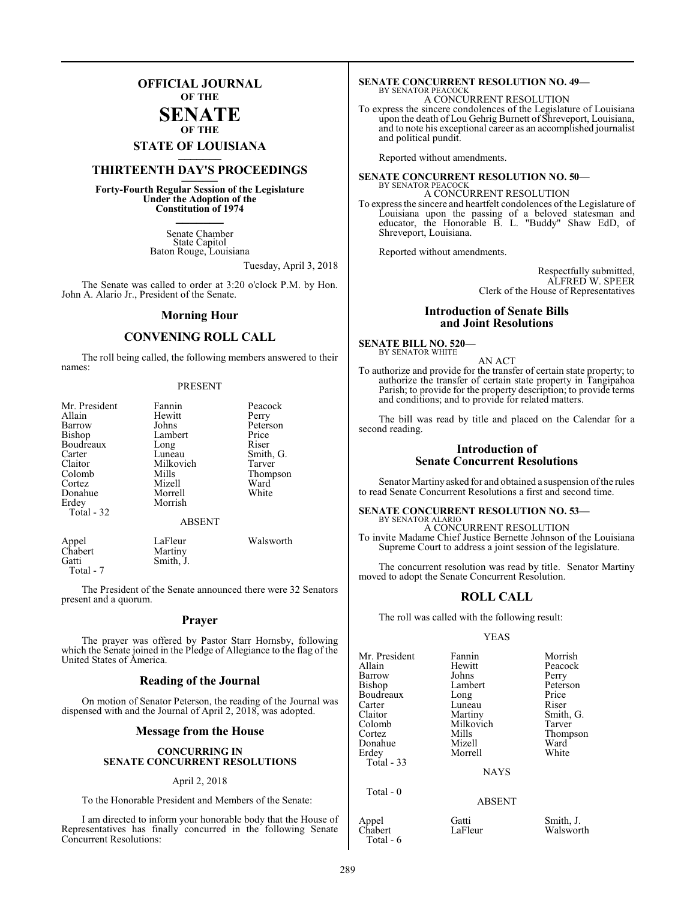## **OFFICIAL JOURNAL OF THE**

#### **SENATE OF THE**

# **STATE OF LOUISIANA \_\_\_\_\_\_\_**

# **THIRTEENTH DAY'S PROCEEDINGS \_\_\_\_\_\_\_**

**Forty-Fourth Regular Session of the Legislature Under the Adoption of the Constitution of 1974 \_\_\_\_\_\_\_**

> Senate Chamber State Capitol Baton Rouge, Louisiana

> > Tuesday, April 3, 2018

The Senate was called to order at 3:20 o'clock P.M. by Hon. John A. Alario Jr., President of the Senate.

#### **Morning Hour**

#### **CONVENING ROLL CALL**

The roll being called, the following members answered to their names:

#### PRESENT

| Mr. President<br>Allain<br>Barrow<br>Bishop<br>Boudreaux<br>Carter<br>Claitor<br>Colomb<br>Cortez<br>Donahue<br>Erdey | Fannin<br>Hewitt<br>Johns<br>Lambert<br>Long<br>Luneau<br>Milkovich<br>Mills<br>Mizell<br>Morrell<br>Morrish | Peacock<br>Perry<br>Peterson<br>Price<br>Riser<br>Smith, G.<br>Tarver<br>Thompson<br>Ward<br>White |
|-----------------------------------------------------------------------------------------------------------------------|--------------------------------------------------------------------------------------------------------------|----------------------------------------------------------------------------------------------------|
| Total - 32                                                                                                            | <b>ABSENT</b>                                                                                                |                                                                                                    |
| $_{\Delta$ nnel                                                                                                       | I aFleur                                                                                                     | Waleworth                                                                                          |

LaFleur Walsworth<br>Martiny Chabert<br>Gatti Smith, J. Total - 7

The President of the Senate announced there were 32 Senators present and a quorum.

#### **Prayer**

The prayer was offered by Pastor Starr Hornsby, following which the Senate joined in the Pledge of Allegiance to the flag of the United States of America.

#### **Reading of the Journal**

On motion of Senator Peterson, the reading of the Journal was dispensed with and the Journal of April 2, 2018, was adopted.

#### **Message from the House**

#### **CONCURRING IN SENATE CONCURRENT RESOLUTIONS**

#### April 2, 2018

To the Honorable President and Members of the Senate:

I am directed to inform your honorable body that the House of Representatives has finally concurred in the following Senate Concurrent Resolutions:

#### **SENATE CONCURRENT RESOLUTION NO. 49—** BY SENATOR PEACOCK

A CONCURRENT RESOLUTION

To express the sincere condolences of the Legislature of Louisiana upon the death of Lou Gehrig Burnett of Shreveport, Louisiana, and to note his exceptional career as an accomplished journalist and political pundit.

Reported without amendments.

#### **SENATE CONCURRENT RESOLUTION NO. 50—** BY SENATOR PEACOCK A CONCURRENT RESOLUTION

To express the sincere and heartfelt condolences of the Legislature of Louisiana upon the passing of a beloved statesman and educator, the Honorable B. L. "Buddy" Shaw EdD, of Shreveport, Louisiana.

Reported without amendments.

Respectfully submitted, ALFRED W. SPEER Clerk of the House of Representatives

#### **Introduction of Senate Bills and Joint Resolutions**

#### **SENATE BILL NO. 520—**

BY SENATOR WHITE

AN ACT To authorize and provide for the transfer of certain state property; to authorize the transfer of certain state property in Tangipahoa Parish; to provide for the property description; to provide terms and conditions; and to provide for related matters.

The bill was read by title and placed on the Calendar for a second reading.

#### **Introduction of Senate Concurrent Resolutions**

Senator Martiny asked for and obtained a suspension of the rules to read Senate Concurrent Resolutions a first and second time.

#### **SENATE CONCURRENT RESOLUTION NO. 53—** BY SENATOR ALARIO

A CONCURRENT RESOLUTION To invite Madame Chief Justice Bernette Johnson of the Louisiana Supreme Court to address a joint session of the legislature.

The concurrent resolution was read by title. Senator Martiny moved to adopt the Senate Concurrent Resolution.

### **ROLL CALL**

The roll was called with the following result:

#### YEAS

Hewitt Peacock<br>Johns Perry

Mr. President Fannin Morrish<br>Allain Hewitt Peacock Barrow Johns Perry Bishop Lambert Peters<br>Boudreaux Long Price Boudreaux Long Price<br>Carter Luneau Riser Carter Luneau<br>Claitor Martiny Claitor Martiny Smith, G.<br>Colomb Milkovich Tarver Colomb Milkovich<br>
Cortez Mills Donahue Mizell Ward<br>Erdey Morrell White Total - 33 Total - 0

Total - 6

Mills Thompson<br>Mizell Ward Morrell

**NAYS** 

#### ABSENT

Appel Gatti Smith, J.

Walsworth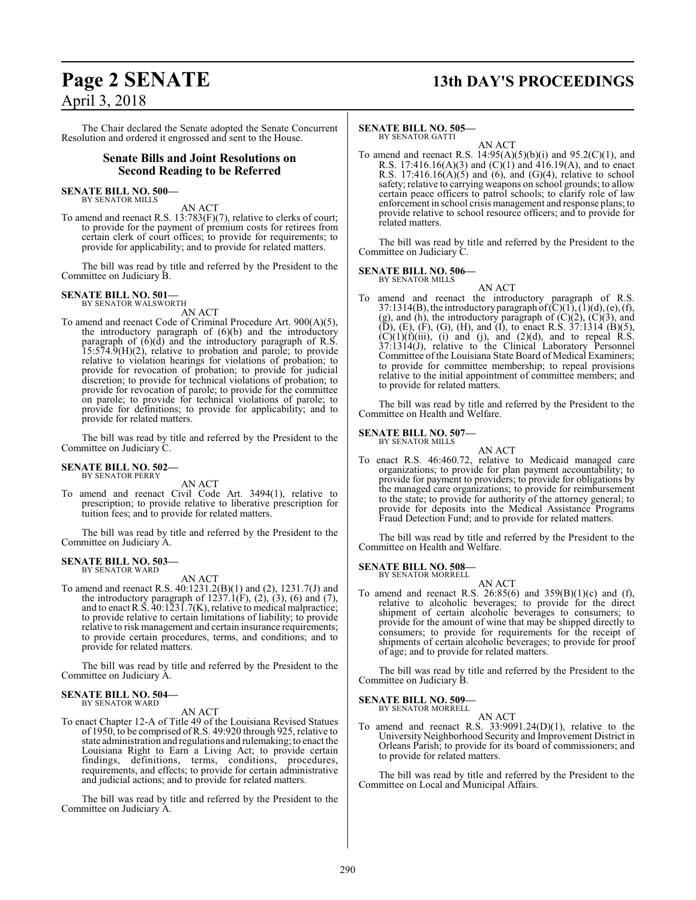# **Page 2 SENATE 13th DAY'S PROCEEDINGS**

The Chair declared the Senate adopted the Senate Concurrent Resolution and ordered it engrossed and sent to the House.

#### **Senate Bills and Joint Resolutions on Second Reading to be Referred**

#### **SENATE BILL NO. 500—** BY SENATOR MILLS

AN ACT

To amend and reenact R.S. 13:783(F)(7), relative to clerks of court; to provide for the payment of premium costs for retirees from certain clerk of court offices; to provide for requirements; to provide for applicability; and to provide for related matters.

The bill was read by title and referred by the President to the Committee on Judiciary B.

#### **SENATE BILL NO. 501—** BY SENATOR WALSWORTH

AN ACT

To amend and reenact Code of Criminal Procedure Art. 900(A)(5), the introductory paragraph of (6)(b) and the introductory paragraph of (6)(d) and the introductory paragraph of R.S. 15:574.9(H)(2), relative to probation and parole; to provide relative to violation hearings for violations of probation; to provide for revocation of probation; to provide for judicial discretion; to provide for technical violations of probation; to provide for revocation of parole; to provide for the committee on parole; to provide for technical violations of parole; to provide for definitions; to provide for applicability; and to provide for related matters.

The bill was read by title and referred by the President to the Committee on Judiciary C.

#### **SENATE BILL NO. 502—** BY SENATOR PERRY

AN ACT

To amend and reenact Civil Code Art. 3494(1), relative to prescription; to provide relative to liberative prescription for tuition fees; and to provide for related matters.

The bill was read by title and referred by the President to the Committee on Judiciary A.

# **SENATE BILL NO. 503—** BY SENATOR WARD

AN ACT

To amend and reenact R.S. 40:1231.2(B)(1) and (2), 1231.7(J) and the introductory paragraph of  $1237.1(F)$ ,  $(2)$ ,  $(3)$ ,  $(6)$  and  $(7)$ , and to enact R.S. 40:1231.7(K), relative to medical malpractice; to provide relative to certain limitations of liability; to provide relative to risk management and certain insurance requirements; to provide certain procedures, terms, and conditions; and to provide for related matters.

The bill was read by title and referred by the President to the Committee on Judiciary A.

#### **SENATE BILL NO. 504—** BY SENATOR WARD

AN ACT

To enact Chapter 12-A of Title 49 of the Louisiana Revised Statues of 1950, to be comprised ofR.S. 49:920 through 925, relative to state administration and regulations and rulemaking; to enact the Louisiana Right to Earn a Living Act; to provide certain findings, definitions, terms, conditions, procedures, requirements, and effects; to provide for certain administrative and judicial actions; and to provide for related matters.

The bill was read by title and referred by the President to the Committee on Judiciary A.

#### **SENATE BILL NO. 505—** BY SENATOR GATTI

AN ACT

To amend and reenact R.S.  $14:95(A)(5)(b)(i)$  and  $95.2(C)(1)$ , and R.S. 17:416.16(A)(3) and  $(C)(1)$  and 416.19(A), and to enact R.S. 17:416.16(A)(5) and (6), and (G)(4), relative to school safety; relative to carrying weapons on school grounds; to allow certain peace officers to patrol schools; to clarify role of law enforcement in school crisis management and response plans; to provide relative to school resource officers; and to provide for related matters.

The bill was read by title and referred by the President to the Committee on Judiciary C.

# **SENATE BILL NO. 506—** BY SENATOR MILLS

AN ACT To amend and reenact the introductory paragraph of R.S. 37:1314(B), the introductory paragraph of  $(C)(1)$ ,  $(1)(d)$ ,  $(e)$ ,  $(f)$ , (g), and (h), the introductory paragraph of  $(C)(2)$ ,  $(C)(3)$ , and  $(D)$ ,  $(E)$ ,  $(F)$ ,  $(G)$ ,  $(H)$ , and  $(I)$ , to enact R.S. 37:1314  $(B)(5)$ ,  $(C)(1)(f)(iii)$ , (i) and (j), and (2)(d), and to repeal R.S. 37:1314(J), relative to the Clinical Laboratory Personnel Committee of the Louisiana State Board of Medical Examiners; to provide for committee membership; to repeal provisions relative to the initial appointment of committee members; and to provide for related matters.

The bill was read by title and referred by the President to the Committee on Health and Welfare.

**SENATE BILL NO. 507—**

BY SENATOR MILLS AN ACT

To enact R.S. 46:460.72, relative to Medicaid managed care organizations; to provide for plan payment accountability; to provide for payment to providers; to provide for obligations by the managed care organizations; to provide for reimbursement to the state; to provide for authority of the attorney general; to provide for deposits into the Medical Assistance Programs Fraud Detection Fund; and to provide for related matters.

The bill was read by title and referred by the President to the Committee on Health and Welfare.

**SENATE BILL NO. 508—** BY SENATOR MORRELL

AN ACT

To amend and reenact R.S. 26:85(6) and  $359(B)(1)(c)$  and (f), relative to alcoholic beverages; to provide for the direct shipment of certain alcoholic beverages to consumers; to provide for the amount of wine that may be shipped directly to consumers; to provide for requirements for the receipt of shipments of certain alcoholic beverages; to provide for proof of age; and to provide for related matters.

The bill was read by title and referred by the President to the Committee on Judiciary B.

**SENATE BILL NO. 509—** BY SENATOR MORRELL

AN ACT

To amend and reenact R.S. 33:9091.24(D)(1), relative to the University Neighborhood Security and Improvement District in Orleans Parish; to provide for its board of commissioners; and to provide for related matters.

The bill was read by title and referred by the President to the Committee on Local and Municipal Affairs.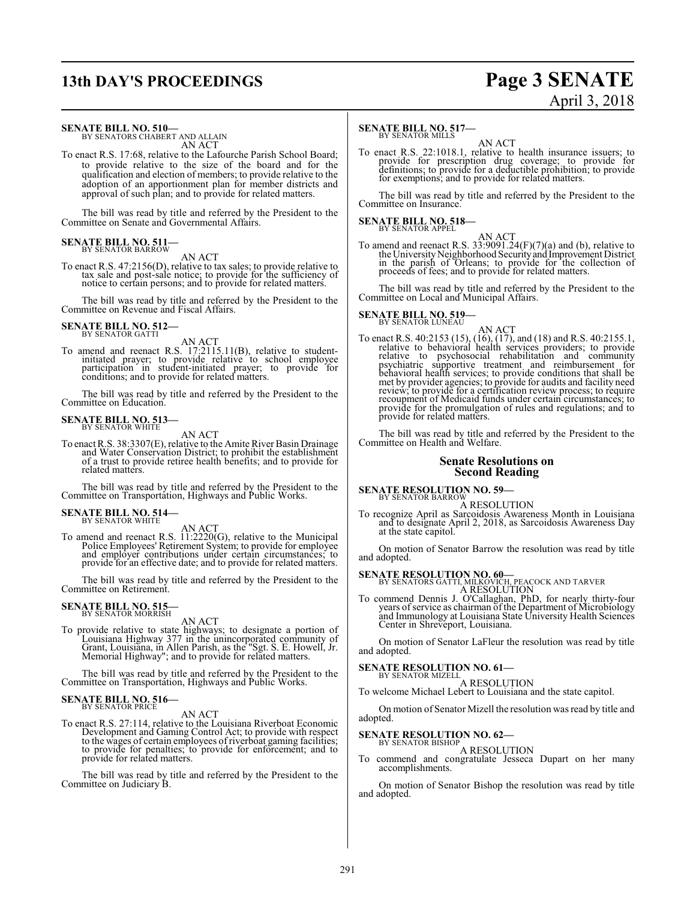# **13th DAY'S PROCEEDINGS Page 3 SENATE**

# April 3, 2018

#### **SENATE BILL NO. 510—**

BY SENATORS CHABERT AND ALLAIN AN ACT

To enact R.S. 17:68, relative to the Lafourche Parish School Board; to provide relative to the size of the board and for the qualification and election of members; to provide relative to the adoption of an apportionment plan for member districts and approval of such plan; and to provide for related matters.

The bill was read by title and referred by the President to the Committee on Senate and Governmental Affairs.

## **SENATE BILL NO. 511-**<br>BY SENATOR BARROW

AN ACT

To enact R.S. 47:2156(D), relative to tax sales; to provide relative to tax sale and post-sale notice; to provide for the sufficiency of notice to certain persons; and to provide for related matters.

The bill was read by title and referred by the President to the Committee on Revenue and Fiscal Affairs.

## **SENATE BILL NO. 512-**<br>BY SENATOR GATTI

AN ACT<br>To amend and reenact R.S. 17:2115.11(B), relative to student-<br>initiated prayer; to provide relative to school employee<br>participation in student-initiated prayer; to provide for<br>conditions; and to provide for related

The bill was read by title and referred by the President to the Committee on Education.

## **SENATE BILL NO. 513-**<br>BY SENATOR WHITE

AN ACT To enact R.S. 38:3307(E), relative to the Amite River Basin Drainage and Water Conservation District; to prohibit the establishment of a trust to provide retiree health benefits; and to provide for related matters.

The bill was read by title and referred by the President to the Committee on Transportation, Highways and Public Works.

# **SENATE BILL NO. 514–** BY SENATOR WHITE

AN ACT<br>To amend and reenact R.S. 11:2220(G), relative to the Municipal<br>Police Employees' Retirement System; to provide for employee<br>and employer contributions under certain circumstances; to provide for an effective date; and to provide for related matters.

The bill was read by title and referred by the President to the Committee on Retirement.

# **SENATE BILL NO. 515–**<br>BY SENATOR MORRISH

AN ACT

To provide relative to state highways; to designate a portion of Louisiana Highway 377 in the unincorporated community of Grant, Louisiana, in Allen Parish, as the "Sgt. S. E. Howell, Jr. Memorial Highway"; and to provide

The bill was read by title and referred by the President to the Committee on Transportation, Highways and Public Works.

# **SENATE BILL NO. 516-**<br>BY SENATOR PRICE

AN ACT<br>To enact R.S. 27:114, relative to the Louisiana Riverboat Economic<br>Development and Gaming Control Act; to provide with respect<br>to the wages of certain employees of riverboat gaming facilities;<br>to provide for penalti provide for related matters.

The bill was read by title and referred by the President to the Committee on Judiciary B.

## **SENATE BILL NO. 517-**<br>BY SENATOR MILLS

AN ACT

To enact R.S. 22:1018.1, relative to health insurance issuers; to provide for prescription drug coverage; to provide for definitions; to provide for a deductible prohibition; to provide for exemptions; and to provide for related matters.

The bill was read by title and referred by the President to the Committee on Insurance.

## **SENATE BILL NO. 518-**<br>BY SENATOR APPEL

AN ACT<br>To amend and reenact R.S. 33:9091.24( $F$ )( $7$ )(a) and (b), relative to<br>the University Neighborhood Security and Improvement District<br>in the parish of Orleans; to provide for the collection of<br>proceeds of fees; and

The bill was read by title and referred by the President to the Committee on Local and Municipal Affairs.

## **SENATE BILL NO. 519-**<br>BY SENATOR LUNEAU

AN ACT<br>To enact R.S. 40:2153 (15), (16), (17), and (18) and R.S. 40:2155.1,<br>relative to behavioral health services providers; to provide relative to psychosocial rehabilitation and community psychiatric supportive treatment and reimbursement for<br>behavioral health services; to provide conditions that shall be<br>met by provider agencies; to provide for audits and facility need<br>review; to provide for a certificatio provide for the promulgation of rules and regulations; and to provide for related matters.

The bill was read by title and referred by the President to the Committee on Health and Welfare.

#### **Senate Resolutions on Second Reading**

**SENATE RESOLUTION NO. 59—**<br>BY SENATOR BARROW<br>To recognize April as Sarcoidosis Awareness Month in Louisiana<br>and to designate April 2, 2018, as Sarcoidosis Awareness Day at the state capitol.

On motion of Senator Barrow the resolution was read by title and adopted.

**SENATE RESOLUTION NO. 60—**<br>BY SENATORS GATTI, MILKOVICH, PEACOCK AND TARVER<br>To commend Dennis J. O'Callaghan, PhD, for nearly thirty-four<br>years of service as chairman of the Department of Microbiology and Immunology at Louisiana State University Health Sciences Center in Shreveport, Louisiana.

On motion of Senator LaFleur the resolution was read by title and adopted.

# **SENATE RESOLUTION NO. 61–**<br>BY SENATOR MIZELL

A RESOLUTION

To welcome Michael Lebert to Louisiana and the state capitol.

On motion of Senator Mizell the resolution was read by title and adopted.

## **SENATE RESOLUTION NO. 62—** BY SENATOR BISHOP

A RESOLUTION

To commend and congratulate Jesseca Dupart on her many accomplishments.

On motion of Senator Bishop the resolution was read by title and adopted.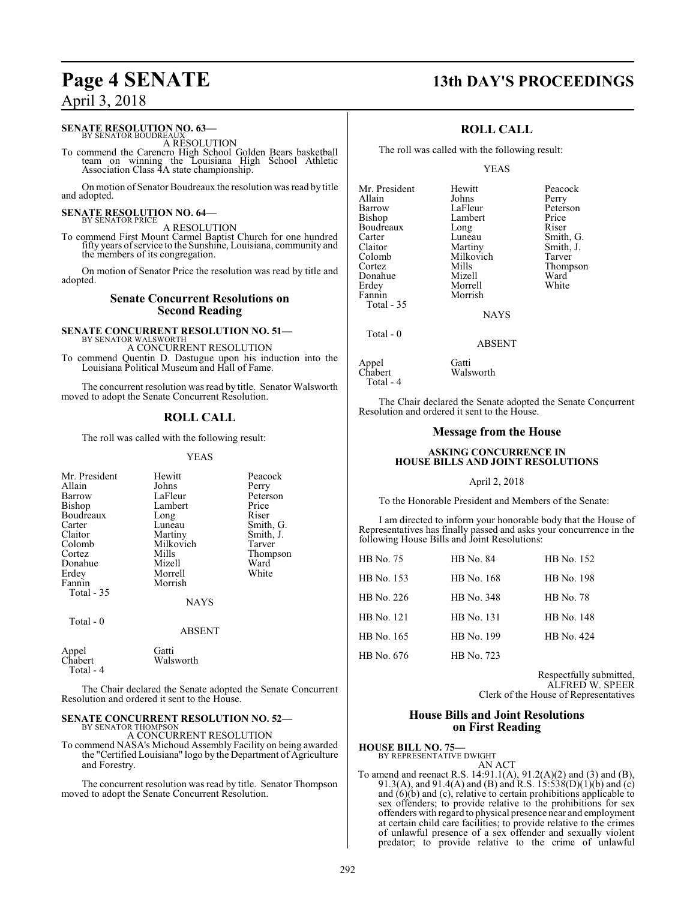## **SENATE RESOLUTION NO. 63–BY SENATOR BOUDREAUX**

A RESOLUTION

To commend the Carencro High School Golden Bears basketball team on winning the Louisiana High School Athletic Association Class 4A state championship.

On motion of Senator Boudreaux the resolution was read by title and adopted.

# **SENATE RESOLUTION NO. 64–**<br>BY SENATOR PRICE

A RESOLUTION

To commend First Mount Carmel Baptist Church for one hundred fifty years ofservice to the Sunshine, Louisiana, community and the members of its congregation.

On motion of Senator Price the resolution was read by title and adopted.

#### **Senate Concurrent Resolutions on Second Reading**

#### **SENATE CONCURRENT RESOLUTION NO. 51—** BY SENATOR WALSWORTH

A CONCURRENT RESOLUTION

To commend Quentin D. Dastugue upon his induction into the Louisiana Political Museum and Hall of Fame.

The concurrent resolution was read by title. Senator Walsworth moved to adopt the Senate Concurrent Resolution.

### **ROLL CALL**

The roll was called with the following result:

#### YEAS

| Mr. President<br>Allain<br>Barrow<br>Bishop<br>Boudreaux<br>Carter<br>Claitor<br>Colomb<br>Cortez<br>Donahue<br>Erdey<br>Fannin<br>Total $-35$<br>Total - 0 | Hewitt<br>Johns<br>LaFleur<br>Lambert<br>Long<br>Luneau<br>Martiny<br>Milkovich<br>Mills<br>Mizell<br>Morrell<br>Morrish<br><b>NAYS</b><br><b>ABSENT</b> | Peacock<br>Perry<br>Peterson<br>Price<br>Riser<br>Smith, G.<br>Smith, J.<br>Tarver<br>Thompson<br>Ward<br>White |
|-------------------------------------------------------------------------------------------------------------------------------------------------------------|----------------------------------------------------------------------------------------------------------------------------------------------------------|-----------------------------------------------------------------------------------------------------------------|
|                                                                                                                                                             |                                                                                                                                                          |                                                                                                                 |
| Appel<br>Chabert<br>Total - 4                                                                                                                               | Gatti<br>Walsworth                                                                                                                                       |                                                                                                                 |

The Chair declared the Senate adopted the Senate Concurrent Resolution and ordered it sent to the House.

#### **SENATE CONCURRENT RESOLUTION NO. 52—** BY SENATOR THOMPSON

A CONCURRENT RESOLUTION

To commend NASA's Michoud Assembly Facility on being awarded the "Certified Louisiana" logo by the Department of Agriculture and Forestry.

The concurrent resolution was read by title. Senator Thompson moved to adopt the Senate Concurrent Resolution.

# **Page 4 SENATE 13th DAY'S PROCEEDINGS**

### **ROLL CALL**

The roll was called with the following result:

Morrell

#### YEAS

Lambert Price<br>
Long Riser

Mills Thompson<br>Mizell Ward

Mr. President Hewitt Peacock<br>Allain Johns Perry Allain Johns Perry Barrow LaFleur Peterson<br>Bishop Lambert Price Boudreaux Long<br>Carter Luneau Carter Luneau Smith, G. Claitor Martiny Smith, J.<br>
Colomb Milkovich Tarver Colomb Milkovich<br>Cortez Mills Donahue Mizell Ward<br>1991 - Erdev Morrell White Fannin Morrish Total - 35

NAYS

Total - 0

ABSENT

Appel Gatti<br>Chabert Wals Total - 4

Walsworth

The Chair declared the Senate adopted the Senate Concurrent Resolution and ordered it sent to the House.

#### **Message from the House**

#### **ASKING CONCURRENCE IN HOUSE BILLS AND JOINT RESOLUTIONS**

#### April 2, 2018

To the Honorable President and Members of the Senate:

I am directed to inform your honorable body that the House of Representatives has finally passed and asks your concurrence in the following House Bills and Joint Resolutions:

| HB No. 75  | <b>HB</b> No. 84 | HB No. 152       |
|------------|------------------|------------------|
| HB No. 153 | HB No. 168       | HB No. 198       |
| HB No. 226 | HB No. 348       | <b>HB</b> No. 78 |
| HB No. 121 | HB No. 131       | HB No. 148       |
| HB No. 165 | HB No. 199       | HB No. 424       |
| HB No. 676 | HB No. 723       |                  |

Respectfully submitted, ALFRED W. SPEER Clerk of the House of Representatives

#### **House Bills and Joint Resolutions on First Reading**

#### **HOUSE BILL NO. 75—** BY REPRESENTATIVE DWIGHT

AN ACT

To amend and reenact R.S. 14:91.1(A), 91.2(A)(2) and (3) and (B), 91.3(A), and 91.4(A) and (B) and R.S. 15:538(D)(1)(b) and (c) and (6)(b) and (c), relative to certain prohibitions applicable to sex offenders; to provide relative to the prohibitions for sex offenders with regard to physical presence near and employment at certain child care facilities; to provide relative to the crimes of unlawful presence of a sex offender and sexually violent predator; to provide relative to the crime of unlawful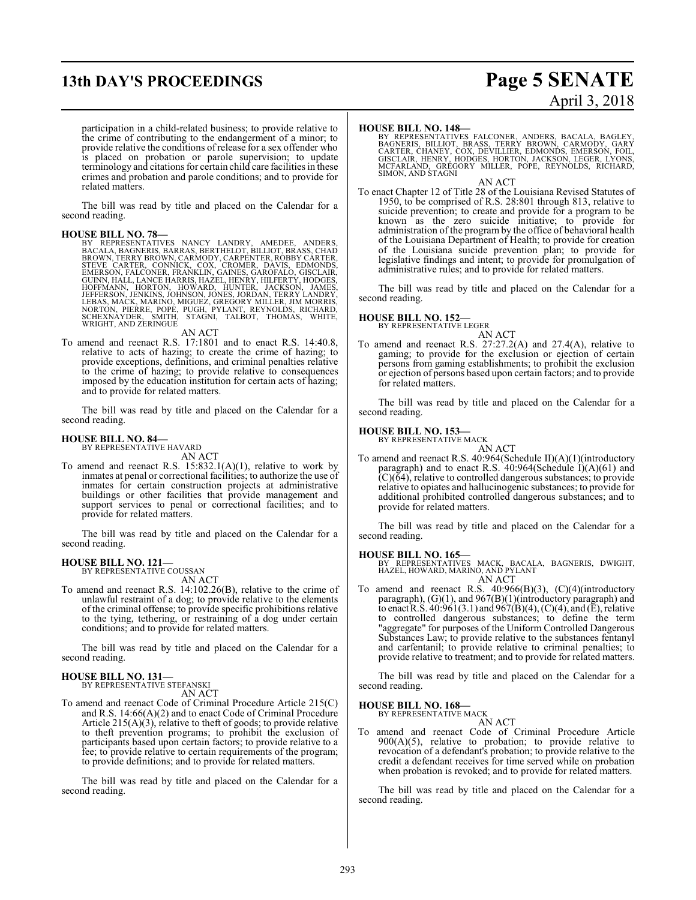# **13th DAY'S PROCEEDINGS Page 5 SENATE**

# April 3, 2018

participation in a child-related business; to provide relative to the crime of contributing to the endangerment of a minor; to provide relative the conditions of release for a sex offender who is placed on probation or parole supervision; to update terminology and citations for certain child care facilities in these crimes and probation and parole conditions; and to provide for related matters.

The bill was read by title and placed on the Calendar for a second reading.

HOUSE BILL NO. 78—<br>BY REPRESENTATIVES NANCY LANDRY, AMEDEE, ANDERS, BACALA, BAGNERIS, BARRAS, BERTHELOT, BILLIOT, BRASS, CHAD<br>BROWN, TERRY BROWN, CARMODY, CARPENTER, ROBBY CARTER, STEVE CARTER, CONNICK, COX, CROMER, DAVIS,

AN ACT

To amend and reenact R.S. 17:1801 and to enact R.S. 14:40.8, relative to acts of hazing; to create the crime of hazing; to provide exceptions, definitions, and criminal penalties relative to the crime of hazing; to provide relative to consequences imposed by the education institution for certain acts of hazing; and to provide for related matters.

The bill was read by title and placed on the Calendar for a second reading.

#### **HOUSE BILL NO. 84—**

BY REPRESENTATIVE HAVARD AN ACT

To amend and reenact R.S. 15:832.1(A)(1), relative to work by inmates at penal or correctional facilities; to authorize the use of inmates for certain construction projects at administrative buildings or other facilities that provide management and support services to penal or correctional facilities; and to provide for related matters.

The bill was read by title and placed on the Calendar for a second reading.

# **HOUSE BILL NO. 121—** BY REPRESENTATIVE COUSSAN

AN ACT

To amend and reenact R.S. 14:102.26(B), relative to the crime of unlawful restraint of a dog; to provide relative to the elements of the criminal offense; to provide specific prohibitions relative to the tying, tethering, or restraining of a dog under certain conditions; and to provide for related matters.

The bill was read by title and placed on the Calendar for a second reading.

#### **HOUSE BILL NO. 131—**

BY REPRESENTATIVE STEFANSKI AN ACT

To amend and reenact Code of Criminal Procedure Article 215(C) and R.S. 14:66(A)(2) and to enact Code of Criminal Procedure Article  $215(A)(3)$ , relative to theft of goods; to provide relative to theft prevention programs; to prohibit the exclusion of participants based upon certain factors; to provide relative to a fee; to provide relative to certain requirements of the program; to provide definitions; and to provide for related matters.

The bill was read by title and placed on the Calendar for a second reading.

#### **HOUSE BILL NO. 148—**

BY REPRESENTATIVES FALCONER, ANDERS, BACALA, BAGLEY,<br>BAGNERIS, BILLIOT, BRASS, TERRY BROWN, CARMODY, GARY<br>CARTER, CHANEY, COX, DEVILLIER, EDMONDS, EMERSON, FOIL,<br>GISCLAIR, HENRY, HODGES, HORTON, JACKSON, LEGER, LYONS,<br>MCFA SIMON, AND STAGNI

AN ACT To enact Chapter 12 of Title 28 of the Louisiana Revised Statutes of 1950, to be comprised of R.S. 28:801 through 813, relative to suicide prevention; to create and provide for a program to be known as the zero suicide initiative; to provide for administration of the program by the office of behavioral health of the Louisiana Department of Health; to provide for creation of the Louisiana suicide prevention plan; to provide for legislative findings and intent; to provide for promulgation of administrative rules; and to provide for related matters.

The bill was read by title and placed on the Calendar for a second reading.

#### **HOUSE BILL NO. 152—**

BY REPRESENTATIVE LEGER

AN ACT To amend and reenact R.S. 27:27.2(A) and 27.4(A), relative to gaming; to provide for the exclusion or ejection of certain persons from gaming establishments; to prohibit the exclusion or ejection of persons based upon certain factors; and to provide for related matters.

The bill was read by title and placed on the Calendar for a second reading.

#### **HOUSE BILL NO. 153—**

BY REPRESENTATIVE MACK

AN ACT To amend and reenact R.S. 40:964(Schedule II)(A)(1)(introductory paragraph) and to enact R.S. 40:964(Schedule I)(A)(61) and  $(C)(64)$ , relative to controlled dangerous substances; to provide relative to opiates and hallucinogenic substances; to provide for additional prohibited controlled dangerous substances; and to provide for related matters.

The bill was read by title and placed on the Calendar for a second reading.

#### **HOUSE BILL NO. 165—**

BY REPRESENTATIVES MACK, BACALA, BAGNERIS, DWIGHT, HAZEL, HOWARD, MARINO, AND PYLANT AN ACT

To amend and reenact R.S. 40:966(B)(3), (C)(4)(introductory paragraph), (G)(1), and 967(B)(1)(introductory paragraph) and to enact R.S.  $40:961(3.1)$  and  $967(B)(4)$ , (C)(4), and (E), relative to controlled dangerous substances; to define the term "aggregate" for purposes of the Uniform Controlled Dangerous Substances Law; to provide relative to the substances fentanyl and carfentanil; to provide relative to criminal penalties; to provide relative to treatment; and to provide for related matters.

The bill was read by title and placed on the Calendar for a second reading.

#### **HOUSE BILL NO. 168—**

BY REPRESENTATIVE MACK AN ACT

To amend and reenact Code of Criminal Procedure Article 900(A)(5), relative to probation; to provide relative to revocation of a defendant's probation; to provide relative to the credit a defendant receives for time served while on probation when probation is revoked; and to provide for related matters.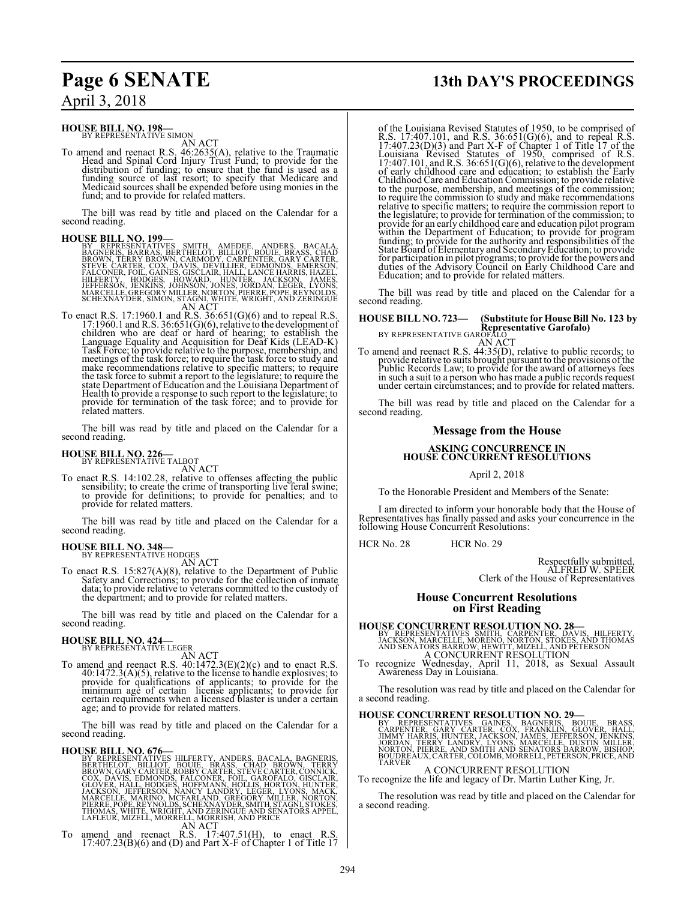## **HOUSE BILL NO. 198—**<br>BY REPRESENTATIVE SIMON

AN ACT

To amend and reenact R.S. 46:2635(A), relative to the Traumatic Head and Spinal Cord Injury Trust Fund; to provide for the distribution of funding; to ensure that the fund is used as a<br>funding source of last resort; to specify that Medicare and<br>Medicaid sources shall be expended before using monies in the<br>fund; and to provide for related matte

The bill was read by title and placed on the Calendar for a second reading.

**HOUSE BILL NO. 199**<br>
BY REPRESENTATIVES SMITH, AMEDEE, ANDERS, BACALA,<br>
BAGNERIS BARRAS, BERTHELOT, BILLIOT, BOUIE, BRASS, CHAD<br>
BROWN, TERRY BROWN, CARMODY, CARPENTER, GARY CARTER, THE STEVE CARTER, COX, DAVIS, DEVILLIER

Task Force; to provide relative to the purpose, membership, and meetings of the task force; to require the task force to study and make recommendations relative to specific matters; to require the task force to submit a report to the legislature; to require the state Department of Education and the Louisiana Department of Health to provide a response to such report to the legislature; to provide for termination of the task force; and to provide for related matters.

The bill was read by title and placed on the Calendar for a second reading.

# **HOUSE BILL NO. 226-**<br>BY REPRESENTATIVE TALBOT

AN ACT

To enact R.S. 14:102.28, relative to offenses affecting the public sensibility; to create the crime of transporting live feral swine; to provide for definitions; to provide for penalties; and to provide for related matters.

The bill was read by title and placed on the Calendar for a second reading.

# **HOUSE BILL NO. 348—**<br>BY REPRESENTATIVE HODGES

AN ACT

To enact R.S. 15:827(A)(8), relative to the Department of Public Safety and Corrections; to provide for the collection of inmate data; to provide relative to veterans committed to the custody of the department; and to provide for related matters.

The bill was read by title and placed on the Calendar for a second reading.

**HOUSE BILL NO. 424**<br>
BY REPRESENTATIVE LEGER<br>
AN ACT<br>
To amend and reenact R.S. 40:1472.3(E)(2)(c) and to enact R.S.<br>
40:1472.3(A)(5), relative to the license to handle explosives; to<br>
provide for qualifications of appli age; and to provide for related matters.

The bill was read by title and placed on the Calendar for a second reading.

**HOUSE BILL NO. 676**<br>
BY REPRESENTATIVES HILFERTY, ANDERS, BACALA, BAGNERIS,<br>
BERTHELOT, BILLIOT, BOUIE, BRASS, CHAD BROWN, TERRY<br>
BROWN, GARY CARTER, ROBBY CARTER, STEVE CARTER, CONNICK,<br>
COX, DAVIS, EDMONDS, FALCONER, FO

# **Page 6 SENATE 13th DAY'S PROCEEDINGS**

of the Louisiana Revised Statutes of 1950, to be comprised of R.S. 17:407.101, and R.S. 36:651(G)(6), and to repeal R.S.<br>17:407.23(D)(3) and Part X-F of Chapter 1 of Title 17 of the<br>Louisiana Revised Statutes of 1950, comprised of R.S.<br>17:407.101, and R.S. 36:651(G)(6), relative to t Childhood Care and Education Commission; to provide relative to the purpose, membership, and meetings of the commission; to require the commission to study and make recommendations relative to specific matters; to require the commission report to the legislature; to provide for termination of the commission; to provide for an early childhood care and education pilot program<br>within the Department of Education; to provide for program<br>funding; to provide for the authority and responsibilities of the<br>State Board of Elementary and Sec for participation in pilot programs; to provide for the powers and duties of the Advisory Council on Early Childhood Care and Education; and to provide for related matters.

The bill was read by title and placed on the Calendar for a second reading.

**HOUSE BILL NO. 723—** (Substitute for House Bill No. 123 by<br>
BY REPRESENTATIVE GAROFALO<br>
BY REPRESENTATIVE GAROFALOT<br>
To amend and reenact R.S. 44:35(D), relative to public records; to<br>
provide relative to suits brought pu in such a suit to a person who has made a public records request under certain circumstances; and to provide for related matters.

The bill was read by title and placed on the Calendar for a second reading.

#### **Message from the House**

# **ASKING CONCURRENCE IN HOUSE CONCURRENT RESOLUTIONS**

April 2, 2018

To the Honorable President and Members of the Senate:

I am directed to inform your honorable body that the House of Representatives has finally passed and asks your concurrence in the following House Concurrent Resolutions:

HCR No. 28 HCR No. 29

Respectfully submitted, ALFRED W. SPEER Clerk of the House of Representatives

#### **House Concurrent Resolutions on First Reading**

**HOUSE CONCURRENT RESOLUTION NO. 28**<br>
BY REPRESENTATIVES SMITH, CARPENTER, DAVIS, HILFERTY,<br>
JACKSON, MARCELLE, MORENO, NORTON, STOKES, AND THOMAS<br>
AND SENATORS BARROW, HEWITT, MIZELL, AND PETERSON<br>
A CONCURRENT RESOLUTION

The resolution was read by title and placed on the Calendar for a second reading.

**HOUSE CONCURRENT RESOLUTION NO. 29—**<br>BY REPRESENTATIVES GARDES, BAGNERIS, BOUJE, BRASS,<br>CARPENTER, GARY CARTER, COX, FRANKLIN, GLOVER, HALL,<br>JIMMY HARRIS, HUNTER, JACKSON, JAMES, JEFFERSON, JENKINS,<br>JORDAN, TERRY LANDRY,

A CONCURRENT RESOLUTION To recognize the life and legacy of Dr. Martin Luther King, Jr.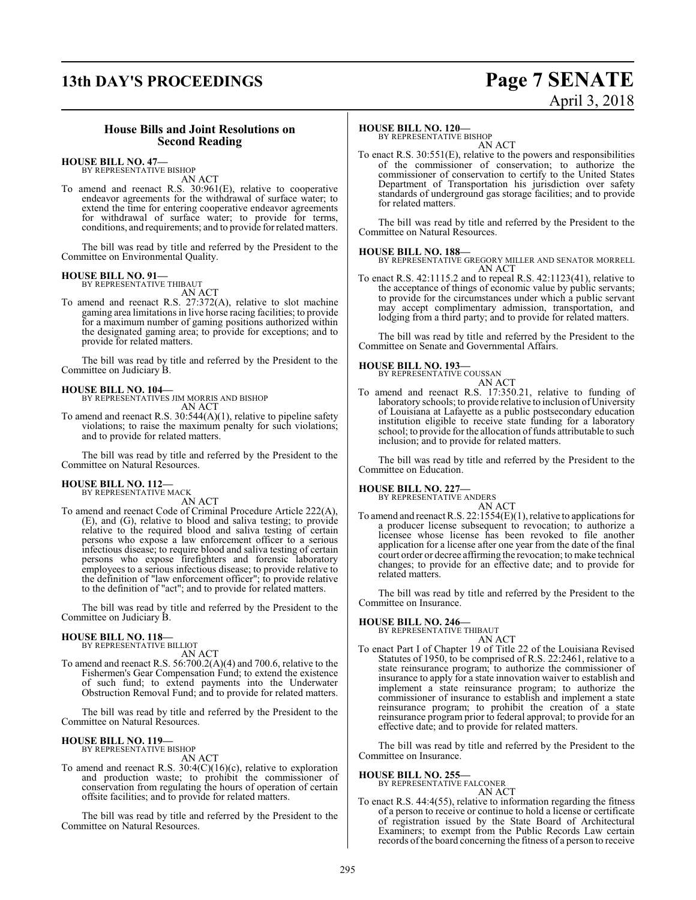# **13th DAY'S PROCEEDINGS Page 7 SENATE**

# April 3, 2018

#### **House Bills and Joint Resolutions on Second Reading**

#### **HOUSE BILL NO. 47—** BY REPRESENTATIVE BISHOP

AN ACT

To amend and reenact R.S. 30:961(E), relative to cooperative endeavor agreements for the withdrawal of surface water; to extend the time for entering cooperative endeavor agreements for withdrawal of surface water; to provide for terms, conditions, and requirements; and to provide forrelated matters.

The bill was read by title and referred by the President to the Committee on Environmental Quality.

#### **HOUSE BILL NO. 91—** BY REPRESENTATIVE THIBAUT

AN ACT

To amend and reenact R.S. 27:372(A), relative to slot machine gaming area limitations in live horse racing facilities; to provide for a maximum number of gaming positions authorized within the designated gaming area; to provide for exceptions; and to provide for related matters.

The bill was read by title and referred by the President to the Committee on Judiciary B.

#### **HOUSE BILL NO. 104—**

BY REPRESENTATIVES JIM MORRIS AND BISHOP AN ACT

To amend and reenact R.S. 30:544(A)(1), relative to pipeline safety violations; to raise the maximum penalty for such violations; and to provide for related matters.

The bill was read by title and referred by the President to the Committee on Natural Resources.

# **HOUSE BILL NO. 112—** BY REPRESENTATIVE MACK

AN ACT

To amend and reenact Code of Criminal Procedure Article 222(A), (E), and (G), relative to blood and saliva testing; to provide relative to the required blood and saliva testing of certain persons who expose a law enforcement officer to a serious infectious disease; to require blood and saliva testing of certain persons who expose firefighters and forensic laboratory employees to a serious infectious disease; to provide relative to the definition of "law enforcement officer"; to provide relative to the definition of "act"; and to provide for related matters.

The bill was read by title and referred by the President to the Committee on Judiciary B.

#### **HOUSE BILL NO. 118—** BY REPRESENTATIVE BILLIOT

AN ACT

To amend and reenact R.S. 56:700.2(A)(4) and 700.6, relative to the Fishermen's Gear Compensation Fund; to extend the existence of such fund; to extend payments into the Underwater Obstruction Removal Fund; and to provide for related matters.

The bill was read by title and referred by the President to the Committee on Natural Resources.

#### **HOUSE BILL NO. 119—**

BY REPRESENTATIVE BISHOP AN ACT

To amend and reenact R.S. 30:4(C)(16)(c), relative to exploration and production waste; to prohibit the commissioner of conservation from regulating the hours of operation of certain offsite facilities; and to provide for related matters.

The bill was read by title and referred by the President to the Committee on Natural Resources.

#### **HOUSE BILL NO. 120—**

BY REPRESENTATIVE BISHOP AN ACT

To enact R.S. 30:551(E), relative to the powers and responsibilities of the commissioner of conservation; to authorize the commissioner of conservation to certify to the United States Department of Transportation his jurisdiction over safety standards of underground gas storage facilities; and to provide for related matters.

The bill was read by title and referred by the President to the Committee on Natural Resources.

#### **HOUSE BILL NO. 188—**

- BY REPRESENTATIVE GREGORY MILLER AND SENATOR MORRELL AN ACT
- To enact R.S. 42:1115.2 and to repeal R.S. 42:1123(41), relative to the acceptance of things of economic value by public servants; to provide for the circumstances under which a public servant may accept complimentary admission, transportation, and lodging from a third party; and to provide for related matters.

The bill was read by title and referred by the President to the Committee on Senate and Governmental Affairs.



To amend and reenact R.S. 17:350.21, relative to funding of laboratory schools; to provide relative to inclusion of University of Louisiana at Lafayette as a public postsecondary education institution eligible to receive state funding for a laboratory school; to provide for the allocation of funds attributable to such inclusion; and to provide for related matters.

The bill was read by title and referred by the President to the Committee on Education.

#### **HOUSE BILL NO. 227—**

BY REPRESENTATIVE ANDERS

AN ACT To amend and reenact R.S. 22:1554(E)(1), relative to applications for a producer license subsequent to revocation; to authorize a licensee whose license has been revoked to file another application for a license after one year from the date of the final court order or decree affirming the revocation; to make technical changes; to provide for an effective date; and to provide for related matters.

The bill was read by title and referred by the President to the Committee on Insurance.

# **HOUSE BILL NO. 246—** BY REPRESENTATIVE THIBAUT

- AN ACT
- To enact Part I of Chapter 19 of Title 22 of the Louisiana Revised Statutes of 1950, to be comprised of R.S. 22:2461, relative to a state reinsurance program; to authorize the commissioner of insurance to apply for a state innovation waiver to establish and implement a state reinsurance program; to authorize the commissioner of insurance to establish and implement a state reinsurance program; to prohibit the creation of a state reinsurance program prior to federal approval; to provide for an effective date; and to provide for related matters.

The bill was read by title and referred by the President to the Committee on Insurance.

**HOUSE BILL NO. 255—** BY REPRESENTATIVE FALCONER

- AN ACT
- To enact R.S. 44:4(55), relative to information regarding the fitness of a person to receive or continue to hold a license or certificate of registration issued by the State Board of Architectural Examiners; to exempt from the Public Records Law certain records of the board concerning the fitness of a person to receive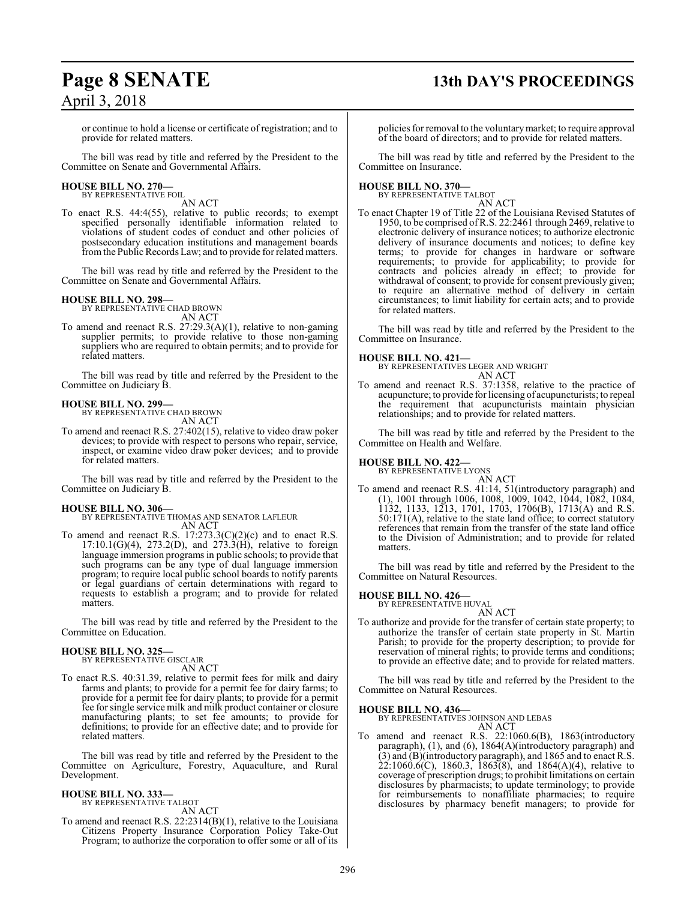# **Page 8 SENATE 13th DAY'S PROCEEDINGS**

or continue to hold a license or certificate of registration; and to provide for related matters.

The bill was read by title and referred by the President to the Committee on Senate and Governmental Affairs.

#### **HOUSE BILL NO. 270—** BY REPRESENTATIVE FOIL

AN ACT

To enact R.S. 44:4(55), relative to public records; to exempt specified personally identifiable information related to violations of student codes of conduct and other policies of postsecondary education institutions and management boards fromthe Public Records Law; and to provide for related matters.

The bill was read by title and referred by the President to the Committee on Senate and Governmental Affairs.

#### **HOUSE BILL NO. 298—**

BY REPRESENTATIVE CHAD BROWN AN ACT

To amend and reenact R.S. 27:29.3(A)(1), relative to non-gaming supplier permits; to provide relative to those non-gaming suppliers who are required to obtain permits; and to provide for related matters.

The bill was read by title and referred by the President to the Committee on Judiciary B.

#### **HOUSE BILL NO. 299—**

BY REPRESENTATIVE CHAD BROWN AN ACT

To amend and reenact R.S. 27:402(15), relative to video draw poker devices; to provide with respect to persons who repair, service, inspect, or examine video draw poker devices; and to provide for related matters.

The bill was read by title and referred by the President to the Committee on Judiciary B.

#### **HOUSE BILL NO. 306—**

BY REPRESENTATIVE THOMAS AND SENATOR LAFLEUR AN ACT

To amend and reenact R.S.  $17:273.3(C)(2)(c)$  and to enact R.S. 17:10.1(G)(4), 273.2(D), and 273.3(H), relative to foreign language immersion programs in public schools; to provide that such programs can be any type of dual language immersion program; to require local public school boards to notify parents or legal guardians of certain determinations with regard to requests to establish a program; and to provide for related matters.

The bill was read by title and referred by the President to the Committee on Education.

#### **HOUSE BILL NO. 325—** BY REPRESENTATIVE GISCLAIR

AN ACT

To enact R.S. 40:31.39, relative to permit fees for milk and dairy farms and plants; to provide for a permit fee for dairy farms; to provide for a permit fee for dairy plants; to provide for a permit fee for single service milk and milk product container or closure manufacturing plants; to set fee amounts; to provide for definitions; to provide for an effective date; and to provide for related matters.

The bill was read by title and referred by the President to the Committee on Agriculture, Forestry, Aquaculture, and Rural Development.

#### **HOUSE BILL NO. 333—**

BY REPRESENTATIVE TALBOT AN ACT

To amend and reenact R.S. 22:2314(B)(1), relative to the Louisiana Citizens Property Insurance Corporation Policy Take-Out Program; to authorize the corporation to offer some or all of its policies for removal to the voluntarymarket; to require approval of the board of directors; and to provide for related matters.

The bill was read by title and referred by the President to the Committee on Insurance.

# **HOUSE BILL NO. 370—** BY REPRESENTATIVE TALBOT

- AN ACT To enact Chapter 19 of Title 22 of the Louisiana Revised Statutes of 1950, to be comprised ofR.S. 22:2461 through 2469, relative to
- electronic delivery of insurance notices; to authorize electronic delivery of insurance documents and notices; to define key terms; to provide for changes in hardware or software requirements; to provide for applicability; to provide for contracts and policies already in effect; to provide for withdrawal of consent; to provide for consent previously given; to require an alternative method of delivery in certain circumstances; to limit liability for certain acts; and to provide for related matters.

The bill was read by title and referred by the President to the Committee on Insurance.

#### **HOUSE BILL NO. 421—**

BY REPRESENTATIVES LEGER AND WRIGHT AN ACT

To amend and reenact R.S. 37:1358, relative to the practice of acupuncture; to provide for licensing of acupuncturists; to repeal the requirement that acupuncturists maintain physician relationships; and to provide for related matters.

The bill was read by title and referred by the President to the Committee on Health and Welfare.

# **HOUSE BILL NO. 422—** BY REPRESENTATIVE LYONS

AN ACT To amend and reenact R.S. 41:14, 51(introductory paragraph) and (1), 1001 through 1006, 1008, 1009, 1042, 1044, 1082, 1084, 1132, 1133, 1213, 1701, 1703, 1706(B), 1713(A) and R.S. 50:171(A), relative to the state land office; to correct statutory references that remain from the transfer of the state land office to the Division of Administration; and to provide for related matters.

The bill was read by title and referred by the President to the Committee on Natural Resources.

#### **HOUSE BILL NO. 426—**

BY REPRESENTATIVE HUVAL

AN ACT To authorize and provide for the transfer of certain state property; to authorize the transfer of certain state property in St. Martin Parish; to provide for the property description; to provide for reservation of mineral rights; to provide terms and conditions; to provide an effective date; and to provide for related matters.

The bill was read by title and referred by the President to the Committee on Natural Resources.

#### **HOUSE BILL NO. 436—**

BY REPRESENTATIVES JOHNSON AND LEBAS AN ACT

To amend and reenact R.S. 22:1060.6(B), 1863(introductory paragraph), (1), and (6), 1864(A)(introductory paragraph) and (3) and (B)(introductory paragraph), and 1865 and to enact R.S.  $22:1060.6(C)$ , 1860.3, 1863(8), and 1864(A)(4), relative to coverage of prescription drugs; to prohibit limitations on certain disclosures by pharmacists; to update terminology; to provide for reimbursements to nonaffiliate pharmacies; to require disclosures by pharmacy benefit managers; to provide for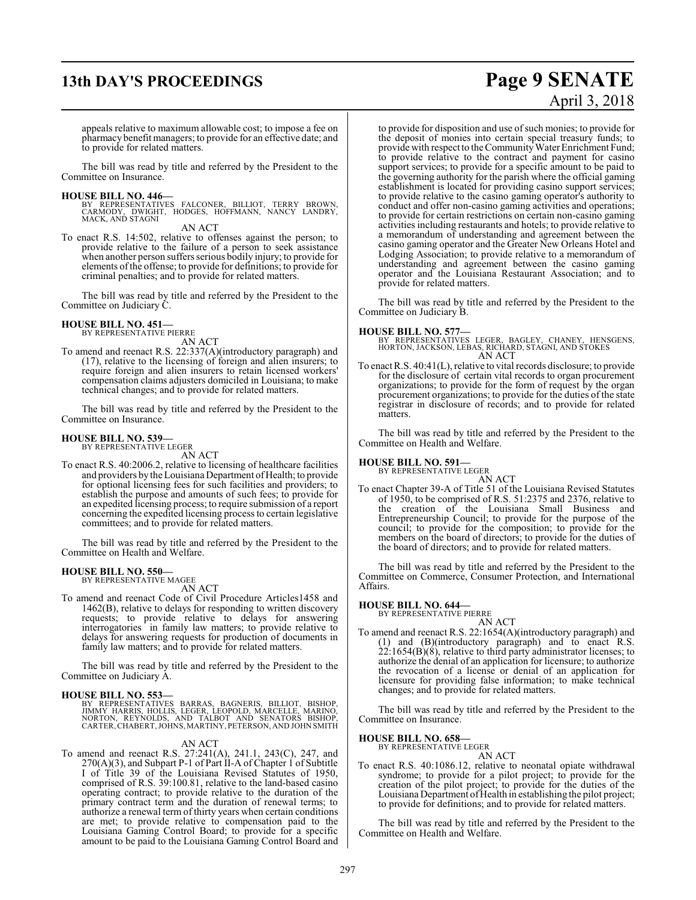# **13th DAY'S PROCEEDINGS Page 9 SENATE**

appeals relative to maximum allowable cost; to impose a fee on pharmacy benefit managers; to provide for an effective date; and to provide for related matters.

The bill was read by title and referred by the President to the Committee on Insurance.

#### **HOUSE BILL NO. 446—**

BY REPRESENTATIVES FALCONER, BILLIOT, TERRY BROWN,<br>CARMODY, DWIGHT, HODGES, HOFFMANN, NANCY LANDRY,<br>MACK,AND STAGNI

AN ACT

To enact R.S. 14:502, relative to offenses against the person; to provide relative to the failure of a person to seek assistance when another person suffers serious bodily injury; to provide for elements ofthe offense; to provide for definitions; to provide for criminal penalties; and to provide for related matters.

The bill was read by title and referred by the President to the Committee on Judiciary C.

# **HOUSE BILL NO. 451—** BY REPRESENTATIVE PIERRE

AN ACT

To amend and reenact R.S. 22:337(A)(introductory paragraph) and (17), relative to the licensing of foreign and alien insurers; to require foreign and alien insurers to retain licensed workers' compensation claims adjusters domiciled in Louisiana; to make technical changes; and to provide for related matters.

The bill was read by title and referred by the President to the Committee on Insurance.

#### **HOUSE BILL NO. 539—**

BY REPRESENTATIVE LEGER AN ACT

To enact R.S. 40:2006.2, relative to licensing of healthcare facilities and providers by the Louisiana Department of Health; to provide for optional licensing fees for such facilities and providers; to establish the purpose and amounts of such fees; to provide for an expedited licensing process; to require submission of a report concerning the expedited licensing process to certain legislative committees; and to provide for related matters.

The bill was read by title and referred by the President to the Committee on Health and Welfare.

#### **HOUSE BILL NO. 550—** BY REPRESENTATIVE MAGEE

AN ACT

To amend and reenact Code of Civil Procedure Articles1458 and 1462(B), relative to delays for responding to written discovery requests; to provide relative to delays for answering interrogatories in family law matters; to provide relative to delays for answering requests for production of documents in family law matters; and to provide for related matters.

The bill was read by title and referred by the President to the Committee on Judiciary A.

#### **HOUSE BILL NO. 553—**

BY REPRESENTATIVES BARRAS, BAGNERIS, BILLIOT, BISHOP,<br>JIMMY HARRIS, HOLLIS, LEGER, LEOPOLD, MARCELLE, MARINO,<br>NORTON, REYNOLDS, AND TALBOT AND SENATORS BISHOP,<br>CARTER,CHABERT,JOHNS,MARTINY,PETERSON,ANDJOHNSMITH

#### AN ACT

To amend and reenact R.S. 27:241(A), 241.1, 243(C), 247, and  $270(A)(3)$ , and Subpart P-1 of Part II-A of Chapter 1 of Subtitle I of Title 39 of the Louisiana Revised Statutes of 1950, comprised of R.S. 39:100.81, relative to the land-based casino operating contract; to provide relative to the duration of the primary contract term and the duration of renewal terms; to authorize a renewal term of thirty years when certain conditions are met; to provide relative to compensation paid to the Louisiana Gaming Control Board; to provide for a specific amount to be paid to the Louisiana Gaming Control Board and

# April 3, 2018

to provide for disposition and use of such monies; to provide for the deposit of monies into certain special treasury funds; to provide with respect to the Community Water Enrichment Fund; to provide relative to the contract and payment for casino support services; to provide for a specific amount to be paid to the governing authority for the parish where the official gaming establishment is located for providing casino support services; to provide relative to the casino gaming operator's authority to conduct and offer non-casino gaming activities and operations; to provide for certain restrictions on certain non-casino gaming activities including restaurants and hotels; to provide relative to a memorandum of understanding and agreement between the casino gaming operator and the Greater New Orleans Hotel and Lodging Association; to provide relative to a memorandum of understanding and agreement between the casino gaming operator and the Louisiana Restaurant Association; and to provide for related matters.

The bill was read by title and referred by the President to the Committee on Judiciary B.

#### **HOUSE BILL NO. 577—**

BY REPRESENTATIVES LEGER, BAGLEY, CHANEY, HENSGENS, HORTON, JACKSON, LEBAS, RICHARD, STAGNI, AND STOKES AN ACT

To enact R.S. 40:41(L), relative to vital records disclosure; to provide for the disclosure of certain vital records to organ procurement organizations; to provide for the form of request by the organ procurement organizations; to provide for the duties of the state registrar in disclosure of records; and to provide for related matters.

The bill was read by title and referred by the President to the Committee on Health and Welfare.

# **HOUSE BILL NO. 591—** BY REPRESENTATIVE LEGER

AN ACT

To enact Chapter 39-A of Title 51 of the Louisiana Revised Statutes of 1950, to be comprised of R.S. 51:2375 and 2376, relative to the creation of the Louisiana Small Business and Entrepreneurship Council; to provide for the purpose of the council; to provide for the composition; to provide for the members on the board of directors; to provide for the duties of the board of directors; and to provide for related matters.

The bill was read by title and referred by the President to the Committee on Commerce, Consumer Protection, and International Affairs.

# **HOUSE BILL NO. 644—** BY REPRESENTATIVE PIERRE

AN ACT To amend and reenact R.S. 22:1654(A)(introductory paragraph) and (1) and (B)(introductory paragraph) and to enact R.S.  $22:1654(B)(8)$ , relative to third party administrator licenses; to authorize the denial of an application for licensure; to authorize the revocation of a license or denial of an application for licensure for providing false information; to make technical changes; and to provide for related matters.

The bill was read by title and referred by the President to the Committee on Insurance.

# **HOUSE BILL NO. 658—** BY REPRESENTATIVE LEGER

AN ACT

To enact R.S. 40:1086.12, relative to neonatal opiate withdrawal syndrome; to provide for a pilot project; to provide for the creation of the pilot project; to provide for the duties of the Louisiana Department of Health in establishing the pilot project; to provide for definitions; and to provide for related matters.

The bill was read by title and referred by the President to the Committee on Health and Welfare.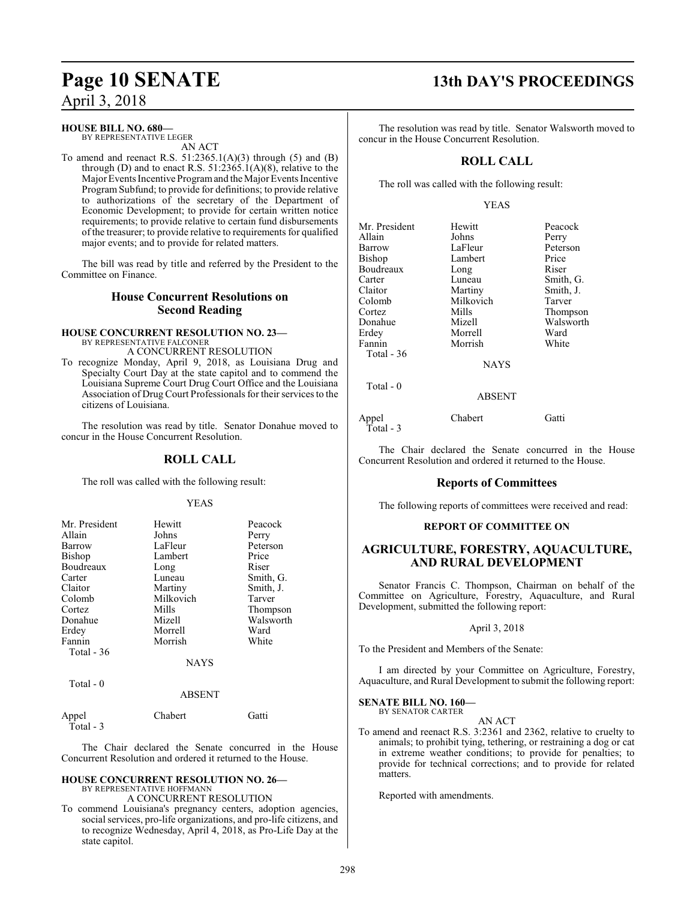### **HOUSE BILL NO. 680—**

BY REPRESENTATIVE LEGER AN ACT

To amend and reenact R.S.  $51:2365.1(A)(3)$  through (5) and (B) through (D) and to enact R.S.  $51:2365.1(A)(8)$ , relative to the Major Events Incentive Program and the Major Events Incentive Program Subfund; to provide for definitions; to provide relative to authorizations of the secretary of the Department of Economic Development; to provide for certain written notice requirements; to provide relative to certain fund disbursements of the treasurer; to provide relative to requirements for qualified major events; and to provide for related matters.

The bill was read by title and referred by the President to the Committee on Finance.

### **House Concurrent Resolutions on Second Reading**

#### **HOUSE CONCURRENT RESOLUTION NO. 23—** BY REPRESENTATIVE FALCONER

A CONCURRENT RESOLUTION

To recognize Monday, April 9, 2018, as Louisiana Drug and Specialty Court Day at the state capitol and to commend the Louisiana Supreme Court Drug Court Office and the Louisiana Association of Drug Court Professionals for their services to the citizens of Louisiana.

The resolution was read by title. Senator Donahue moved to concur in the House Concurrent Resolution.

### **ROLL CALL**

The roll was called with the following result:

#### YEAS

| Mr. President | Hewitt      | Peacock   |
|---------------|-------------|-----------|
| Allain        | Johns       | Perry     |
| Barrow        | LaFleur     | Peterson  |
| Bishop        | Lambert     | Price     |
| Boudreaux     | Long        | Riser     |
| Carter        | Luneau      | Smith, G. |
| Claitor       | Martiny     | Smith, J. |
| Colomb        | Milkovich   | Tarver    |
| Cortez        | Mills       | Thompson  |
| Donahue       | Mizell      | Walsworth |
| Erdey         | Morrell     | Ward      |
| Fannin        | Morrish     | White     |
| Total $-36$   |             |           |
|               | <b>NAYS</b> |           |
| Total - 0     |             |           |

#### ABSENT

| Appel     | Chabert | Gatti |
|-----------|---------|-------|
| Total - 3 |         |       |

The Chair declared the Senate concurred in the House Concurrent Resolution and ordered it returned to the House.

#### **HOUSE CONCURRENT RESOLUTION NO. 26—** BY REPRESENTATIVE HOFFMANN

A CONCURRENT RESOLUTION

To commend Louisiana's pregnancy centers, adoption agencies, social services, pro-life organizations, and pro-life citizens, and to recognize Wednesday, April 4, 2018, as Pro-Life Day at the state capitol.

# **Page 10 SENATE 13th DAY'S PROCEEDINGS**

The resolution was read by title. Senator Walsworth moved to concur in the House Concurrent Resolution.

### **ROLL CALL**

The roll was called with the following result:

#### YEAS

| Mr. President      | Hewitt        | Peacock   |
|--------------------|---------------|-----------|
| Allain             | Johns         | Perry     |
| Barrow             | LaFleur       | Peterson  |
| Bishop             | Lambert       | Price     |
| Boudreaux          | Long          | Riser     |
| Carter             | Luneau        | Smith, G. |
| Claitor            | Martiny       | Smith, J. |
| Colomb             | Milkovich     | Tarver    |
| Cortez             | Mills         | Thompson  |
| Donahue            | Mizell        | Walsworth |
| Erdev              | Morrell       | Ward      |
| Fannin             | Morrish       | White     |
| Total - 36         |               |           |
|                    | <b>NAYS</b>   |           |
| Total $-0$         |               |           |
|                    | <b>ABSENT</b> |           |
| Appel<br>Total - 3 | Chabert       | Gatti     |

The Chair declared the Senate concurred in the House Concurrent Resolution and ordered it returned to the House.

### **Reports of Committees**

The following reports of committees were received and read:

#### **REPORT OF COMMITTEE ON**

### **AGRICULTURE, FORESTRY, AQUACULTURE, AND RURAL DEVELOPMENT**

Senator Francis C. Thompson, Chairman on behalf of the Committee on Agriculture, Forestry, Aquaculture, and Rural Development, submitted the following report:

#### April 3, 2018

To the President and Members of the Senate:

I am directed by your Committee on Agriculture, Forestry, Aquaculture, and Rural Development to submit the following report:

#### **SENATE BILL NO. 160—** BY SENATOR CARTER

AN ACT

To amend and reenact R.S. 3:2361 and 2362, relative to cruelty to animals; to prohibit tying, tethering, or restraining a dog or cat in extreme weather conditions; to provide for penalties; to provide for technical corrections; and to provide for related matters.

Reported with amendments.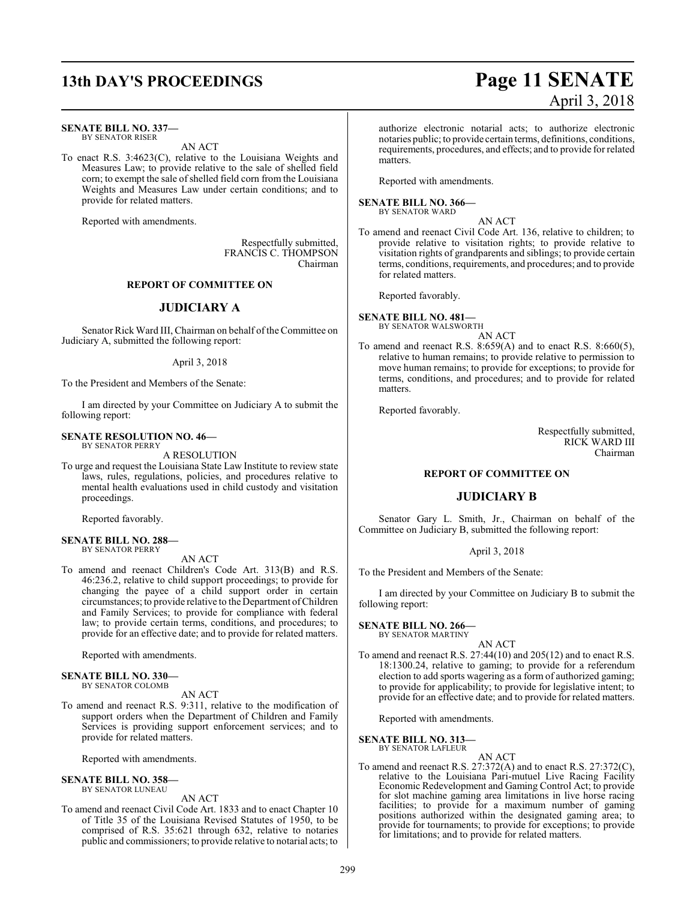# **13th DAY'S PROCEEDINGS Page 11 SENATE**

#### **SENATE BILL NO. 337—** BY SENATOR RISER

To enact R.S. 3:4623(C), relative to the Louisiana Weights and Measures Law; to provide relative to the sale of shelled field corn; to exempt the sale of shelled field corn from the Louisiana Weights and Measures Law under certain conditions; and to provide for related matters.

AN ACT

Reported with amendments.

Respectfully submitted, FRANCIS C. THOMPSON Chairman

#### **REPORT OF COMMITTEE ON**

#### **JUDICIARY A**

Senator Rick Ward III, Chairman on behalf of the Committee on Judiciary A, submitted the following report:

#### April 3, 2018

To the President and Members of the Senate:

I am directed by your Committee on Judiciary A to submit the following report:

#### **SENATE RESOLUTION NO. 46—**

BY SENATOR PERRY A RESOLUTION

To urge and request the Louisiana State Law Institute to review state laws, rules, regulations, policies, and procedures relative to mental health evaluations used in child custody and visitation proceedings.

Reported favorably.

#### **SENATE BILL NO. 288—** BY SENATOR PERRY

AN ACT

To amend and reenact Children's Code Art. 313(B) and R.S. 46:236.2, relative to child support proceedings; to provide for changing the payee of a child support order in certain circumstances; to provide relative to the Department ofChildren and Family Services; to provide for compliance with federal law; to provide certain terms, conditions, and procedures; to provide for an effective date; and to provide for related matters.

Reported with amendments.

#### **SENATE BILL NO. 330—**

BY SENATOR COLOMB

AN ACT

To amend and reenact R.S. 9:311, relative to the modification of support orders when the Department of Children and Family Services is providing support enforcement services; and to provide for related matters.

Reported with amendments.

#### **SENATE BILL NO. 358—** BY SENATOR LUNEAU

AN ACT

To amend and reenact Civil Code Art. 1833 and to enact Chapter 10 of Title 35 of the Louisiana Revised Statutes of 1950, to be comprised of R.S. 35:621 through 632, relative to notaries public and commissioners; to provide relative to notarial acts; to

# April 3, 2018

authorize electronic notarial acts; to authorize electronic notaries public; to provide certain terms, definitions, conditions, requirements, procedures, and effects; and to provide for related matters.

Reported with amendments.

#### **SENATE BILL NO. 366—**

BY SENATOR WARD

AN ACT To amend and reenact Civil Code Art. 136, relative to children; to provide relative to visitation rights; to provide relative to visitation rights of grandparents and siblings; to provide certain terms, conditions, requirements, and procedures; and to provide for related matters.

Reported favorably.

**SENATE BILL NO. 481—** BY SENATOR WALSWORTH

AN ACT

To amend and reenact R.S. 8:659(A) and to enact R.S. 8:660(5), relative to human remains; to provide relative to permission to move human remains; to provide for exceptions; to provide for terms, conditions, and procedures; and to provide for related matters.

Reported favorably.

Respectfully submitted, RICK WARD III Chairman

#### **REPORT OF COMMITTEE ON**

#### **JUDICIARY B**

Senator Gary L. Smith, Jr., Chairman on behalf of the Committee on Judiciary B, submitted the following report:

April 3, 2018

To the President and Members of the Senate:

I am directed by your Committee on Judiciary B to submit the following report:

#### **SENATE BILL NO. 266—** BY SENATOR MARTINY

AN ACT

To amend and reenact R.S. 27:44(10) and 205(12) and to enact R.S. 18:1300.24, relative to gaming; to provide for a referendum election to add sports wagering as a form of authorized gaming; to provide for applicability; to provide for legislative intent; to provide for an effective date; and to provide for related matters.

Reported with amendments.

#### **SENATE BILL NO. 313—**

- BY SENATOR LAFLEUR AN ACT
- To amend and reenact R.S. 27:372(A) and to enact R.S. 27:372(C), relative to the Louisiana Pari-mutuel Live Racing Facility Economic Redevelopment and Gaming Control Act; to provide for slot machine gaming area limitations in live horse racing facilities; to provide for a maximum number of gaming positions authorized within the designated gaming area; to provide for tournaments; to provide for exceptions; to provide for limitations; and to provide for related matters.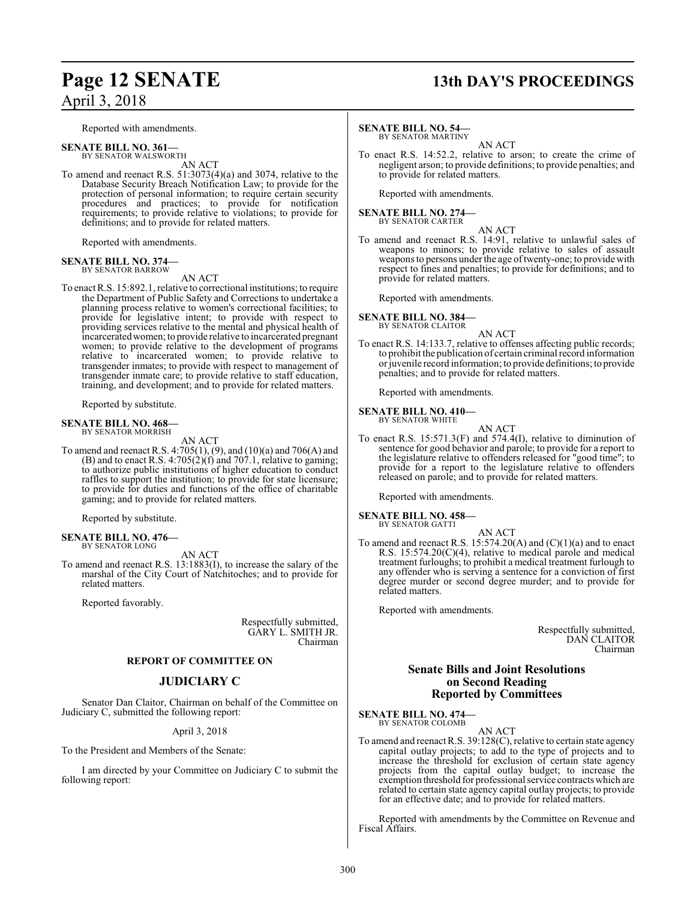Reported with amendments.

#### **SENATE BILL NO. 361—** BY SENATOR WALSWORTH

AN ACT

To amend and reenact R.S. 51:3073(4)(a) and 3074, relative to the Database Security Breach Notification Law; to provide for the protection of personal information; to require certain security procedures and practices; to provide for notification requirements; to provide relative to violations; to provide for definitions; and to provide for related matters.

Reported with amendments.

#### **SENATE BILL NO. 374—** BY SENATOR BARROW

AN ACT

To enact R.S. 15:892.1, relative to correctional institutions; to require the Department of Public Safety and Corrections to undertake a planning process relative to women's correctional facilities; to provide for legislative intent; to provide with respect to providing services relative to the mental and physical health of incarceratedwomen; to provide relative to incarcerated pregnant women; to provide relative to the development of programs relative to incarcerated women; to provide relative to transgender inmates; to provide with respect to management of transgender inmate care; to provide relative to staff education, training, and development; and to provide for related matters.

Reported by substitute.

#### **SENATE BILL NO. 468—** BY SENATOR MORRISH

AN ACT

To amend and reenact R.S. 4:705(1), (9), and (10)(a) and 706(A) and (B) and to enact R.S.  $4:705(2)(f)$  and  $707.1$ , relative to gaming; to authorize public institutions of higher education to conduct raffles to support the institution; to provide for state licensure; to provide for duties and functions of the office of charitable gaming; and to provide for related matters.

Reported by substitute.

#### **SENATE BILL NO. 476—** BY SENATOR LONG

AN ACT

To amend and reenact R.S. 13:1883(I), to increase the salary of the marshal of the City Court of Natchitoches; and to provide for related matters.

Reported favorably.

Respectfully submitted, GARY L. SMITH JR. Chairman

#### **REPORT OF COMMITTEE ON**

#### **JUDICIARY C**

Senator Dan Claitor, Chairman on behalf of the Committee on Judiciary C, submitted the following report:

#### April 3, 2018

To the President and Members of the Senate:

I am directed by your Committee on Judiciary C to submit the following report:

# **Page 12 SENATE 13th DAY'S PROCEEDINGS**

#### **SENATE BILL NO. 54—**

BY SENATOR MARTINY AN ACT

To enact R.S. 14:52.2, relative to arson; to create the crime of negligent arson; to provide definitions; to provide penalties; and to provide for related matters.

Reported with amendments.

**SENATE BILL NO. 274—** BY SENATOR CARTER

AN ACT

To amend and reenact R.S. 14:91, relative to unlawful sales of weapons to minors; to provide relative to sales of assault weapons to persons under the age oftwenty-one; to provide with respect to fines and penalties; to provide for definitions; and to provide for related matters.

Reported with amendments.

**SENATE BILL NO. 384—**

BY SENATOR CLAITOR

AN ACT

To enact R.S. 14:133.7, relative to offenses affecting public records; to prohibit the publication of certain criminal record information or juvenile record information; to provide definitions; to provide penalties; and to provide for related matters.

Reported with amendments.

#### **SENATE BILL NO. 410—** BY SENATOR WHITE

AN ACT

To enact R.S. 15:571.3(F) and 574.4(I), relative to diminution of sentence for good behavior and parole; to provide for a report to the legislature relative to offenders released for "good time"; to provide for a report to the legislature relative to offenders released on parole; and to provide for related matters.

Reported with amendments.

#### **SENATE BILL NO. 458—** BY SENATOR GATTI

- AN ACT
- To amend and reenact R.S. 15:574.20(A) and (C)(1)(a) and to enact R.S. 15:574.20(C)(4), relative to medical parole and medical treatment furloughs; to prohibit a medical treatment furlough to any offender who is serving a sentence for a conviction of first degree murder or second degree murder; and to provide for related matters.

Reported with amendments.

Respectfully submitted, DAN CLAITOR Chairman

#### **Senate Bills and Joint Resolutions on Second Reading Reported by Committees**

**SENATE BILL NO. 474—** BY SENATOR COLOMB

AN ACT

To amend and reenact R.S. 39:128(C), relative to certain state agency capital outlay projects; to add to the type of projects and to increase the threshold for exclusion of certain state agency projects from the capital outlay budget; to increase the exemption threshold for professional service contracts which are related to certain state agency capital outlay projects; to provide for an effective date; and to provide for related matters.

Reported with amendments by the Committee on Revenue and Fiscal Affairs.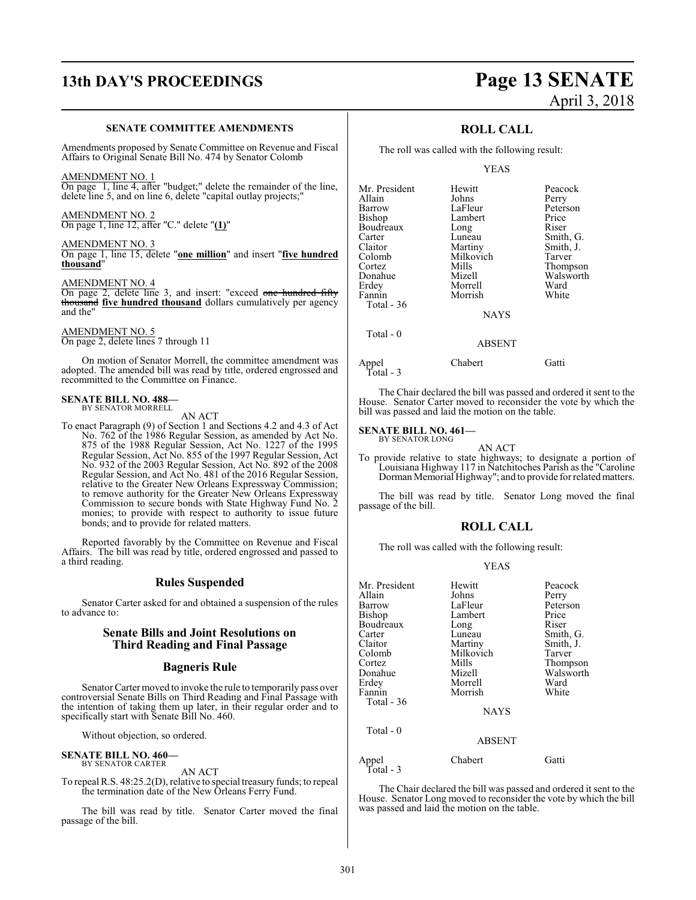# **13th DAY'S PROCEEDINGS Page 13 SENATE**

#### **SENATE COMMITTEE AMENDMENTS**

Amendments proposed by Senate Committee on Revenue and Fiscal Affairs to Original Senate Bill No. 474 by Senator Colomb

#### AMENDMENT NO. 1

On page 1, line 4, after "budget;" delete the remainder of the line, delete line 5, and on line 6, delete "capital outlay projects;"

#### AMENDMENT NO. 2

On page 1, line 12, after "C." delete "**(1)**"

#### AMENDMENT NO. 3

On page 1, line 15, delete "**one million**" and insert "**five hundred thousand**"

#### AMENDMENT NO. 4

On page 2, delete line 3, and insert: "exceed one hundred fifty thousand **five hundred thousand** dollars cumulatively per agency and the"

#### AMENDMENT NO. 5

On page 2, delete lines 7 through 11

On motion of Senator Morrell, the committee amendment was adopted. The amended bill was read by title, ordered engrossed and recommitted to the Committee on Finance.

#### **SENATE BILL NO. 488—** BY SENATOR MORRELL

AN ACT

To enact Paragraph (9) of Section 1 and Sections 4.2 and 4.3 of Act No. 762 of the 1986 Regular Session, as amended by Act No. 875 of the 1988 Regular Session, Act No. 1227 of the 1995 Regular Session, Act No. 855 of the 1997 Regular Session, Act No. 932 of the 2003 Regular Session, Act No. 892 of the 2008 Regular Session, and Act No. 481 of the 2016 Regular Session, relative to the Greater New Orleans Expressway Commission; to remove authority for the Greater New Orleans Expressway Commission to secure bonds with State Highway Fund No. 2 monies; to provide with respect to authority to issue future bonds; and to provide for related matters.

Reported favorably by the Committee on Revenue and Fiscal Affairs. The bill was read by title, ordered engrossed and passed to a third reading.

#### **Rules Suspended**

Senator Carter asked for and obtained a suspension of the rules to advance to:

#### **Senate Bills and Joint Resolutions on Third Reading and Final Passage**

#### **Bagneris Rule**

Senator Carter moved to invoke the rule to temporarily pass over controversial Senate Bills on Third Reading and Final Passage with the intention of taking them up later, in their regular order and to specifically start with Senate Bill No. 460.

Without objection, so ordered.

#### **SENATE BILL NO. 460—** BY SENATOR CARTER

AN ACT

To repeal R.S. 48:25.2(D), relative to special treasury funds; to repeal the termination date of the New Orleans Ferry Fund.

The bill was read by title. Senator Carter moved the final passage of the bill.

# April 3, 2018

### **ROLL CALL**

The roll was called with the following result:

#### YEAS

| Mr. President     | Hewitt      | Peacock   |
|-------------------|-------------|-----------|
| Allain            | Johns       | Perry     |
| Barrow            | LaFleur     | Peterson  |
| Bishop            | Lambert     | Price     |
| Boudreaux         | Long        | Riser     |
| Carter            | Luneau      | Smith, G. |
| Claitor           | Martiny     | Smith, J. |
| Colomb            | Milkovich   | Tarver    |
| Cortez            | Mills       | Thompson  |
| Donahue           | Mizell      | Walsworth |
| Erdey             | Morrell     | Ward      |
| Fannin            | Morrish     | White     |
| <b>Total - 36</b> |             |           |
|                   | <b>NAYS</b> |           |
| Total - 0         |             |           |
|                   | ABSENT      |           |

Appel Chabert Gatti Total - 3

The Chair declared the bill was passed and ordered it sent to the House. Senator Carter moved to reconsider the vote by which the bill was passed and laid the motion on the table.

#### **SENATE BILL NO. 461—**

BY SENATOR LONG AN ACT

To provide relative to state highways; to designate a portion of Louisiana Highway 117 in Natchitoches Parish as the "Caroline Dorman Memorial Highway"; and to provide for related matters.

The bill was read by title. Senator Long moved the final passage of the bill.

#### **ROLL CALL**

The roll was called with the following result:

#### YEAS

| Mr. President      | Hewitt        | Peacock   |
|--------------------|---------------|-----------|
| Allain             | Johns         | Perry     |
| Barrow             | LaFleur       | Peterson  |
| Bishop             | Lambert       | Price     |
| Boudreaux          | Long          | Riser     |
| Carter             | Luneau        | Smith, G. |
| Claitor            | Martiny       | Smith, J. |
| Colomb             | Milkovich     | Tarver    |
| Cortez             | Mills         | Thompson  |
| Donahue            | Mizell        | Walsworth |
| Erdey              | Morrell       | Ward      |
| Fannin             | Morrish       | White     |
| Total - 36         |               |           |
|                    | <b>NAYS</b>   |           |
| Total - 0          |               |           |
|                    | <b>ABSENT</b> |           |
| Appel<br>Total - 3 | Chabert       | Gatti     |

The Chair declared the bill was passed and ordered it sent to the House. Senator Long moved to reconsider the vote by which the bill was passed and laid the motion on the table.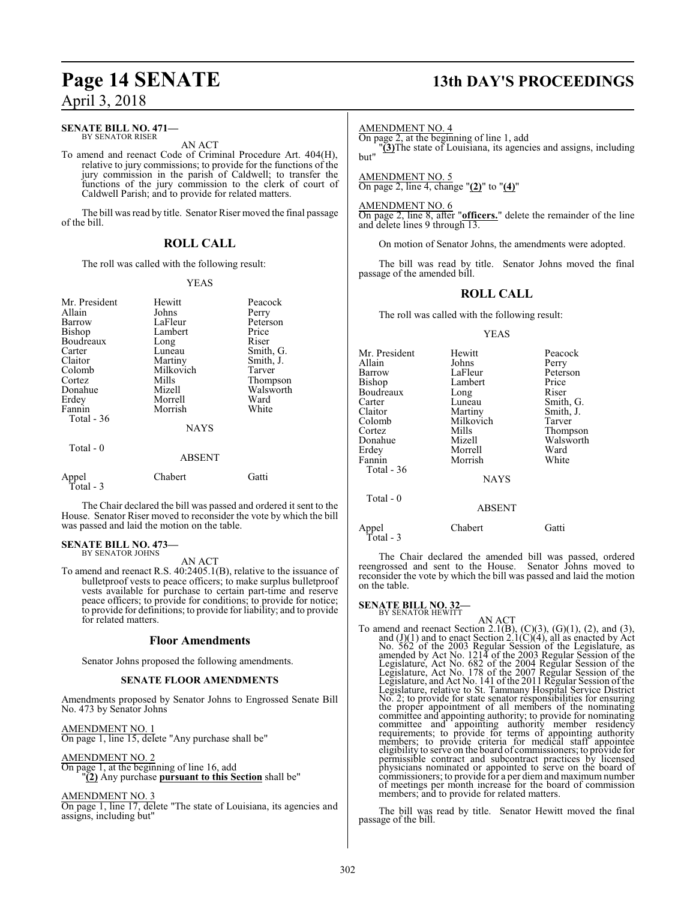#### **SENATE BILL NO. 471—** BY SENATOR RISER

AN ACT

To amend and reenact Code of Criminal Procedure Art. 404(H), relative to jury commissions; to provide for the functions of the jury commission in the parish of Caldwell; to transfer the functions of the jury commission to the clerk of court of Caldwell Parish; and to provide for related matters.

The bill was read by title. Senator Riser moved the final passage of the bill.

#### **ROLL CALL**

The roll was called with the following result:

#### YEAS

| Mr. President<br>Allain<br>Barrow<br>Bishop<br>Boudreaux<br>Carter<br>Claitor<br>Colomb<br>Cortez<br>Donahue<br>Erdey<br>Fannin<br>Total $-36$<br>Total $-0$ | Hewitt<br>Johns<br>LaFleur<br>Lambert<br>Long<br>Luneau<br>Martiny<br>Milkovich<br>Mills<br>Mizell<br>Morrell<br>Morrish<br><b>NAYS</b> | Peacock<br>Perry<br>Peterson<br>Price<br>Riser<br>Smith, G.<br>Smith, J.<br>Tarver<br>Thompson<br>Walsworth<br>Ward<br>White |
|--------------------------------------------------------------------------------------------------------------------------------------------------------------|-----------------------------------------------------------------------------------------------------------------------------------------|------------------------------------------------------------------------------------------------------------------------------|
|                                                                                                                                                              | <b>ABSENT</b>                                                                                                                           |                                                                                                                              |
| Appel<br>Total - 3                                                                                                                                           | Chabert                                                                                                                                 | Gatti)                                                                                                                       |

The Chair declared the bill was passed and ordered it sent to the House. Senator Riser moved to reconsider the vote by which the bill was passed and laid the motion on the table.

#### **SENATE BILL NO. 473—** BY SENATOR JOHNS

AN ACT

To amend and reenact R.S. 40:2405.1(B), relative to the issuance of bulletproof vests to peace officers; to make surplus bulletproof vests available for purchase to certain part-time and reserve peace officers; to provide for conditions; to provide for notice; to provide for definitions; to provide for liability; and to provide for related matters.

#### **Floor Amendments**

Senator Johns proposed the following amendments.

#### **SENATE FLOOR AMENDMENTS**

Amendments proposed by Senator Johns to Engrossed Senate Bill No. 473 by Senator Johns

AMENDMENT NO. 1 On page 1, line 15, delete "Any purchase shall be"

#### AMENDMENT NO. 2

On page 1, at the beginning of line 16, add "**(2)** Any purchase **pursuant to this Section** shall be"

AMENDMENT NO. 3

On page 1, line 17, delete "The state of Louisiana, its agencies and assigns, including but"

# **Page 14 SENATE 13th DAY'S PROCEEDINGS**

#### AMENDMENT NO. 4

On page 2, at the beginning of line 1, add

"**(3)**The state of Louisiana, its agencies and assigns, including but"

AMENDMENT NO. 5 On page 2, line 4, change "**(2)**" to "**(4)**"

AMENDMENT NO. 6 On page 2, line 8, after "**officers.**" delete the remainder of the line and delete lines 9 through 13.

On motion of Senator Johns, the amendments were adopted.

The bill was read by title. Senator Johns moved the final passage of the amended bill.

### **ROLL CALL**

The roll was called with the following result:

#### YEAS

| Mr. President | Hewitt      | Peacock   |
|---------------|-------------|-----------|
| Allain        | Johns       | Perry     |
| Barrow        | LaFleur     | Peterson  |
| Bishop        | Lambert     | Price     |
| Boudreaux     | Long        | Riser     |
| Carter        | Luneau      | Smith, G. |
| Claitor       | Martiny     | Smith, J. |
| Colomb        | Milkovich   | Tarver    |
| Cortez        | Mills       | Thompson  |
| Donahue       | Mizell      | Walsworth |
| Erdey         | Morrell     | Ward      |
| Fannin        | Morrish     | White     |
| Total - 36    |             |           |
|               | <b>NAYS</b> |           |
| Total - 0     |             |           |

Total - 3

Appel Chabert Gatti

The Chair declared the amended bill was passed, ordered reengrossed and sent to the House. Senator Johns moved to reconsider the vote by which the bill was passed and laid the motion on the table.

ABSENT

## **SENATE BILL NO. 32-**<br>BY SENATOR HEWITT

AN ACT<br>
To amend and reenact Section 2.1(B), (C)(3), (G)(1), (2), and (3),<br>
and (J)(1) and to enact Section 2.1(C)(4), all as enacted by Act<br>
No. 562 of the 2003 Regular Session of the Legislature, as<br>
amended by Act No. No. 2; to provide for state senator responsibilities for ensuring the proper appointment of all members of the nominating committee and appointing authority; to provide for nominating<br>committee and appointing authority member residency<br>requirements; to provide for terms of appointing authority<br>members; to provide criteria for medical staff ap commissioners; to provide for a per diemand maximumnumber of meetings per month increase for the board of commission members; and to provide for related matters.

The bill was read by title. Senator Hewitt moved the final passage of the bill.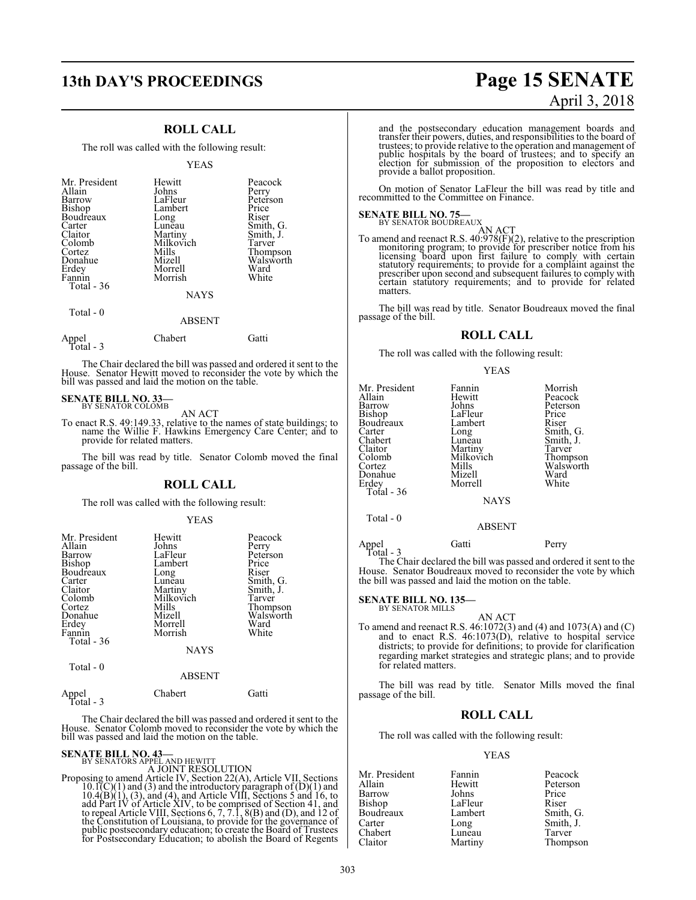#### **ROLL CALL**

The roll was called with the following result:

#### YEAS

| Mr. President<br>Allain<br>Barrow<br>Bishop<br>Boudreaux<br>Carter<br>Claitor<br>Colomb<br>Cortez<br>Donahue<br>Erdey<br>Fannin<br>Total - 36 | Hewitt<br>Johns<br>LaFleur<br>Lambert<br>Long<br>Luneau<br>Martiny<br>Milkovich<br>Mills<br>Mizell<br>Morrell<br>Morrish<br><b>NAYS</b> | Peacock<br>Perry<br>Peterson<br>Price<br>Riser<br>Smith, G.<br>Smith, J.<br>Tarver<br>Thompson<br>Walsworth<br>Ward<br>White |
|-----------------------------------------------------------------------------------------------------------------------------------------------|-----------------------------------------------------------------------------------------------------------------------------------------|------------------------------------------------------------------------------------------------------------------------------|
| Total - 0                                                                                                                                     |                                                                                                                                         |                                                                                                                              |

#### ABSENT

| Appel<br>Total - $3$ | Chabert | Gatti |
|----------------------|---------|-------|
|                      |         |       |

The Chair declared the bill was passed and ordered it sent to the House. Senator Hewitt moved to reconsider the vote by which the bill was passed and laid the motion on the table.

# **SENATE BILL NO. 33**-BY SENATOR COLOMB

AN ACT

To enact R.S. 49:149.33, relative to the names of state buildings; to name the Willie F. Hawkins Emergency Care Center; and to provide for related matters.

The bill was read by title. Senator Colomb moved the final passage of the bill.

#### **ROLL CALL**

The roll was called with the following result:

#### YEAS

| Mr. President | Hewitt      | Peacock   |
|---------------|-------------|-----------|
| Allain        | Johns       | Perry     |
| <b>Barrow</b> | LaFleur     | Peterson  |
| Bishop        | Lambert     | Price     |
| Boudreaux     | Long        | Riser     |
| Carter        | Lunĕau      | Smith, G. |
| Claitor       | Martiny     | Smith, J. |
| Colomb        | Milkovich   | Tarver    |
| Cortez        | Mills       | Thompson  |
| Donahue       | Mizell      | Walsworth |
| Erdey         | Morrell     | Ward      |
| Fannin        | Morrish     | White     |
| Total - 36    |             |           |
|               | <b>NAYS</b> |           |
| Total - 0     |             |           |
|               |             |           |

#### ABSENT

| Appel<br>Total - $3$ | Chabert | Gatti |
|----------------------|---------|-------|
|                      |         |       |

The Chair declared the bill was passed and ordered it sent to the House. Senator Colomb moved to reconsider the vote by which the bill was passed and laid the motion on the table.

**SENATE BILL NO. 43—**<br>BY SENATORS APELAND HEWITT<br>A JOINT RESOLUTION<br>Proposing to amend Article IV, Section 22(A), Article VII, Sections<br> $10.1(C)(1)$  and (3) and the introductory paragraph of (D)(1) and<br> $10.4(B)(1)$ , (3), and the Constitution of Louisiana, to provide for the governance of public postsecondary education; to create the Board of Trustees for Postsecondary Education; to abolish the Board of Regents

# **13th DAY'S PROCEEDINGS Page 15 SENATE** April 3, 2018

and the postsecondary education management boards and transfer their powers, duties, and responsibilities to the board of trustees; to provide relative to the operation and management of public hospitals by the board of trustees; and to specify an election for submission of the proposition to electors and provide a ballot proposition.

On motion of Senator LaFleur the bill was read by title and recommitted to the Committee on Finance.

## **SENATE BILL NO. 75—** BY SENATOR BOUDREAUX

AN ACT<br>To amend and reenact R.S. 40:978(F)(2), relative to the prescription<br>monitoring program; to provide for prescriber notice from his<br>licensing board upon first failure to comply with certain<br>statutory requirements; to matters.

The bill was read by title. Senator Boudreaux moved the final passage of the bill.

#### **ROLL CALL**

The roll was called with the following result:

YEAS

| Mr. President<br>Allain<br>Barrow<br>Bishop<br>Boudreaux<br>Carter<br>Chabert<br>Claitor<br>Colomb<br>Cortez<br>Donahue<br>Erdey<br>Total - 36 | Fannin<br>Hewitt<br>Johns<br>LaFleur<br>Lambert<br>Long<br>Luneau<br>Martiny<br>Milkovich<br>Mills<br>Mizell<br>Morrell<br><b>NAYS</b> | Morrish<br>Peacock<br>Peterson<br>Price<br>Riser<br>Smith, G.<br>Smith, J.<br>Tarver<br>Thompson<br>Walsworth<br>Ward<br>White |
|------------------------------------------------------------------------------------------------------------------------------------------------|----------------------------------------------------------------------------------------------------------------------------------------|--------------------------------------------------------------------------------------------------------------------------------|
|                                                                                                                                                |                                                                                                                                        |                                                                                                                                |

Total - 0

Appel Gatti Perry

 Total - 3 The Chair declared the bill was passed and ordered it sent to the House. Senator Boudreaux moved to reconsider the vote by which the bill was passed and laid the motion on the table.

ABSENT

#### **SENATE BILL NO. 135—** BY SENATOR MILLS

$$
AN ACT
$$

To amend and reenact R.S. 46:1072(3) and (4) and 1073(A) and (C) and to enact R.S. 46:1073(D), relative to hospital service districts; to provide for definitions; to provide for clarification regarding market strategies and strategic plans; and to provide for related matters.

The bill was read by title. Senator Mills moved the final passage of the bill.

#### **ROLL CALL**

The roll was called with the following result:

#### YEAS

|         | Peacock   |
|---------|-----------|
| Hewitt  | Peterson  |
| Johns   | Price     |
| LaFleur | Riser     |
| Lambert | Smith, G. |
| Long    | Smith, J. |
| Luneau  | Tarver    |
| Martiny | Thompson  |
|         | Fannin    |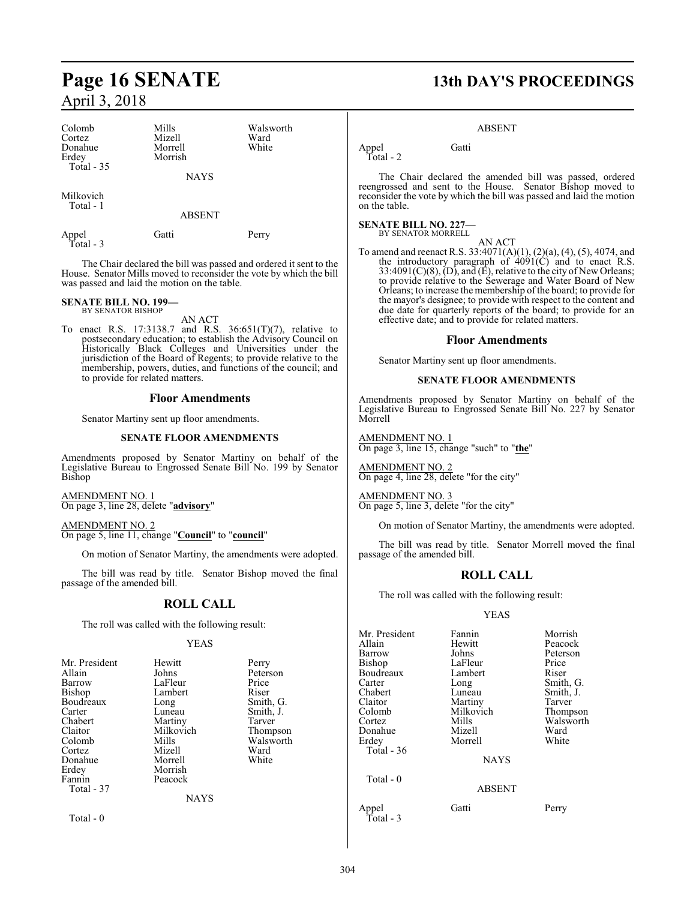| Colomb<br>Cortez<br>Donahue<br>Erdey<br>Total - 35 | Mills<br>Mizell<br>Morrell<br>Morrish<br><b>NAYS</b> | Walsworth<br>Ward<br>White |
|----------------------------------------------------|------------------------------------------------------|----------------------------|
| Milkovich<br>Total - 1                             | <b>ABSENT</b>                                        |                            |
| Appel<br>Total - 3                                 | Gatti                                                | Perry                      |

The Chair declared the bill was passed and ordered it sent to the House. Senator Mills moved to reconsider the vote by which the bill was passed and laid the motion on the table.

#### **SENATE BILL NO. 199—** BY SENATOR BISHOP

AN ACT

To enact R.S. 17:3138.7 and R.S. 36:651(T)(7), relative to postsecondary education; to establish the Advisory Council on Historically Black Colleges and Universities under the jurisdiction of the Board of Regents; to provide relative to the membership, powers, duties, and functions of the council; and to provide for related matters.

#### **Floor Amendments**

Senator Martiny sent up floor amendments.

#### **SENATE FLOOR AMENDMENTS**

Amendments proposed by Senator Martiny on behalf of the Legislative Bureau to Engrossed Senate Bill No. 199 by Senator Bishop

AMENDMENT NO. 1 On page 3, line 28, delete "**advisory**"

AMENDMENT NO. 2 On page 5, line 11, change "**Council**" to "**council**"

On motion of Senator Martiny, the amendments were adopted.

The bill was read by title. Senator Bishop moved the final passage of the amended bill.

#### **ROLL CALL**

The roll was called with the following result:

#### YEAS

| Mr. President | Hewitt      | Perry     |
|---------------|-------------|-----------|
| Allain        | Johns       | Peterson  |
| Barrow        | LaFleur     | Price     |
| Bishop        | Lambert     | Riser     |
| Boudreaux     |             |           |
|               | Long        | Smith, G. |
| Carter        | Luneau      | Smith, J. |
| Chabert       | Martiny     | Tarver    |
| Claitor       | Milkovich   | Thompson  |
| Colomb        | Mills       | Walsworth |
| Cortez        | Mizell      | Ward      |
| Donahue       | Morrell     | White     |
| Erdey         | Morrish     |           |
| Fannin        | Peacock     |           |
| Total - 37    |             |           |
|               | <b>NAYS</b> |           |
| Total - 0     |             |           |

# **Page 16 SENATE 13th DAY'S PROCEEDINGS**

#### ABSENT

Appel Gatti

Total - 2

The Chair declared the amended bill was passed, ordered reengrossed and sent to the House. Senator Bishop moved to reconsider the vote by which the bill was passed and laid the motion on the table.

#### **SENATE BILL NO. 227—**

BY SENATOR MORRELL AN ACT

To amend and reenact R.S. 33:4071(A)(1), (2)(a), (4), (5), 4074, and the introductory paragraph of 4091(C) and to enact R.S. 33:4091(C)(8), (D), and (E), relative to the city of New Orleans; to provide relative to the Sewerage and Water Board of New Orleans; to increase the membership ofthe board; to provide for the mayor's designee; to provide with respect to the content and due date for quarterly reports of the board; to provide for an effective date; and to provide for related matters.

#### **Floor Amendments**

Senator Martiny sent up floor amendments.

#### **SENATE FLOOR AMENDMENTS**

Amendments proposed by Senator Martiny on behalf of the Legislative Bureau to Engrossed Senate Bill No. 227 by Senator Morrell

AMENDMENT NO. 1 On page 3, line 15, change "such" to "**the**"

AMENDMENT NO. 2 On page 4, line 28, delete "for the city"

AMENDMENT NO. 3 On page 5, line 3, delete "for the city"

On motion of Senator Martiny, the amendments were adopted.

The bill was read by title. Senator Morrell moved the final passage of the amended bill.

#### **ROLL CALL**

The roll was called with the following result:

#### YEAS

| Mr. President<br>Allain<br>Barrow<br>Bishop<br>Boudreaux<br>Carter<br>Chabert<br>Claitor<br>Colomb<br>Cortez | Fannin<br>Hewitt<br>Johns<br>LaFleur<br>Lambert<br>Long<br>Luneau<br>Martiny<br>Milkovich<br>Mills | Morrish<br>Peacock<br>Peterson<br>Price<br>Riser<br>Smith, G.<br>Smith, J.<br>Tarver<br>Thompson<br>Walsworth |
|--------------------------------------------------------------------------------------------------------------|----------------------------------------------------------------------------------------------------|---------------------------------------------------------------------------------------------------------------|
| Donahue<br>Erdey<br>Total - 36                                                                               | Mizell<br>Morrell<br><b>NAYS</b>                                                                   | Ward<br>White                                                                                                 |
| Total - 0                                                                                                    | <b>ABSENT</b>                                                                                      |                                                                                                               |
| Appel                                                                                                        | Gatti                                                                                              | Perry                                                                                                         |

Total - 3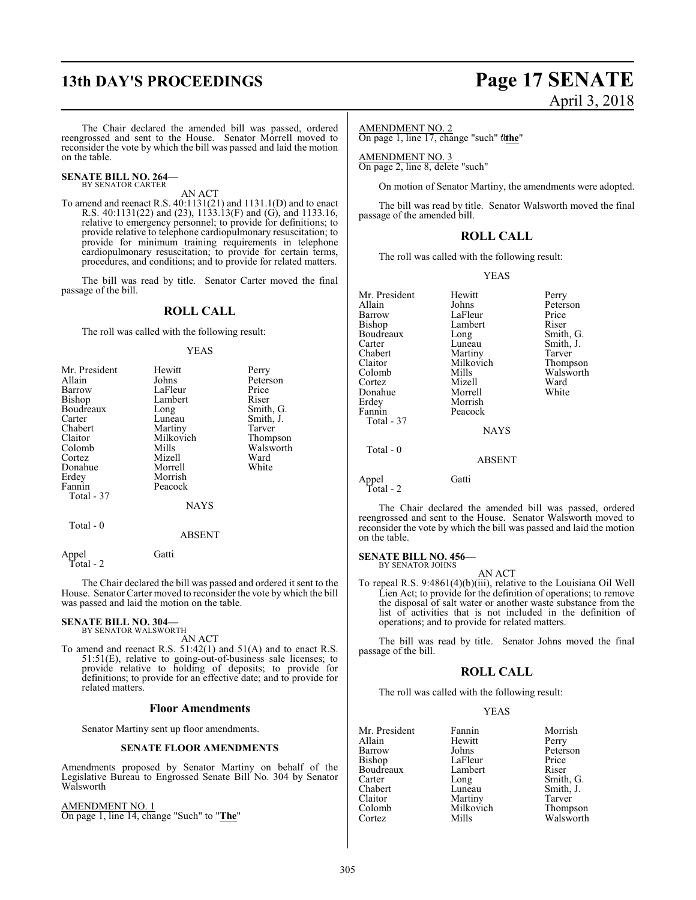# **13th DAY'S PROCEEDINGS Page 17 SENATE**

# April 3, 2018

The Chair declared the amended bill was passed, ordered reengrossed and sent to the House. Senator Morrell moved to reconsider the vote by which the bill was passed and laid the motion on the table.

#### **SENATE BILL NO. 264—** BY SENATOR CARTER

AN ACT

To amend and reenact R.S. 40:1131(21) and 1131.1(D) and to enact R.S. 40:1131(22) and (23), 1133.13(F) and (G), and 1133.16, relative to emergency personnel; to provide for definitions; to provide relative to telephone cardiopulmonary resuscitation; to provide for minimum training requirements in telephone cardiopulmonary resuscitation; to provide for certain terms, procedures, and conditions; and to provide for related matters.

The bill was read by title. Senator Carter moved the final passage of the bill.

#### **ROLL CALL**

The roll was called with the following result:

#### YEAS

| Mr. President | Hewitt      | Perry     |
|---------------|-------------|-----------|
| Allain        | Johns       | Peterson  |
| <b>Barrow</b> | LaFleur     | Price     |
| <b>Bishop</b> | Lambert     | Riser     |
| Boudreaux     | Long        | Smith, G. |
| Carter        | Luneau      | Smith, J. |
| Chabert       | Martiny     | Tarver    |
| Claitor       | Milkovich   | Thompson  |
| Colomb        | Mills       | Walsworth |
| Cortez        | Mizell      | Ward      |
| Donahue       | Morrell     | White     |
| Erdey         | Morrish     |           |
| Fannin        | Peacock     |           |
| Total - 37    |             |           |
|               | <b>NAYS</b> |           |
| Total $-0$    |             |           |
|               | ABSENT      |           |

Appel Gatti Total - 2

The Chair declared the bill was passed and ordered it sent to the House. Senator Carter moved to reconsider the vote by which the bill was passed and laid the motion on the table.

# **SENATE BILL NO. 304—** BY SENATOR WALSWORTH

AN ACT

To amend and reenact R.S. 51:42(1) and 51(A) and to enact R.S. 51:51(E), relative to going-out-of-business sale licenses; to provide relative to holding of deposits; to provide for definitions; to provide for an effective date; and to provide for related matters.

#### **Floor Amendments**

Senator Martiny sent up floor amendments.

#### **SENATE FLOOR AMENDMENTS**

Amendments proposed by Senator Martiny on behalf of the Legislative Bureau to Engrossed Senate Bill No. 304 by Senator Walsworth

AMENDMENT NO. 1 On page 1, line 14, change "Such" to "**The**"

#### AMENDMENT NO. 2

On page 1, line 17, change "such" the

AMENDMENT NO. 3 On page 2, line 8, delete "such"

On motion of Senator Martiny, the amendments were adopted.

The bill was read by title. Senator Walsworth moved the final passage of the amended bill.

#### **ROLL CALL**

The roll was called with the following result:

#### YEAS

Mr. President Hewitt Perry<br>Allain Johns Peter Allain Johns Peterson<br>Barrow LaFleur Price Barrow LaFleur Price<br>Bishop Lambert Riser Lambert Riser<br>
Long Smith, G. Boudreaux Long<br>Carter Luneau Carter Luneau Smith, J.<br>
Chabert Martiny Tarver Chabert Martiny Tarver<br>
Claitor Milkovich Thompson Claitor Milkovich<br>Colomb Mills Mills Walsworth<br>
Mizell Ward Cortez Mizell Ward Donahue<br>Erdev Morrish<br>Peacock Fannin Total - 37 **NAYS**  Total - 0 ABSENT Appel Gatti Total - 2

The Chair declared the amended bill was passed, ordered reengrossed and sent to the House. Senator Walsworth moved to reconsider the vote by which the bill was passed and laid the motion on the table.

#### **SENATE BILL NO. 456—**

BY SENATOR JOHNS AN ACT

To repeal R.S. 9:4861(4)(b)(iii), relative to the Louisiana Oil Well Lien Act; to provide for the definition of operations; to remove the disposal of salt water or another waste substance from the list of activities that is not included in the definition of operations; and to provide for related matters.

The bill was read by title. Senator Johns moved the final passage of the bill.

#### **ROLL CALL**

The roll was called with the following result:

#### YEAS

Mr. President Fannin Morrish<br>Allain Hewitt Perry Allain Hewit<br>Barrow Johns Barrow Johns Peterson<br>Bishop LaFleur Price LaFleur Price<br>Lambert Riser Boudreaux Lamb<br>Carter Long Carter Long Smith, G.<br>
Chabert Luneau Smith, J. Chabert Luneau Smith, J. Claitor Martiny<br>Colomb Milkovich Colomb Milkovich Thompson<br>Cortez Mills Walsworth

Walsworth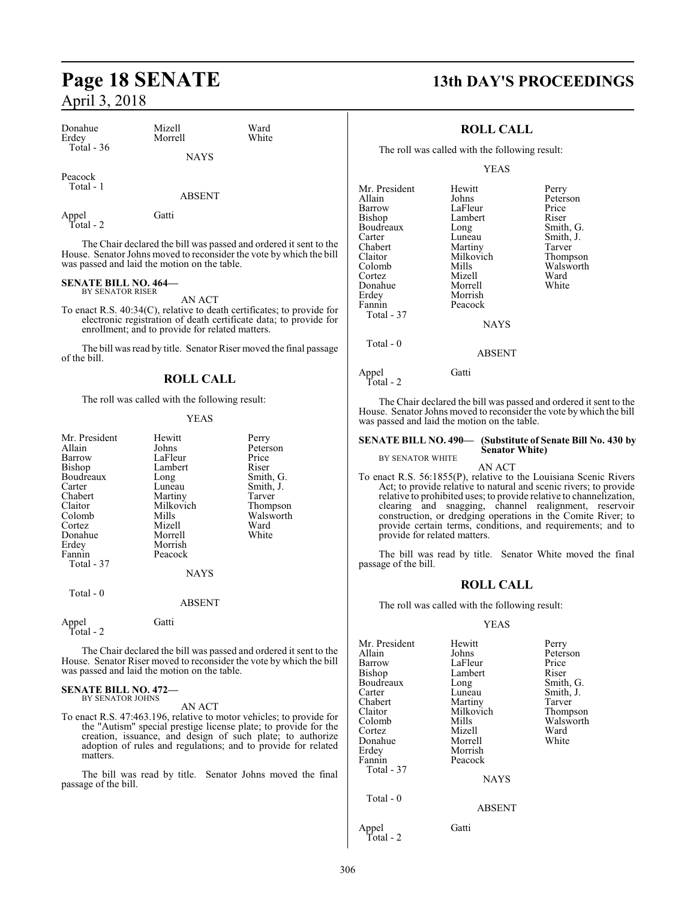| $1$ April $9$ , $4010$         |                                  |               |                       |
|--------------------------------|----------------------------------|---------------|-----------------------|
| Donahue<br>Erdey<br>Total - 36 | Mizell<br>Morrell<br><b>NAYS</b> | Ward<br>White | ٣                     |
| Peacock<br>Total - 1           | <b>ABSENT</b>                    |               | Mr. P<br>Allain       |
| Appel                          | Gatti                            |               | Barro<br><b>Bishc</b> |

Total - 2

The Chair declared the bill was passed and ordered it sent to the House. Senator Johns moved to reconsider the vote by which the bill was passed and laid the motion on the table.

# **SENATE BILL NO. 464—** BY SENATOR RISER

AN ACT

To enact R.S. 40:34(C), relative to death certificates; to provide for electronic registration of death certificate data; to provide for enrollment; and to provide for related matters.

The bill was read by title. Senator Riser moved the final passage of the bill.

#### **ROLL CALL**

The roll was called with the following result:

#### YEAS

| Mr. President<br>Allain<br>Barrow<br>Bishop<br>Boudreaux<br>Carter<br>Chabert<br>Claitor<br>Colomb<br>Cortez<br>Donahue<br>Erdey<br>Fannin<br>Total - 37 | Hewitt<br>Johns<br>LaFleur<br>Lambert<br>Long<br>Luneau<br>Martiny<br>Milkovich<br>Mills<br>Mizell<br>Morrell<br>Morrish<br>Peacock<br><b>NAYS</b> | Perry<br>Peterson<br>Price<br>Riser<br>Smith, G.<br>Smith, J.<br>Tarver<br>Thompson<br>Walsworth<br>Ward<br>White |
|----------------------------------------------------------------------------------------------------------------------------------------------------------|----------------------------------------------------------------------------------------------------------------------------------------------------|-------------------------------------------------------------------------------------------------------------------|
| Total - 0                                                                                                                                                | <b>ABSENT</b>                                                                                                                                      |                                                                                                                   |
| Appel<br>Total - 2                                                                                                                                       | Gatti                                                                                                                                              |                                                                                                                   |

The Chair declared the bill was passed and ordered it sent to the House. Senator Riser moved to reconsider the vote by which the bill was passed and laid the motion on the table.

#### **SENATE BILL NO. 472—** BY SENATOR JOHNS

AN ACT

To enact R.S. 47:463.196, relative to motor vehicles; to provide for the "Autism" special prestige license plate; to provide for the creation, issuance, and design of such plate; to authorize adoption of rules and regulations; and to provide for related matters.

The bill was read by title. Senator Johns moved the final passage of the bill.

# **Page 18 SENATE 13th DAY'S PROCEEDINGS**

#### **ROLL CALL**

The roll was called with the following result:

YEAS

| Mr. President | Hewitt        | Perry     |
|---------------|---------------|-----------|
| Allain        | Johns         | Peterson  |
| Barrow        | LaFleur       | Price     |
| Bishop        | Lambert       | Riser     |
| Boudreaux     | Long          | Smith, G. |
| Carter        | Luneau        | Smith, J. |
| Chabert       | Martiny       | Tarver    |
| Claitor       | Milkovich     | Thompson  |
| Colomb        | Mills         | Walsworth |
| Cortez        | Mizell        | Ward      |
| Donahue       | Morrell       | White     |
| Erdey         | Morrish       |           |
| Fannin        | Peacock       |           |
| Total - 37    |               |           |
|               | <b>NAYS</b>   |           |
| Total - 0     |               |           |
|               | <b>ABSENT</b> |           |

The Chair declared the bill was passed and ordered it sent to the House. Senator Johns moved to reconsider the vote by which the bill was passed and laid the motion on the table.

#### **SENATE BILL NO. 490— (Substitute of Senate Bill No. 430 by Senator White)**

BY SENATOR WHITE

Appel Gatti

Total - 2

AN ACT To enact R.S. 56:1855(P), relative to the Louisiana Scenic Rivers Act; to provide relative to natural and scenic rivers; to provide relative to prohibited uses; to provide relative to channelization, clearing and snagging, channel realignment, reservoir construction, or dredging operations in the Comite River; to provide certain terms, conditions, and requirements; and to provide for related matters.

The bill was read by title. Senator White moved the final passage of the bill.

#### **ROLL CALL**

The roll was called with the following result:

#### YEAS

| Mr. President | Hewitt        | Perry     |
|---------------|---------------|-----------|
| Allain        | Johns         | Peterson  |
| Barrow        | LaFleur       | Price     |
| Bishop        | Lambert       | Riser     |
| Boudreaux     | Long          | Smith, G. |
| Carter        | Luneau        | Smith, J. |
| Chabert       | Martiny       | Tarver    |
| Claitor       | Milkovich     | Thompson  |
| Colomb        | Mills         | Walsworth |
| Cortez        | Mizell        | Ward      |
| Donahue       | Morrell       | White     |
| Erdev         | Morrish       |           |
| Fannin        | Peacock       |           |
| Total - 37    |               |           |
|               | <b>NAYS</b>   |           |
|               |               |           |
| Total - 0     |               |           |
|               | <b>ABSENT</b> |           |
| Appel         | Gatti         |           |
| Total - 2     |               |           |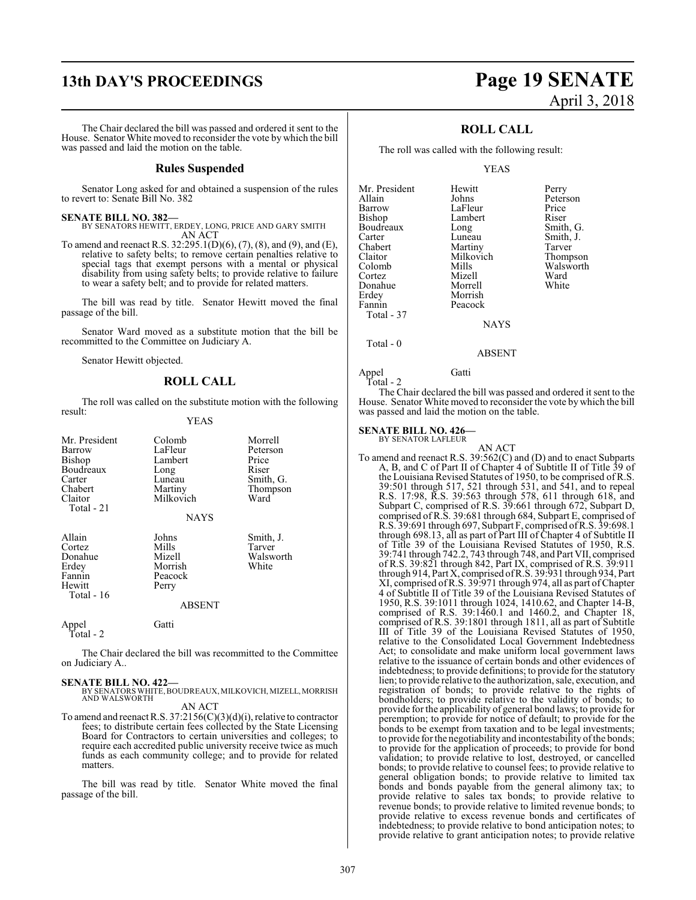# **13th DAY'S PROCEEDINGS Page 19 SENATE**

The Chair declared the bill was passed and ordered it sent to the House. Senator White moved to reconsider the vote by which the bill was passed and laid the motion on the table.

#### **Rules Suspended**

Senator Long asked for and obtained a suspension of the rules to revert to: Senate Bill No. 382

#### **SENATE BILL NO. 382—**

BY SENATORS HEWITT, ERDEY, LONG, PRICE AND GARY SMITH AN ACT

To amend and reenact R.S. 32:295.1(D)(6), (7), (8), and (9), and (E), relative to safety belts; to remove certain penalties relative to special tags that exempt persons with a mental or physical disability from using safety belts; to provide relative to failure to wear a safety belt; and to provide for related matters.

The bill was read by title. Senator Hewitt moved the final passage of the bill.

Senator Ward moved as a substitute motion that the bill be recommitted to the Committee on Judiciary A.

Senator Hewitt objected.

#### **ROLL CALL**

The roll was called on the substitute motion with the following result:

#### YEAS

| Mr. President<br>Barrow<br><b>Bishop</b><br>Boudreaux<br>Carter<br>Chabert<br>Claitor<br>Total - 21 | Colomb<br>LaFleur<br>Lambert<br>Long<br>Luneau<br>Martiny<br>Milkovich<br><b>NAYS</b> | Morrell<br>Peterson<br>Price<br>Riser<br>Smith, G.<br>Thompson<br>Ward |
|-----------------------------------------------------------------------------------------------------|---------------------------------------------------------------------------------------|------------------------------------------------------------------------|
| Allain<br>Cortez<br>Donahue<br>Erdey<br>Fannin<br>Hewitt<br>Total - $16$                            | Johns<br>Mills<br>Mizell<br>Morrish<br>Peacock<br>Perry<br><b>ABSENT</b>              | Smith, J.<br>Tarver<br>Walsworth<br>White                              |
| Appel<br>Total - 2                                                                                  | Gatti                                                                                 |                                                                        |

The Chair declared the bill was recommitted to the Committee on Judiciary A..

**SENATE BILL NO. 422—** BY SENATORS WHITE,BOUDREAUX, MILKOVICH, MIZELL, MORRISH AND WALSWORTH

AN ACT

To amend and reenact R.S. 37:2156(C)(3)(d)(i), relative to contractor fees; to distribute certain fees collected by the State Licensing Board for Contractors to certain universities and colleges; to require each accredited public university receive twice as much funds as each community college; and to provide for related matters.

The bill was read by title. Senator White moved the final passage of the bill.

# April 3, 2018

#### **ROLL CALL**

The roll was called with the following result:

#### YEAS

| Mr. President | Hewitt      | Perry     |
|---------------|-------------|-----------|
| Allain        | Johns       | Peterson  |
| Barrow        | LaFleur     | Price     |
| Bishop        | Lambert     | Riser     |
| Boudreaux     | Long        | Smith, G. |
| Carter        | Luneau      | Smith, J. |
| Chabert       | Martiny     | Tarver    |
| Claitor       | Milkovich   | Thompson  |
| Colomb        | Mills       | Walsworth |
| Cortez        | Mizell      | Ward      |
| Donahue       | Morrell     | White     |
| Erdey         | Morrish     |           |
| Fannin        | Peacock     |           |
| Total - 37    |             |           |
|               | <b>NAYS</b> |           |

Total - 0

Appel Gatti Total - 2

The Chair declared the bill was passed and ordered it sent to the House. Senator White moved to reconsider the vote by which the bill was passed and laid the motion on the table.

ABSENT

#### **SENATE BILL NO. 426—**

BY SENATOR LAFLEUR

AN ACT To amend and reenact R.S. 39:562(C) and (D) and to enact Subparts A, B, and C of Part II of Chapter 4 of Subtitle II of Title 39 of the Louisiana Revised Statutes of 1950, to be comprised of R.S. 39:501 through 517, 521 through 531, and 541, and to repeal R.S. 17:98, R.S. 39:563 through 578, 611 through 618, and Subpart C, comprised of R.S. 39:661 through 672, Subpart D, comprised of R.S. 39:681 through 684, Subpart E, comprised of R.S. 39:691 through 697, Subpart F, comprised ofR.S. 39:698.1 through 698.13, all as part of Part III of Chapter 4 of Subtitle II of Title 39 of the Louisiana Revised Statutes of 1950, R.S. 39:741 through 742.2, 743 through 748, and Part VII, comprised of R.S. 39:821 through 842, Part IX, comprised of R.S. 39:911 through 914, Part X, comprised ofR.S. 39:931 through 934, Part XI, comprised ofR.S. 39:971 through 974, all as part ofChapter 4 of Subtitle II of Title 39 of the Louisiana Revised Statutes of 1950, R.S. 39:1011 through 1024, 1410.62, and Chapter 14-B, comprised of R.S. 39:1460.1 and 1460.2, and Chapter 18, comprised of R.S. 39:1801 through 1811, all as part of Subtitle III of Title 39 of the Louisiana Revised Statutes of 1950, relative to the Consolidated Local Government Indebtedness Act; to consolidate and make uniform local government laws relative to the issuance of certain bonds and other evidences of indebtedness; to provide definitions; to provide for the statutory lien; to provide relative to the authorization, sale, execution, and registration of bonds; to provide relative to the rights of bondholders; to provide relative to the validity of bonds; to provide for the applicability of general bond laws; to provide for peremption; to provide for notice of default; to provide for the bonds to be exempt from taxation and to be legal investments; to provide for the negotiability and incontestability of the bonds; to provide for the application of proceeds; to provide for bond validation; to provide relative to lost, destroyed, or cancelled bonds; to provide relative to counsel fees; to provide relative to general obligation bonds; to provide relative to limited tax bonds and bonds payable from the general alimony tax; to provide relative to sales tax bonds; to provide relative to revenue bonds; to provide relative to limited revenue bonds; to provide relative to excess revenue bonds and certificates of indebtedness; to provide relative to bond anticipation notes; to provide relative to grant anticipation notes; to provide relative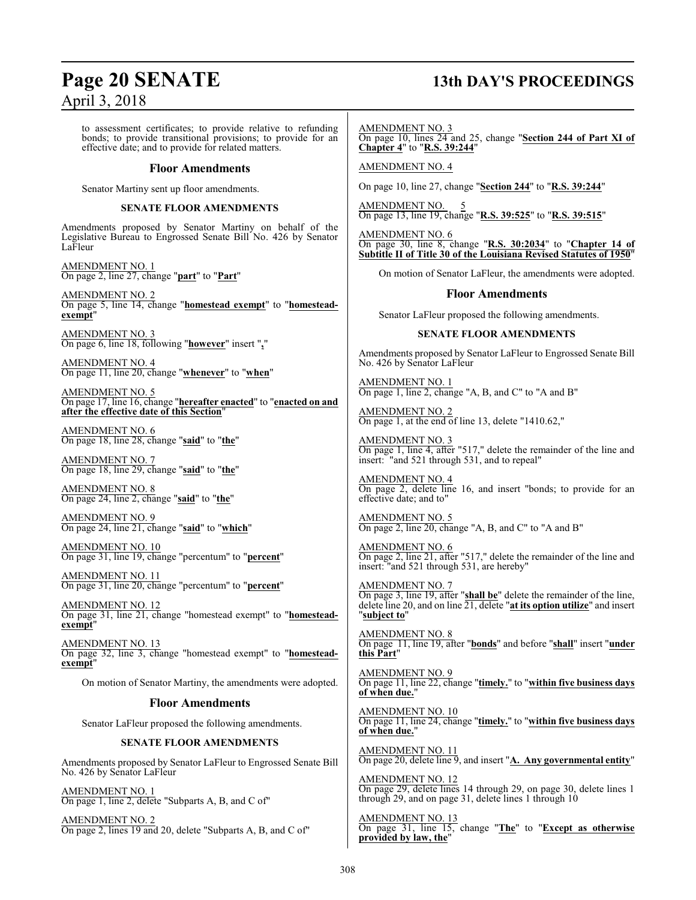# **Page 20 SENATE 13th DAY'S PROCEEDINGS**

to assessment certificates; to provide relative to refunding bonds; to provide transitional provisions; to provide for an effective date; and to provide for related matters.

#### **Floor Amendments**

Senator Martiny sent up floor amendments.

#### **SENATE FLOOR AMENDMENTS**

Amendments proposed by Senator Martiny on behalf of the Legislative Bureau to Engrossed Senate Bill No. 426 by Senator LaFleur

AMENDMENT NO. 1 On page 2, line 27, change "**part**" to "**Part**"

AMENDMENT NO. 2 On page 5, line 14, change "**homestead exempt**" to "**homesteadexempt**"

AMENDMENT NO. 3 On page 6, line 18, following "**however**" insert "**,**"

AMENDMENT NO. 4 On page 11, line 20, change "**whenever**" to "**when**"

AMENDMENT NO. 5 On page 17, line 16, change "**hereafter enacted**" to "**enacted on and after the effective date of this Section**"

AMENDMENT NO. 6 On page 18, line 28, change "**said**" to "**the**"

AMENDMENT NO. 7 On page 18, line 29, change "**said**" to "**the**"

AMENDMENT NO. 8 On page 24, line 2, change "**said**" to "**the**"

AMENDMENT NO. 9 On page 24, line 21, change "**said**" to "**which**"

AMENDMENT NO. 10 On page 31, line 19, change "percentum" to "**percent**"

AMENDMENT NO. 11 On page 31, line 20, change "percentum" to "**percent**"

AMENDMENT NO. 12 On page 31, line 21, change "homestead exempt" to "**homesteadexempt**"

AMENDMENT NO. 13 On page 32, line 3, change "homestead exempt" to "**homesteadexempt**"

On motion of Senator Martiny, the amendments were adopted.

#### **Floor Amendments**

Senator LaFleur proposed the following amendments.

#### **SENATE FLOOR AMENDMENTS**

Amendments proposed by Senator LaFleur to Engrossed Senate Bill No. 426 by Senator LaFleur

AMENDMENT NO. 1 On page 1, line 2, delete "Subparts A, B, and C of"

AMENDMENT NO. 2 On page 2, lines 19 and 20, delete "Subparts A, B, and C of" AMENDMENT NO. 3

On page 10, lines 24 and 25, change "**Section 244 of Part XI of Chapter 4**" to "**R.S. 39:244**"

AMENDMENT NO. 4

On page 10, line 27, change "**Section 244**" to "**R.S. 39:244**"

AMENDMENT NO. 5 On page 13, line 19, change "**R.S. 39:525**" to "**R.S. 39:515**"

AMENDMENT NO. 6 On page 30, line 8, change "**R.S. 30:2034**" to "**Chapter 14 of Subtitle II of Title 30 of the Louisiana Revised Statutes of 1950**"

On motion of Senator LaFleur, the amendments were adopted.

#### **Floor Amendments**

Senator LaFleur proposed the following amendments.

#### **SENATE FLOOR AMENDMENTS**

Amendments proposed by Senator LaFleur to Engrossed Senate Bill No. 426 by Senator LaFleur

AMENDMENT NO. 1 On page 1, line 2, change "A, B, and C" to "A and B"

AMENDMENT NO. 2 On page 1, at the end of line 13, delete "1410.62,"

AMENDMENT NO. 3 On page 1, line 4, after "517," delete the remainder of the line and insert: "and 521 through 531, and to repeal"

AMENDMENT NO. 4 On page 2, delete line 16, and insert "bonds; to provide for an effective date; and to"

AMENDMENT NO. 5 On page 2, line 20, change "A, B, and C" to "A and B"

AMENDMENT NO. 6 On page 2, line 21, after "517," delete the remainder of the line and insert: "and 521 through 531, are hereby"

AMENDMENT NO. 7 On page 3, line 19, after "**shall be**" delete the remainder of the line, delete line 20, and on line 21, delete "**at its option utilize**" and insert "**subject to**"

AMENDMENT NO. 8 On page 11, line 19, after "**bonds**" and before "**shall**" insert "**under this Part**"

AMENDMENT NO. 9 On page 11, line 22, change "**timely.**" to "**within five business days of when due.**"

AMENDMENT NO. 10 On page 11, line 24, change "**timely.**" to "**within five business days of when due.**"

AMENDMENT NO. 11 On page 20, delete line 9, and insert "**A. Any governmental entity**"

AMENDMENT NO. 12 On page 29, delete lines 14 through 29, on page 30, delete lines 1 through 29, and on page 31, delete lines 1 through 10

AMENDMENT NO. 13 On page 31, line 15, change "**The**" to "**Except as otherwise provided by law, the**"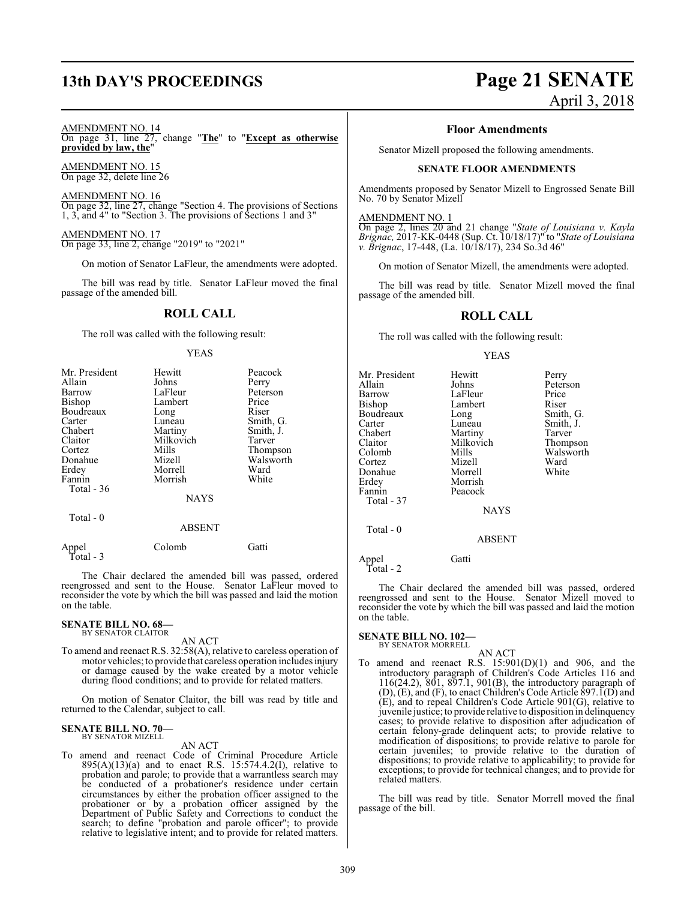# **13th DAY'S PROCEEDINGS Page 21 SENATE**

#### AMENDMENT NO. 14

On page 31, line 27, change "**The**" to "**Except as otherwise provided by law, the**"

AMENDMENT NO. 15 On page 32, delete line 26

AMENDMENT NO. 16 On page 32, line 27, change "Section 4. The provisions of Sections 1, 3, and 4" to "Section 3. The provisions of Sections 1 and 3"

AMENDMENT NO. 17 On page 33, line 2, change "2019" to "2021"

On motion of Senator LaFleur, the amendments were adopted.

The bill was read by title. Senator LaFleur moved the final passage of the amended bill.

### **ROLL CALL**

The roll was called with the following result:

#### YEAS

| Mr. President<br>Allain<br>Barrow<br><b>Bishop</b><br>Boudreaux<br>Carter<br>Chabert<br>Claitor<br>Cortez<br>Donahue<br>Erdey<br>Fannin<br>Total - 36 | Hewitt<br>Johns<br>LaFleur<br>Lambert<br>Long<br>Luneau<br>Martiny<br>Milkovich<br>Mills<br>Mizell<br>Morrell<br>Morrish<br><b>NAYS</b> | Peacock<br>Perry<br>Peterson<br>Price<br>Riser<br>Smith, G.<br>Smith, J.<br>Tarver<br>Thompson<br>Walsworth<br>Ward<br>White |
|-------------------------------------------------------------------------------------------------------------------------------------------------------|-----------------------------------------------------------------------------------------------------------------------------------------|------------------------------------------------------------------------------------------------------------------------------|
| Total - 0                                                                                                                                             | ABSENT                                                                                                                                  |                                                                                                                              |
| Appel                                                                                                                                                 | Colomb                                                                                                                                  | ( <del>ì</del> attı                                                                                                          |

 Total - 3 The Chair declared the amended bill was passed, ordered reengrossed and sent to the House. Senator LaFleur moved to reconsider the vote by which the bill was passed and laid the motion

# **SENATE BILL NO. 68—** BY SENATOR CLAITOR

on the table.

AN ACT

To amend and reenact R.S. 32:58(A), relative to careless operation of motor vehicles; to provide that careless operation includes injury or damage caused by the wake created by a motor vehicle during flood conditions; and to provide for related matters.

On motion of Senator Claitor, the bill was read by title and returned to the Calendar, subject to call.

#### **SENATE BILL NO. 70—** BY SENATOR MIZELL

AN ACT

To amend and reenact Code of Criminal Procedure Article  $895(A)(13)(a)$  and to enact R.S. 15:574.4.2(I), relative to probation and parole; to provide that a warrantless search may be conducted of a probationer's residence under certain circumstances by either the probation officer assigned to the probationer or by a probation officer assigned by the Department of Public Safety and Corrections to conduct the search; to define "probation and parole officer"; to provide relative to legislative intent; and to provide for related matters.

# April 3, 2018

#### **Floor Amendments**

Senator Mizell proposed the following amendments.

#### **SENATE FLOOR AMENDMENTS**

Amendments proposed by Senator Mizell to Engrossed Senate Bill No. 70 by Senator Mizell

#### AMENDMENT NO. 1

On page 2, lines 20 and 21 change "*State of Louisiana v. Kayla Brignac,* 2017-KK-0448 (Sup. Ct. 10/18/17)" to "*State of Louisiana v. Brignac*, 17-448, (La. 10/18/17), 234 So.3d 46"

On motion of Senator Mizell, the amendments were adopted.

The bill was read by title. Senator Mizell moved the final passage of the amended bill.

#### **ROLL CALL**

The roll was called with the following result:

#### YEAS

| Mr. President | Hewitt        | Perry     |
|---------------|---------------|-----------|
| Allain        | Johns         | Peterson  |
| Barrow        | LaFleur       | Price     |
| Bishop        | Lambert       | Riser     |
| Boudreaux     | Long          | Smith, G  |
| Carter        | Luneau        | Smith, J. |
| Chabert       | Martiny       | Tarver    |
| Claitor       | Milkovich     | Thompso   |
| Colomb        | Mills         | Walswor   |
| Cortez        | Mizell        | Ward      |
| Donahue       | Morrell       | White     |
| Erdey         | Morrish       |           |
| Fannin        | Peacock       |           |
| Total - 37    |               |           |
|               | <b>NAYS</b>   |           |
| Total $-0$    |               |           |
|               | <b>ABSENT</b> |           |
| Appel         | Gatti         |           |

Smith, G. Execution Smith, J.<br>
Exercise Smith, J.<br>
Tarver covich Thompson s Walsworth<br>ell Ward

Total - 2

The Chair declared the amended bill was passed, ordered reengrossed and sent to the House. Senator Mizell moved to reconsider the vote by which the bill was passed and laid the motion on the table.

# **SENATE BILL NO. 102—** BY SENATOR MORRELL

AN ACT

To amend and reenact R.S.  $15:901(D)(1)$  and 906, and the introductory paragraph of Children's Code Articles 116 and 116(24.2), 801, 897.1, 901(B), the introductory paragraph of (D), (E), and (F), to enact Children's Code Article 897.1(D) and (E), and to repeal Children's Code Article 901(G), relative to juvenile justice; to provide relative to disposition in delinquency cases; to provide relative to disposition after adjudication of certain felony-grade delinquent acts; to provide relative to modification of dispositions; to provide relative to parole for certain juveniles; to provide relative to the duration of dispositions; to provide relative to applicability; to provide for exceptions; to provide for technical changes; and to provide for related matters.

The bill was read by title. Senator Morrell moved the final passage of the bill.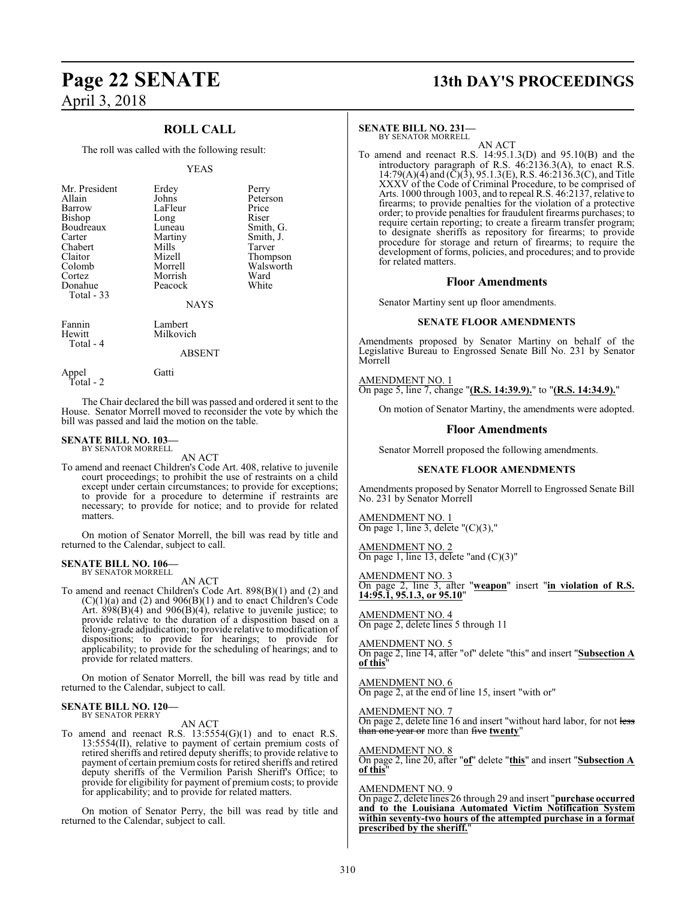# **Page 22 SENATE 13th DAY'S PROCEEDINGS** April 3, 2018

### **ROLL CALL**

The roll was called with the following result:

#### YEAS

| Mr. President<br>Allain<br>Barrow<br><b>Bishop</b><br>Boudreaux<br>Carter<br>Chabert<br>Claitor<br>Colomb<br>Cortez | Erdey<br>Johns<br>LaFleur<br>Long<br>Luneau<br>Martiny<br>Mills<br>Mizell<br>Morrell<br>Morrish | Perry<br>Peterson<br>Price<br>Riser<br>Smith, G.<br>Smith, J.<br>Tarver<br>Thompson<br>Walsworth<br>Ward |
|---------------------------------------------------------------------------------------------------------------------|-------------------------------------------------------------------------------------------------|----------------------------------------------------------------------------------------------------------|
| Donahue                                                                                                             | Peacock                                                                                         | White                                                                                                    |
| Total $-33$                                                                                                         | <b>NAYS</b>                                                                                     |                                                                                                          |
| Fannin<br>Hewitt<br>$Total - 4$                                                                                     | Lambert<br>Milkovich                                                                            |                                                                                                          |

#### ABSENT

Appel Gatti Total - 2

The Chair declared the bill was passed and ordered it sent to the House. Senator Morrell moved to reconsider the vote by which the bill was passed and laid the motion on the table.

#### **SENATE BILL NO. 103—** BY SENATOR MORRELL

AN ACT

To amend and reenact Children's Code Art. 408, relative to juvenile court proceedings; to prohibit the use of restraints on a child except under certain circumstances; to provide for exceptions; to provide for a procedure to determine if restraints are necessary; to provide for notice; and to provide for related matters.

On motion of Senator Morrell, the bill was read by title and returned to the Calendar, subject to call.

#### **SENATE BILL NO. 106—** BY SENATOR MORRELL

AN ACT

To amend and reenact Children's Code Art. 898(B)(1) and (2) and  $(C)(1)(a)$  and  $(2)$  and  $906(B)(1)$  and to enact Children's Code Art.  $898(B)(4)$  and  $906(B)(4)$ , relative to juvenile justice; to provide relative to the duration of a disposition based on a felony-grade adjudication; to provide relative to modification of dispositions; to provide for hearings; to provide for applicability; to provide for the scheduling of hearings; and to provide for related matters.

On motion of Senator Morrell, the bill was read by title and returned to the Calendar, subject to call.

#### **SENATE BILL NO. 120—** BY SENATOR PERRY

AN ACT

To amend and reenact R.S. 13:5554(G)(1) and to enact R.S. 13:5554(II), relative to payment of certain premium costs of retired sheriffs and retired deputy sheriffs; to provide relative to payment of certain premium costs for retired sheriffs and retired deputy sheriffs of the Vermilion Parish Sheriff's Office; to provide for eligibility for payment of premium costs; to provide for applicability; and to provide for related matters.

On motion of Senator Perry, the bill was read by title and returned to the Calendar, subject to call.

#### **SENATE BILL NO. 231—**

BY SENATOR MORRELL

AN ACT To amend and reenact R.S. 14:95.1.3(D) and 95.10(B) and the introductory paragraph of R.S. 46:2136.3(A), to enact R.S.  $14:79(A)(4)$  and  $(\breve{C})(3)$ , 95.1.3(E), R.S. 46:2136.3(C), and Title XXXV of the Code of Criminal Procedure, to be comprised of Arts. 1000 through 1003, and to repeal R.S. 46:2137, relative to firearms; to provide penalties for the violation of a protective order; to provide penalties for fraudulent firearms purchases; to require certain reporting; to create a firearm transfer program; to designate sheriffs as repository for firearms; to provide procedure for storage and return of firearms; to require the development of forms, policies, and procedures; and to provide for related matters.

#### **Floor Amendments**

Senator Martiny sent up floor amendments.

#### **SENATE FLOOR AMENDMENTS**

Amendments proposed by Senator Martiny on behalf of the Legislative Bureau to Engrossed Senate Bill No. 231 by Senator Morrell

AMENDMENT NO. 1 On page 5, line 7, change "**(R.S. 14:39.9).**" to "**(R.S. 14:34.9).**"

On motion of Senator Martiny, the amendments were adopted.

#### **Floor Amendments**

Senator Morrell proposed the following amendments.

#### **SENATE FLOOR AMENDMENTS**

Amendments proposed by Senator Morrell to Engrossed Senate Bill No. 231 by Senator Morrell

AMENDMENT NO. 1 On page 1, line 3, delete  $''(C)(3)$ ,"

AMENDMENT NO. 2 On page 1, line 13, delete "and (C)(3)"

AMENDMENT NO. 3 On page 2, line 3, after "**weapon**" insert "**in violation of R.S. 14:95.1, 95.1.3, or 95.10**"

AMENDMENT NO. 4 On page 2, delete lines 5 through 11

AMENDMENT NO. 5 On page 2, line 14, after "of" delete "this" and insert "**Subsection A of this**"

AMENDMENT NO. 6 On page 2, at the end of line 15, insert "with or"

AMENDMENT NO. 7 On page 2, delete line 16 and insert "without hard labor, for not less than one year or more than five **twenty**"

AMENDMENT NO. 8

On page 2, line 20, after "**of**" delete "**this**" and insert "**Subsection A of this**"

#### AMENDMENT NO. 9

On page 2, delete lines 26 through 29 and insert "**purchase occurred and to the Louisiana Automated Victim Notification System within seventy-two hours of the attempted purchase in a format prescribed by the sheriff.**"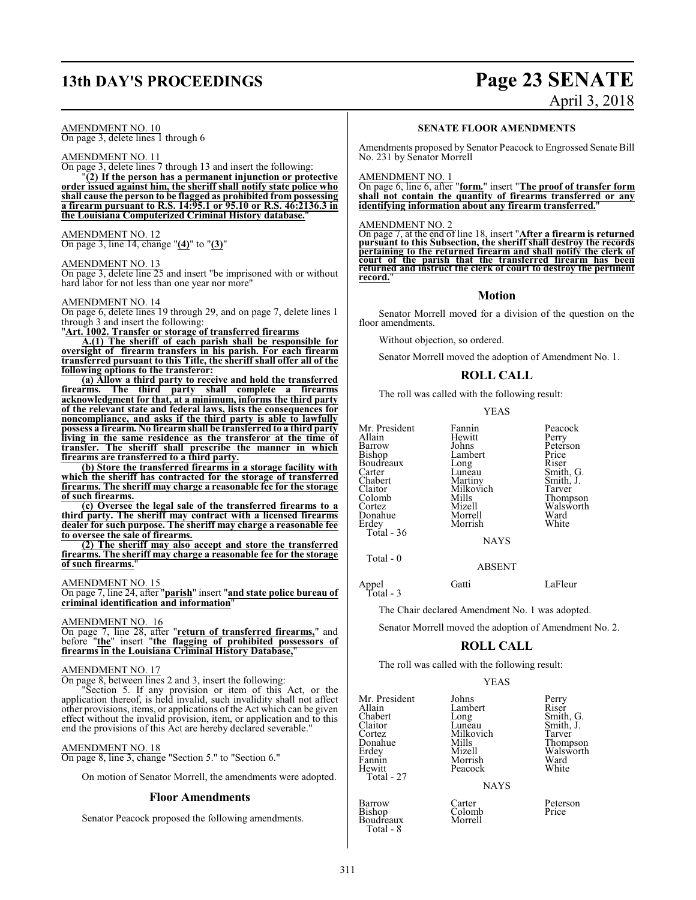# **13th DAY'S PROCEEDINGS Page 23 SENATE**

## AMENDMENT NO. 10

On page 3, delete lines 1 through 6

### AMENDMENT NO. 11

On page 3, delete lines 7 through 13 and insert the following:

"**(2) If the person has a permanent injunction or protective order issued against him, the sheriff shall notify state police who shall cause the person to be flagged as prohibited from possessing a firearm pursuant to R.S. 14:95.1 or 95.10 or R.S. 46:2136.3 in the Louisiana Computerized Criminal History database.**"

#### AMENDMENT NO. 12

On page 3, line 14, change "**(4)**" to "**(3)**"

#### AMENDMENT NO. 13

On page 3, delete line 25 and insert "be imprisoned with or without hard labor for not less than one year nor more"

#### AMENDMENT NO. 14

On page 6, delete lines 19 through 29, and on page 7, delete lines 1 through 3 and insert the following:

"**Art. 1002. Transfer or storage of transferred firearms**

**A.(1) The sheriff of each parish shall be responsible for oversight of firearm transfers in his parish. For each firearm transferred pursuant to this Title, the sheriff shall offer all of the following options to the transferor:**

**(a) Allow a third party to receive and hold the transferred firearms. The third party shall complete a firearms acknowledgment for that, at a minimum, informs the third party of the relevant state and federal laws, lists the consequences for noncompliance, and asks if the third party is able to lawfully possess a firearm. No firearm shall be transferred to a third party living in the same residence as the transferor at the time of transfer. The sheriff shall prescribe the manner in which firearms are transferred to a third party.**

**(b) Store the transferred firearms in a storage facility with which the sheriff has contracted for the storage of transferred firearms. The sheriff may charge a reasonable fee for the storage of such firearms.**

**(c) Oversee the legal sale of the transferred firearms to a third party. The sheriff may contract with a licensed firearms dealer for such purpose. The sheriff may charge a reasonable fee to oversee the sale of firearms.**

**(2) The sheriff may also accept and store the transferred firearms. The sheriff may charge a reasonable fee for the storage of such firearms.**"

### AMENDMENT NO. 15

On page 7, line 24, after "**parish**" insert "**and state police bureau of criminal identification and information**"

#### AMENDMENT NO. 16

On page 7, line 28, after "**return of transferred firearms,**" and before "**the**" insert "**the flagging of prohibited possessors of firearms in the Louisiana Criminal History Database,**"

#### AMENDMENT NO. 17

On page 8, between lines 2 and 3, insert the following:

"Section 5. If any provision or item of this Act, or the application thereof, is held invalid, such invalidity shall not affect other provisions, items, or applications of the Act which can be given effect without the invalid provision, item, or application and to this end the provisions of this Act are hereby declared severable."

#### AMENDMENT NO. 18

On page 8, line 3, change "Section 5." to "Section 6."

On motion of Senator Morrell, the amendments were adopted.

#### **Floor Amendments**

Senator Peacock proposed the following amendments.

# April 3, 2018

#### **SENATE FLOOR AMENDMENTS**

Amendments proposed by Senator Peacock to Engrossed Senate Bill No. 231 by Senator Morrell

#### AMENDMENT NO. 1

On page 6, line 6, after "**form.**" insert "**The proof of transfer form shall not contain the quantity of firearms transferred or any identifying information about any firearm transferred.**"

#### AMENDMENT NO. 2

On page 7, at the end of line 18, insert "**After a firearm is returned pursuant to this Subsection, the sheriff shall destroy the records pertaining to the returned firearm and shall notify the clerk of court of the parish that the transferred firearm has been returned and instruct the clerk of court to destroy the pertinent record.**"

#### **Motion**

Senator Morrell moved for a division of the question on the floor amendments.

Without objection, so ordered.

Senator Morrell moved the adoption of Amendment No. 1.

### **ROLL CALL**

The roll was called with the following result:

YEAS

| Mr. President<br>Allain<br>Barrow<br><b>Bishop</b><br>Boudreaux<br>Carter<br>Chabert<br>Claitor<br>Colomb<br>Cortez<br>Donahue<br>Erdey<br>Total - 36 | Fannin<br>Hewitt<br>Johns<br>Lambert<br>Long<br>Lunĕau<br>Martiny<br>Milkovich<br>Mills<br>Mizell<br>Morrell<br>Morrish<br>NAYS | Peacock<br>Perry<br>Peterson<br>Price<br>Riser<br>Smith, G.<br>Smith, J.<br>Tarver<br>Thompson<br>Walsworth<br>Ward<br>White |
|-------------------------------------------------------------------------------------------------------------------------------------------------------|---------------------------------------------------------------------------------------------------------------------------------|------------------------------------------------------------------------------------------------------------------------------|
|-------------------------------------------------------------------------------------------------------------------------------------------------------|---------------------------------------------------------------------------------------------------------------------------------|------------------------------------------------------------------------------------------------------------------------------|

Total - 0

Appel Gatti LaFleur Total - 3

The Chair declared Amendment No. 1 was adopted.

Senator Morrell moved the adoption of Amendment No. 2.

ABSENT

#### **ROLL CALL**

The roll was called with the following result:

|                                                                                                               | YEAS                                                                                                    |                                                                                              |
|---------------------------------------------------------------------------------------------------------------|---------------------------------------------------------------------------------------------------------|----------------------------------------------------------------------------------------------|
| Mr. President<br>Allain<br>Chabert<br>Claitor<br>Cortez<br>Donahue<br>Erdey<br>Fannin<br>Hewitt<br>Total - 27 | Johns<br>Lambert<br>Long<br>Luneau<br>Milkovich<br>Mills<br>Mizell<br>Morrish<br>Peacock<br><b>NAYS</b> | Perry<br>Riser<br>Smith, G.<br>Smith, J.<br>Tarver<br>Thompson<br>Walsworth<br>Ward<br>White |
| <b>Barrow</b><br>Bishop<br>Boudreaux                                                                          | Carter<br>Colomb<br>Morrell                                                                             | Peterson<br>Price                                                                            |

Total - 8

Boudreaux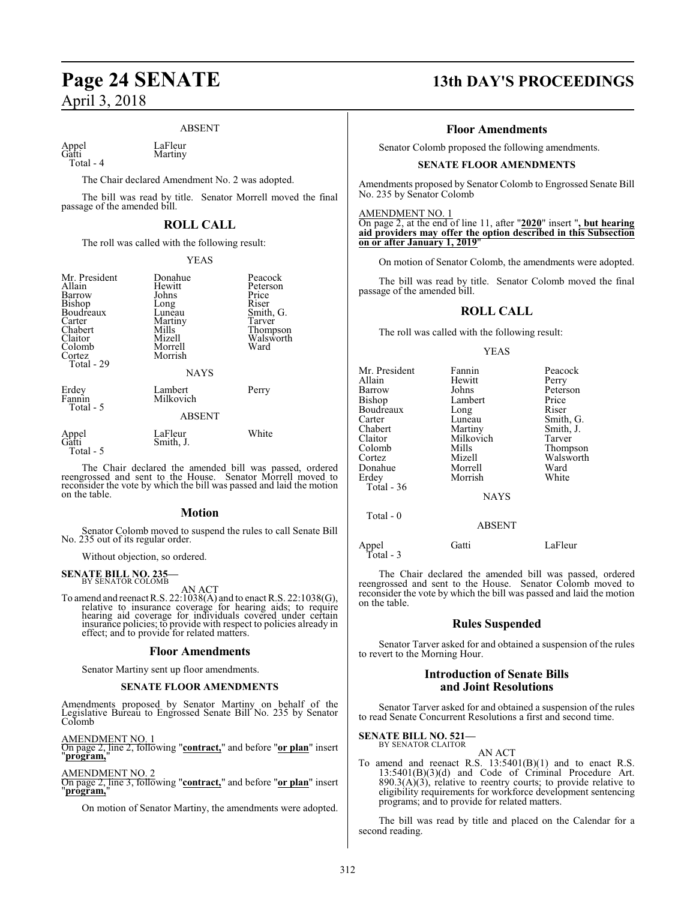### ABSENT

Appel LaFleur<br>Gatti Martiny Total - 4

Martiny

The Chair declared Amendment No. 2 was adopted.

The bill was read by title. Senator Morrell moved the final passage of the amended bill.

### **ROLL CALL**

The roll was called with the following result:

#### YEAS

| Mr. President<br>Allain<br>Barrow<br>Bishop<br>Boudreaux<br>Carter<br>Chabert<br>Claitor<br>Colomb<br>Cortez<br>Total - 29 | Donahue<br>Hewitt<br>Johns<br>Long<br>Luneau<br>Martiny<br>Mills<br>Mizell<br>Morrell<br>Morrish<br><b>NAYS</b> | Peacock<br>Peterson<br>Price<br>Riser<br>Smith, G.<br>Tarver<br>Thompson<br>Walsworth<br>Ward |
|----------------------------------------------------------------------------------------------------------------------------|-----------------------------------------------------------------------------------------------------------------|-----------------------------------------------------------------------------------------------|
| Erdey<br>Fannin<br>Total - 5                                                                                               | Lambert<br>Milkovich<br><b>ABSENT</b>                                                                           | Perry                                                                                         |
| Appel<br>Gatti<br>Total - 5                                                                                                | LaFleur<br>Smith, J.                                                                                            | White                                                                                         |

The Chair declared the amended bill was passed, ordered reengrossed and sent to the House. Senator Morrell moved to reconsider the vote by which the bill was passed and laid the motion on the table.

#### **Motion**

Senator Colomb moved to suspend the rules to call Senate Bill No. 235 out of its regular order.

Without objection, so ordered.

# **SENATE BILL NO. 235—** BY SENATOR COLOMB

AN ACT<br>To amend and reenact R.S. 22:1038(A) and to enact R.S. 22:1038(G), relative to insurance coverage for hearing aids; to require hearing aid coverage for individuals covered under certain insurance policies; to provide with respect to policies already in effect; and to provide for related matters.

#### **Floor Amendments**

Senator Martiny sent up floor amendments.

#### **SENATE FLOOR AMENDMENTS**

Amendments proposed by Senator Martiny on behalf of the Legislative Bureau to Engrossed Senate Bill No. 235 by Senator Colomb

AMENDMENT NO. 1 On page 2, line 2, following "**contract,**" and before "**or plan**" insert "**program,**"

#### AMENDMENT NO. 2

On page 2, line 3, following "**contract,**" and before "**or plan**" insert "**program,**"

On motion of Senator Martiny, the amendments were adopted.

# **Page 24 SENATE 13th DAY'S PROCEEDINGS**

#### **Floor Amendments**

Senator Colomb proposed the following amendments.

#### **SENATE FLOOR AMENDMENTS**

Amendments proposed by Senator Colomb to Engrossed Senate Bill No. 235 by Senator Colomb

#### AMENDMENT NO. 1

On page 2, at the end of line 11, after "**2020**" insert "**, but hearing aid providers may offer the option described in this Subsection on or after January 1, 2019**"

On motion of Senator Colomb, the amendments were adopted.

The bill was read by title. Senator Colomb moved the final passage of the amended bill.

#### **ROLL CALL**

The roll was called with the following result:

#### YEAS

| Mr. President | Fannin        | Peacock   |
|---------------|---------------|-----------|
| Allain        | Hewitt        | Perry     |
| Barrow        | Johns         | Peterson  |
| Bishop        | Lambert       | Price     |
| Boudreaux     | Long          | Riser     |
| Carter        | Luneau        | Smith, G. |
| Chabert       | Martiny       | Smith, J. |
| Claitor       | Milkovich     | Tarver    |
| Colomb        | Mills         | Thompson  |
| Cortez        | Mizell        | Walsworth |
| Donahue       | Morrell       | Ward      |
| Erdey         | Morrish       | White     |
| Total - 36    |               |           |
|               | <b>NAYS</b>   |           |
| Total $-0$    |               |           |
|               | <b>ABSENT</b> |           |
|               |               |           |

Appel Gatti LaFleur Total - 3

The Chair declared the amended bill was passed, ordered reengrossed and sent to the House. Senator Colomb moved to reconsider the vote by which the bill was passed and laid the motion on the table.

#### **Rules Suspended**

Senator Tarver asked for and obtained a suspension of the rules to revert to the Morning Hour.

#### **Introduction of Senate Bills and Joint Resolutions**

Senator Tarver asked for and obtained a suspension of the rules to read Senate Concurrent Resolutions a first and second time.

**SENATE BILL NO. 521—** BY SENATOR CLAITOR

## AN ACT

To amend and reenact R.S.  $13:5401(B)(1)$  and to enact R.S. 13:5401(B)(3)(d) and Code of Criminal Procedure Art.  $890.3(A)(3)$ , relative to reentry courts; to provide relative to eligibility requirements for workforce development sentencing programs; and to provide for related matters.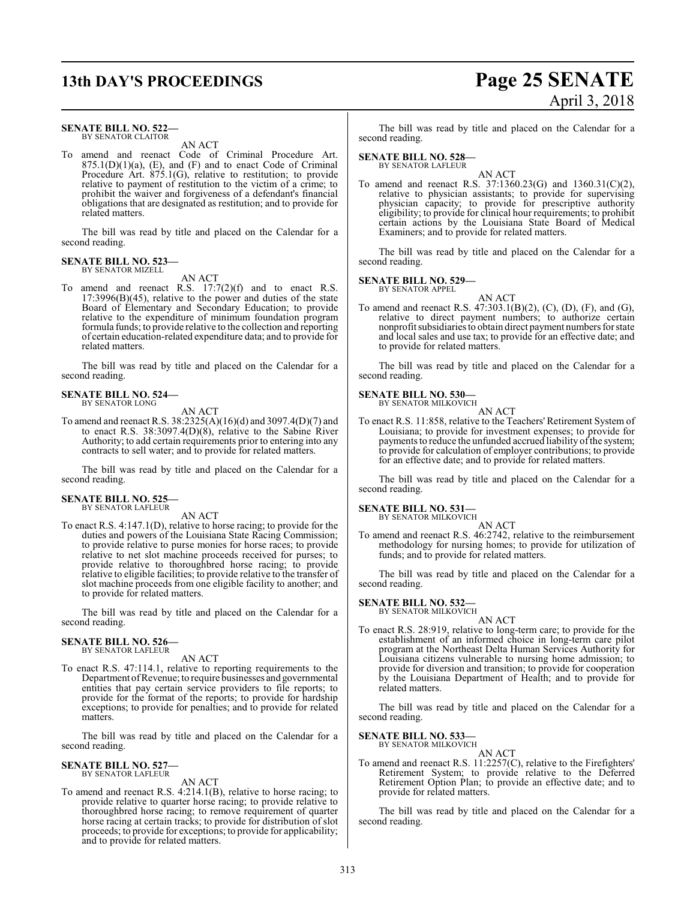#### **SENATE BILL NO. 522—** BY SENATOR CLAITOR

AN ACT

To amend and reenact Code of Criminal Procedure Art.  $875.1(D)(1)(a)$ ,  $(E)$ , and  $(F)$  and to enact Code of Criminal Procedure Art. 875.1(G), relative to restitution; to provide relative to payment of restitution to the victim of a crime; to prohibit the waiver and forgiveness of a defendant's financial obligations that are designated as restitution; and to provide for related matters.

The bill was read by title and placed on the Calendar for a second reading.

#### **SENATE BILL NO. 523—** BY SENATOR MIZELL

AN ACT

To amend and reenact R.S. 17:7(2)(f) and to enact R.S. 17:3996(B)(45), relative to the power and duties of the state Board of Elementary and Secondary Education; to provide relative to the expenditure of minimum foundation program formula funds; to provide relative to the collection and reporting of certain education-related expenditure data; and to provide for related matters.

The bill was read by title and placed on the Calendar for a second reading.

#### **SENATE BILL NO. 524—** BY SENATOR LONG

AN ACT

To amend and reenact R.S. 38:2325(A)(16)(d) and 3097.4(D)(7) and to enact R.S. 38:3097.4(D)(8), relative to the Sabine River Authority; to add certain requirements prior to entering into any contracts to sell water; and to provide for related matters.

The bill was read by title and placed on the Calendar for a second reading.

# **SENATE BILL NO. 525—** BY SENATOR LAFLEUR

AN ACT

To enact R.S. 4:147.1(D), relative to horse racing; to provide for the duties and powers of the Louisiana State Racing Commission; to provide relative to purse monies for horse races; to provide relative to net slot machine proceeds received for purses; to provide relative to thoroughbred horse racing; to provide relative to eligible facilities; to provide relative to the transfer of slot machine proceeds from one eligible facility to another; and to provide for related matters.

The bill was read by title and placed on the Calendar for a second reading.

#### **SENATE BILL NO. 526—** BY SENATOR LAFLEUR

AN ACT

To enact R.S. 47:114.1, relative to reporting requirements to the Department ofRevenue; to require businesses and governmental entities that pay certain service providers to file reports; to provide for the format of the reports; to provide for hardship exceptions; to provide for penalties; and to provide for related matters.

The bill was read by title and placed on the Calendar for a second reading.

#### **SENATE BILL NO. 527—** BY SENATOR LAFLEUR

AN ACT

To amend and reenact R.S. 4:214.1(B), relative to horse racing; to provide relative to quarter horse racing; to provide relative to thoroughbred horse racing; to remove requirement of quarter horse racing at certain tracks; to provide for distribution of slot proceeds; to provide for exceptions; to provide for applicability; and to provide for related matters.

**13th DAY'S PROCEEDINGS Page 25 SENATE** April 3, 2018

> The bill was read by title and placed on the Calendar for a second reading.

#### **SENATE BILL NO. 528—** BY SENATOR LAFLEUR

AN ACT

To amend and reenact R.S. 37:1360.23(G) and 1360.31(C)(2), relative to physician assistants; to provide for supervising physician capacity; to provide for prescriptive authority eligibility; to provide for clinical hour requirements; to prohibit certain actions by the Louisiana State Board of Medical Examiners; and to provide for related matters.

The bill was read by title and placed on the Calendar for a second reading.

#### **SENATE BILL NO. 529—**

BY SENATOR APPEL

AN ACT

To amend and reenact R.S. 47:303.1(B)(2), (C), (D), (F), and (G), relative to direct payment numbers; to authorize certain nonprofit subsidiaries to obtain direct payment numbers forstate and local sales and use tax; to provide for an effective date; and to provide for related matters.

The bill was read by title and placed on the Calendar for a second reading.

#### **SENATE BILL NO. 530—** BY SENATOR MILKOVICH

AN ACT

To enact R.S. 11:858, relative to the Teachers' Retirement System of Louisiana; to provide for investment expenses; to provide for payments to reduce the unfunded accrued liability of the system; to provide for calculation of employer contributions; to provide for an effective date; and to provide for related matters.

The bill was read by title and placed on the Calendar for a second reading.

**SENATE BILL NO. 531—**

BY SENATOR MILKOVICH

AN ACT To amend and reenact R.S. 46:2742, relative to the reimbursement methodology for nursing homes; to provide for utilization of funds; and to provide for related matters.

The bill was read by title and placed on the Calendar for a second reading.

**SENATE BILL NO. 532—** BY SENATOR MILKOVICH

AN ACT

To enact R.S. 28:919, relative to long-term care; to provide for the establishment of an informed choice in long-term care pilot program at the Northeast Delta Human Services Authority for Louisiana citizens vulnerable to nursing home admission; to provide for diversion and transition; to provide for cooperation by the Louisiana Department of Health; and to provide for related matters.

The bill was read by title and placed on the Calendar for a second reading.

**SENATE BILL NO. 533—** BY SENATOR MILKOVICH

AN ACT

To amend and reenact R.S. 11:2257(C), relative to the Firefighters' Retirement System; to provide relative to the Deferred Retirement Option Plan; to provide an effective date; and to provide for related matters.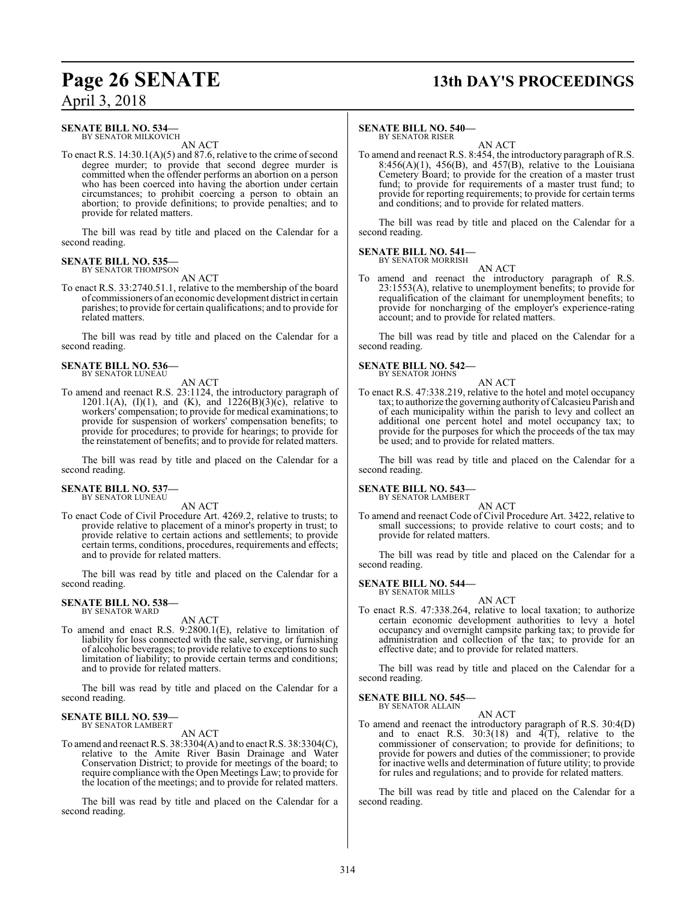## **SENATE BILL NO. 534—**

BY SENATOR MILKOVICH AN ACT

To enact R.S.  $14:30.1(A)(5)$  and 87.6, relative to the crime of second degree murder; to provide that second degree murder is committed when the offender performs an abortion on a person who has been coerced into having the abortion under certain circumstances; to prohibit coercing a person to obtain an abortion; to provide definitions; to provide penalties; and to provide for related matters.

The bill was read by title and placed on the Calendar for a second reading.

#### **SENATE BILL NO. 535—** BY SENATOR THOMPSON

AN ACT

To enact R.S. 33:2740.51.1, relative to the membership of the board of commissioners of an economic development district in certain parishes; to provide for certain qualifications; and to provide for related matters.

The bill was read by title and placed on the Calendar for a second reading.

#### **SENATE BILL NO. 536—** BY SENATOR LUNEAU

AN ACT

To amend and reenact R.S. 23:1124, the introductory paragraph of 1201.1(A), (I)(1), and (K), and 1226(B)(3)(c), relative to workers' compensation; to provide for medical examinations; to provide for suspension of workers' compensation benefits; to provide for procedures; to provide for hearings; to provide for the reinstatement of benefits; and to provide for related matters.

The bill was read by title and placed on the Calendar for a second reading.

#### **SENATE BILL NO. 537—** BY SENATOR LUNEAU

AN ACT

To enact Code of Civil Procedure Art. 4269.2, relative to trusts; to provide relative to placement of a minor's property in trust; to provide relative to certain actions and settlements; to provide certain terms, conditions, procedures, requirements and effects; and to provide for related matters.

The bill was read by title and placed on the Calendar for a second reading.

#### **SENATE BILL NO. 538—** BY SENATOR WARD

AN ACT

To amend and enact R.S. 9:2800.1(E), relative to limitation of liability for loss connected with the sale, serving, or furnishing of alcoholic beverages; to provide relative to exceptions to such limitation of liability; to provide certain terms and conditions; and to provide for related matters.

The bill was read by title and placed on the Calendar for a second reading.

#### **SENATE BILL NO. 539—** BY SENATOR LAMBERT

AN ACT

To amend and reenact R.S. 38:3304(A) and to enact R.S. 38:3304(C), relative to the Amite River Basin Drainage and Water Conservation District; to provide for meetings of the board; to require compliance with the Open Meetings Law; to provide for the location of the meetings; and to provide for related matters.

The bill was read by title and placed on the Calendar for a second reading.

# **Page 26 SENATE 13th DAY'S PROCEEDINGS**

### **SENATE BILL NO. 540—**

BY SENATOR RISER AN ACT

To amend and reenact R.S. 8:454, the introductory paragraph of R.S.  $8:456(A)(1)$ ,  $456(B)$ , and  $457(B)$ , relative to the Louisiana Cemetery Board; to provide for the creation of a master trust fund; to provide for requirements of a master trust fund; to provide for reporting requirements; to provide for certain terms and conditions; and to provide for related matters.

The bill was read by title and placed on the Calendar for a second reading.

#### **SENATE BILL NO. 541** BY SENATOR MORRISH

AN ACT

To amend and reenact the introductory paragraph of R.S. 23:1553(A), relative to unemployment benefits; to provide for requalification of the claimant for unemployment benefits; to provide for noncharging of the employer's experience-rating account; and to provide for related matters.

The bill was read by title and placed on the Calendar for a second reading.

#### **SENATE BILL NO. 542—** BY SENATOR JOHNS



To enact R.S. 47:338.219, relative to the hotel and motel occupancy tax; to authorize the governing authority ofCalcasieu Parish and of each municipality within the parish to levy and collect an additional one percent hotel and motel occupancy tax; to provide for the purposes for which the proceeds of the tax may be used; and to provide for related matters.

The bill was read by title and placed on the Calendar for a second reading.

**SENATE BILL NO. 543—**

BY SENATOR LAMBERT AN ACT

To amend and reenact Code of Civil Procedure Art. 3422, relative to small successions; to provide relative to court costs; and to provide for related matters.

The bill was read by title and placed on the Calendar for a second reading.

#### **SENATE BILL NO. 544—** BY SENATOR MILLS

AN ACT

To enact R.S. 47:338.264, relative to local taxation; to authorize certain economic development authorities to levy a hotel occupancy and overnight campsite parking tax; to provide for administration and collection of the tax; to provide for an effective date; and to provide for related matters.

The bill was read by title and placed on the Calendar for a second reading.

**SENATE BILL NO. 545—** BY SENATOR ALLAIN

AN ACT

To amend and reenact the introductory paragraph of R.S. 30:4(D) and to enact R.S.  $30:3(18)$  and  $4(T)$ , relative to the commissioner of conservation; to provide for definitions; to provide for powers and duties of the commissioner; to provide for inactive wells and determination of future utility; to provide for rules and regulations; and to provide for related matters.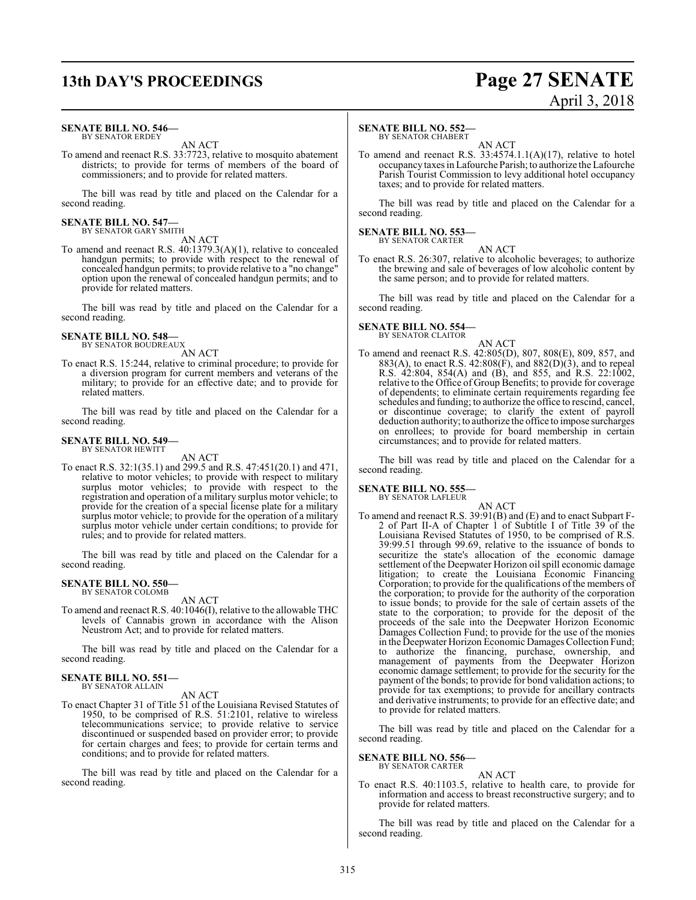# **13th DAY'S PROCEEDINGS Page 27 SENATE**

#### **SENATE BILL NO. 546—** BY SENATOR ERDEY

AN ACT

To amend and reenact R.S. 33:7723, relative to mosquito abatement districts; to provide for terms of members of the board of commissioners; and to provide for related matters.

The bill was read by title and placed on the Calendar for a second reading.

# **SENATE BILL NO. 547—** BY SENATOR GARY SMITH

AN ACT

To amend and reenact R.S. 40:1379.3(A)(1), relative to concealed handgun permits; to provide with respect to the renewal of concealed handgun permits; to provide relative to a "no change" option upon the renewal of concealed handgun permits; and to provide for related matters.

The bill was read by title and placed on the Calendar for a second reading.

# **SENATE BILL NO. 548—** BY SENATOR BOUDREAUX

AN ACT

To enact R.S. 15:244, relative to criminal procedure; to provide for a diversion program for current members and veterans of the military; to provide for an effective date; and to provide for related matters.

The bill was read by title and placed on the Calendar for a second reading.

#### **SENATE BILL NO. 549—** BY SENATOR HEWITT

AN ACT

To enact R.S. 32:1(35.1) and 299.5 and R.S. 47:451(20.1) and 471, relative to motor vehicles; to provide with respect to military surplus motor vehicles; to provide with respect to the registration and operation of a military surplus motor vehicle; to provide for the creation of a special license plate for a military surplus motor vehicle; to provide for the operation of a military surplus motor vehicle under certain conditions; to provide for rules; and to provide for related matters.

The bill was read by title and placed on the Calendar for a second reading.

#### **SENATE BILL NO. 550—** BY SENATOR COLOMB

AN ACT

To amend and reenact R.S. 40:1046(I), relative to the allowable THC levels of Cannabis grown in accordance with the Alison Neustrom Act; and to provide for related matters.

The bill was read by title and placed on the Calendar for a second reading.

#### **SENATE BILL NO. 551—** BY SENATOR ALLAIN

AN ACT

To enact Chapter 31 of Title 51 of the Louisiana Revised Statutes of 1950, to be comprised of R.S. 51:2101, relative to wireless telecommunications service; to provide relative to service discontinued or suspended based on provider error; to provide for certain charges and fees; to provide for certain terms and conditions; and to provide for related matters.

The bill was read by title and placed on the Calendar for a second reading.

#### **SENATE BILL NO. 552—**

BY SENATOR CHABERT

AN ACT To amend and reenact R.S. 33:4574.1.1(A)(17), relative to hotel occupancy taxes in Lafourche Parish; to authorize the Lafourche Parish Tourist Commission to levy additional hotel occupancy taxes; and to provide for related matters.

The bill was read by title and placed on the Calendar for a second reading.

#### **SENATE BILL NO. 553—** BY SENATOR CARTER

AN ACT To enact R.S. 26:307, relative to alcoholic beverages; to authorize the brewing and sale of beverages of low alcoholic content by the same person; and to provide for related matters.

The bill was read by title and placed on the Calendar for a second reading.

#### **SENATE BILL NO. 554—** BY SENATOR CLAITOR

AN ACT To amend and reenact R.S. 42:805(D), 807, 808(E), 809, 857, and 883(A), to enact R.S.  $42:808(\hat{F})$ , and  $882(D)(3)$ , and to repeal R.S. 42:804, 854(A) and (B), and 855, and R.S. 22:1002, relative to the Office of Group Benefits; to provide for coverage of dependents; to eliminate certain requirements regarding fee schedules and funding; to authorize the office to rescind, cancel, or discontinue coverage; to clarify the extent of payroll deduction authority; to authorize the office to impose surcharges on enrollees; to provide for board membership in certain circumstances; and to provide for related matters.

The bill was read by title and placed on the Calendar for a second reading.

#### **SENATE BILL NO. 555**

BY SENATOR LAFLEUR AN ACT

To amend and reenact R.S. 39:91(B) and (E) and to enact Subpart F-2 of Part II-A of Chapter 1 of Subtitle I of Title 39 of the Louisiana Revised Statutes of 1950, to be comprised of R.S. 39:99.51 through 99.69, relative to the issuance of bonds to securitize the state's allocation of the economic damage settlement of the Deepwater Horizon oil spill economic damage litigation; to create the Louisiana Economic Financing Corporation; to provide for the qualifications of the members of the corporation; to provide for the authority of the corporation to issue bonds; to provide for the sale of certain assets of the state to the corporation; to provide for the deposit of the proceeds of the sale into the Deepwater Horizon Economic Damages Collection Fund; to provide for the use of the monies in the Deepwater Horizon Economic Damages Collection Fund; to authorize the financing, purchase, ownership, and management of payments from the Deepwater Horizon economic damage settlement; to provide for the security for the payment of the bonds; to provide for bond validation actions; to provide for tax exemptions; to provide for ancillary contracts and derivative instruments; to provide for an effective date; and to provide for related matters.

The bill was read by title and placed on the Calendar for a second reading.

#### **SENATE BILL NO. 556—** BY SENATOR CARTER

AN ACT To enact R.S. 40:1103.5, relative to health care, to provide for information and access to breast reconstructive surgery; and to provide for related matters.

The bill was read by title and placed on the Calendar for a second reading.

# April 3, 2018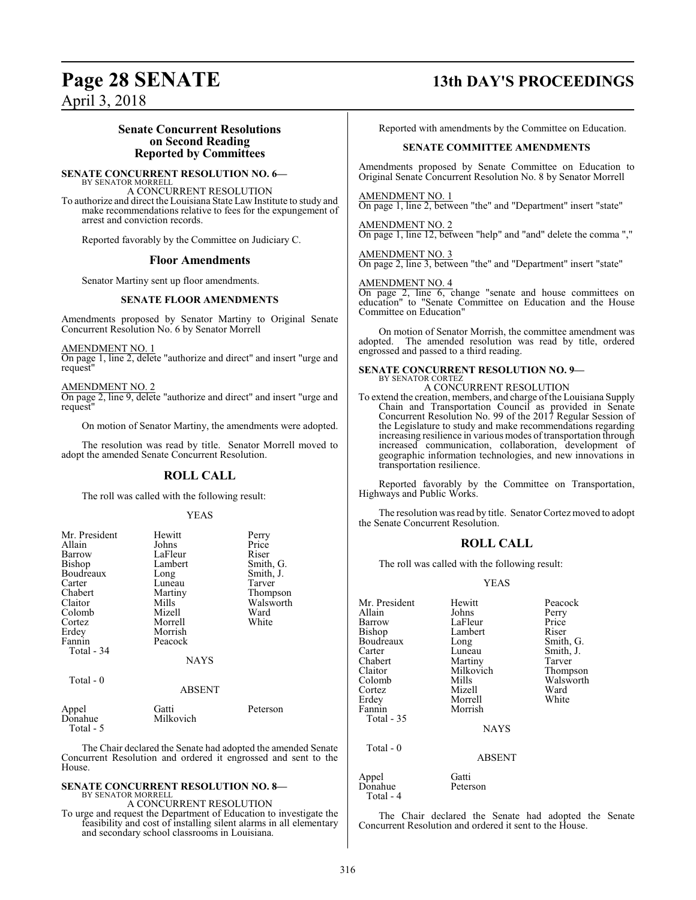#### **Senate Concurrent Resolutions on Second Reading Reported by Committees**

**SENATE CONCURRENT RESOLUTION NO. 6—** BY SENATOR MORRELL

A CONCURRENT RESOLUTION

To authorize and direct the Louisiana State Law Institute to study and make recommendations relative to fees for the expungement of arrest and conviction records.

Reported favorably by the Committee on Judiciary C.

#### **Floor Amendments**

Senator Martiny sent up floor amendments.

#### **SENATE FLOOR AMENDMENTS**

Amendments proposed by Senator Martiny to Original Senate Concurrent Resolution No. 6 by Senator Morrell

AMENDMENT NO. 1

On page 1, line 2, delete "authorize and direct" and insert "urge and request"

AMENDMENT NO. 2

On page 2, line 9, delete "authorize and direct" and insert "urge and request"

On motion of Senator Martiny, the amendments were adopted.

The resolution was read by title. Senator Morrell moved to adopt the amended Senate Concurrent Resolution.

#### **ROLL CALL**

The roll was called with the following result:

#### YEAS

| Mr. President    | Hewitt             | Perry     |
|------------------|--------------------|-----------|
| Allain           | Johns              | Price     |
| Barrow           | LaFleur            | Riser     |
| <b>Bishop</b>    | Lambert            | Smith, G. |
| Boudreaux        | Long               | Smith, J. |
| Carter           | Luneau             | Tarver    |
| Chabert          | Martiny            | Thompson  |
| Claitor          | Mills              | Walsworth |
| Colomb           | Mizell             | Ward      |
| Cortez           | Morrell            | White     |
| Erdey            | Morrish            |           |
| Fannin           | Peacock            |           |
| Total - 34       |                    |           |
|                  | <b>NAYS</b>        |           |
| Total $-0$       |                    |           |
|                  | <b>ABSENT</b>      |           |
| Appel<br>Donahue | Gatti<br>Milkovich | Peterson  |

Total - 5

The Chair declared the Senate had adopted the amended Senate Concurrent Resolution and ordered it engrossed and sent to the House.

#### **SENATE CONCURRENT RESOLUTION NO. 8—** BY SENATOR MORRELL

A CONCURRENT RESOLUTION

To urge and request the Department of Education to investigate the feasibility and cost of installing silent alarms in all elementary and secondary school classrooms in Louisiana.

# **Page 28 SENATE 13th DAY'S PROCEEDINGS**

Reported with amendments by the Committee on Education.

#### **SENATE COMMITTEE AMENDMENTS**

Amendments proposed by Senate Committee on Education to Original Senate Concurrent Resolution No. 8 by Senator Morrell

AMENDMENT NO. 1 On page 1, line 2, between "the" and "Department" insert "state"

AMENDMENT NO. 2 On page 1, line 12, between "help" and "and" delete the comma ","

AMENDMENT NO. 3 On page 2, line 3, between "the" and "Department" insert "state"

AMENDMENT NO. 4

On page 2, line 6, change "senate and house committees on education" to "Senate Committee on Education and the House Committee on Education"

On motion of Senator Morrish, the committee amendment was adopted. The amended resolution was read by title, ordered engrossed and passed to a third reading.

## **SENATE CONCURRENT RESOLUTION NO. 9—** BY SENATOR CORTEZ A CONCURRENT RESOLUTION

To extend the creation, members, and charge ofthe Louisiana Supply Chain and Transportation Council as provided in Senate Concurrent Resolution No. 99 of the 2017 Regular Session of the Legislature to study and make recommendations regarding increasing resilience in various modes of transportation through increased communication, collaboration, development of geographic information technologies, and new innovations in transportation resilience.

Reported favorably by the Committee on Transportation, Highways and Public Works.

The resolution was read by title. Senator Cortez moved to adopt the Senate Concurrent Resolution.

#### **ROLL CALL**

The roll was called with the following result:

YEAS

| Mr. President | Hewitt        | Peacock   |
|---------------|---------------|-----------|
| Allain        | Johns         | Perry     |
| Barrow        | LaFleur       | Price     |
| <b>Bishop</b> | Lambert       | Riser     |
| Boudreaux     | Long          | Smith, G. |
| Carter        | Luneau        | Smith, J. |
| Chabert       | Martiny       | Tarver    |
| Claitor       | Milkovich     | Thompson  |
| Colomb        | Mills         | Walsworth |
| Cortez        | Mizell        | Ward      |
| Erdey         | Morrell       | White     |
| Fannin        | Morrish       |           |
| Total - 35    |               |           |
|               | <b>NAYS</b>   |           |
| Total - 0     |               |           |
|               | <b>ABSENT</b> |           |
| Appel         | Gatti         |           |
| Donahue       | Peterson      |           |

The Chair declared the Senate had adopted the Senate Concurrent Resolution and ordered it sent to the House.

Total - 4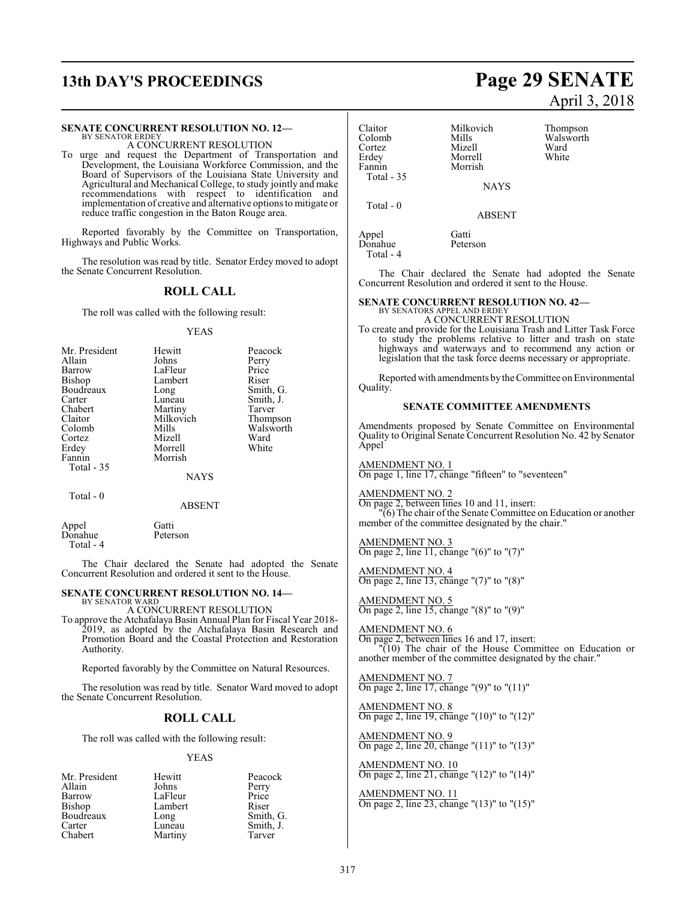# **13th DAY'S PROCEEDINGS Page 29 SENATE**

#### **SENATE CONCURRENT RESOLUTION NO. 12—**

BY SENATOR ERDEY A CONCURRENT RESOLUTION

To urge and request the Department of Transportation and Development, the Louisiana Workforce Commission, and the Board of Supervisors of the Louisiana State University and Agricultural and Mechanical College, to study jointly and make recommendations with respect to identification and implementation of creative and alternative options to mitigate or reduce traffic congestion in the Baton Rouge area.

Reported favorably by the Committee on Transportation, Highways and Public Works.

The resolution was read by title. Senator Erdey moved to adopt the Senate Concurrent Resolution.

#### **ROLL CALL**

The roll was called with the following result:

#### YEAS

| Mr. President | Hewitt    | Peacock   |
|---------------|-----------|-----------|
| Allain        | Johns     | Perry     |
| Barrow        | LaFleur   | Price     |
| <b>Bishop</b> | Lambert   | Riser     |
| Boudreaux     | Long      | Smith, G. |
| Carter        | Luneau    | Smith, J. |
| Chabert       | Martiny   | Tarver    |
| Claitor       | Milkovich | Thompson  |
| Colomb        | Mills     | Walsworth |
| Cortez        | Mizell    | Ward      |
| Erdey         | Morrell   | White     |
| Fannin        | Morrish   |           |
| Total - 35    |           |           |

NAYS

Total - 0

#### ABSENT

Appel Gatti<br>Donahue Peterson Donahue Total - 4

The Chair declared the Senate had adopted the Senate Concurrent Resolution and ordered it sent to the House.

#### **SENATE CONCURRENT RESOLUTION NO. 14—**

BY SENATOR WARD A CONCURRENT RESOLUTION

To approve the Atchafalaya Basin Annual Plan for Fiscal Year 2018- 2019, as adopted by the Atchafalaya Basin Research and Promotion Board and the Coastal Protection and Restoration Authority.

Reported favorably by the Committee on Natural Resources.

The resolution was read by title. Senator Ward moved to adopt the Senate Concurrent Resolution.

#### **ROLL CALL**

The roll was called with the following result:

#### YEAS

| Mr. President | Hewitt  | Peacock   |
|---------------|---------|-----------|
| Allain        | Johns   | Perry     |
| Barrow        | LaFleur | Price     |
| Bishop        | Lambert | Riser     |
| Boudreaux     | Long    | Smith, G. |
| Carter        | Luneau  | Smith, J. |
| Chabert       | Martiny | Tarver    |
|               |         |           |

# April 3, 2018

Claitor Milkovich Thompson Cortez Mizell Ward Erdey Morrell<br>Fannin Morrish Fannin Total - 35 Total - 0

Donahue Total - 4 Mills Walsworth<br>
Mizell Ward

NAYS

#### ABSENT

Appel Gatti<br>Donahue Peterson

The Chair declared the Senate had adopted the Senate Concurrent Resolution and ordered it sent to the House.

#### **SENATE CONCURRENT RESOLUTION NO. 42—**

BY SENATORS APPEL AND ERDEY A CONCURRENT RESOLUTION

To create and provide for the Louisiana Trash and Litter Task Force to study the problems relative to litter and trash on state highways and waterways and to recommend any action or legislation that the task force deems necessary or appropriate.

Reported with amendments by the Committee on Environmental Quality.

#### **SENATE COMMITTEE AMENDMENTS**

Amendments proposed by Senate Committee on Environmental Quality to Original Senate Concurrent Resolution No. 42 by Senator Appel

AMENDMENT NO. 1 On page 1, line 17, change "fifteen" to "seventeen"

#### AMENDMENT NO. 2

On page 2, between lines 10 and 11, insert: "(6) The chair of the Senate Committee on Education or another member of the committee designated by the chair."

### AMENDMENT NO. 3

On page 2, line 11, change "(6)" to "(7)"

AMENDMENT NO. 4 On page 2, line 13, change "(7)" to "(8)"

AMENDMENT NO. 5 On page 2, line 15, change "(8)" to "(9)"

AMENDMENT NO. 6 On page 2, between lines 16 and 17, insert: "(10) The chair of the House Committee on Education or another member of the committee designated by the chair."

AMENDMENT NO. 7 On page 2, line 17, change "(9)" to "(11)"

AMENDMENT NO. 8 On page 2, line 19, change "(10)" to "(12)"

AMENDMENT NO. 9 On page 2, line 20, change "(11)" to "(13)"

AMENDMENT NO. 10 On page 2, line 21, change "(12)" to "(14)"

AMENDMENT NO. 11 On page 2, line 23, change "(13)" to "(15)"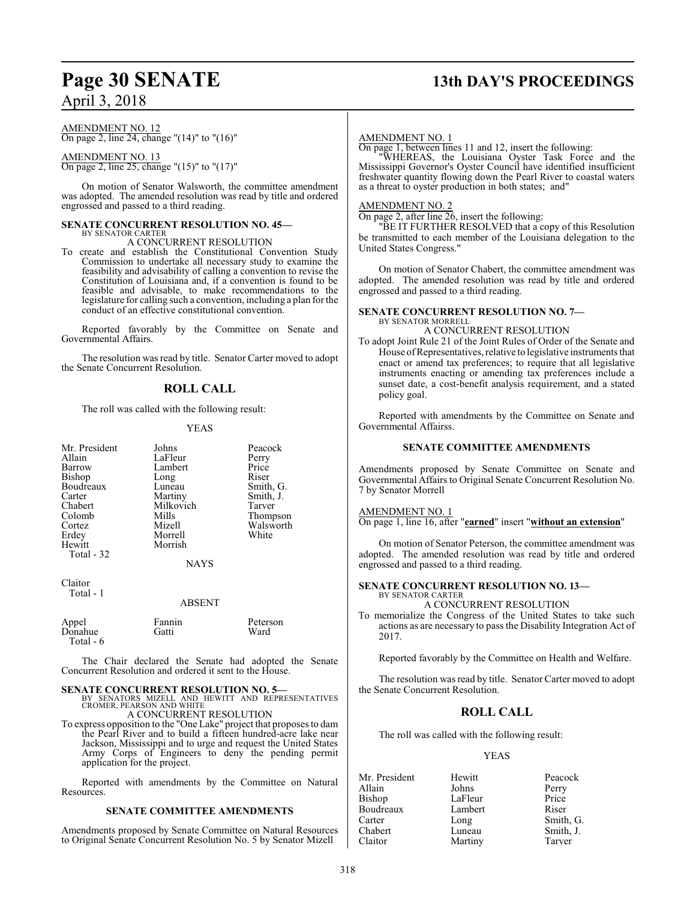# **Page 30 SENATE 13th DAY'S PROCEEDINGS**

## April 3, 2018

AMENDMENT NO. 12 On page 2, line 24, change "(14)" to "(16)"

AMENDMENT NO. 13 On page 2, line 25, change "(15)" to "(17)"

On motion of Senator Walsworth, the committee amendment was adopted. The amended resolution was read by title and ordered engrossed and passed to a third reading.

#### **SENATE CONCURRENT RESOLUTION NO. 45—** BY SENATOR CARTER

A CONCURRENT RESOLUTION

To create and establish the Constitutional Convention Study Commission to undertake all necessary study to examine the feasibility and advisability of calling a convention to revise the Constitution of Louisiana and, if a convention is found to be feasible and advisable, to make recommendations to the legislature for calling such a convention, including a plan for the conduct of an effective constitutional convention.

Reported favorably by the Committee on Senate and Governmental Affairs.

The resolution was read by title. Senator Carter moved to adopt the Senate Concurrent Resolution.

### **ROLL CALL**

The roll was called with the following result:

#### YEAS

| Mr. President                           | Johns                                       | Peacock            |
|-----------------------------------------|---------------------------------------------|--------------------|
| Allain                                  | LaFleur                                     | Perry              |
| Barrow                                  | Lambert                                     | Price              |
| Bishop                                  | Long                                        | Riser              |
| Boudreaux                               | Luneau                                      | Smith, G.          |
| Carter                                  | Martiny                                     | Smith, J.          |
| Chabert                                 | Milkovich                                   | Tarver             |
| Colomb                                  | Mills                                       | Thompson           |
| Cortez<br>Erdey<br>Hewitt<br>Total - 32 | Mizell<br>Morrell<br>Morrish<br><b>NAYS</b> | Walsworth<br>White |
| Claitor<br>Total - 1                    | <b>ABSENT</b>                               |                    |
| Appel                                   | Fannin                                      | Peterson           |
| Donahue                                 | Gatti                                       | Ward               |

 $\epsilon$ 

Total - 6

The Chair declared the Senate had adopted the Senate Concurrent Resolution and ordered it sent to the House.

#### **SENATE CONCURRENT RESOLUTION NO. 5—**

BY SENATORS MIZELL AND HEWITT AND REPRESENTATIVES CROMER, PEARSON AND WHITE A CONCURRENT RESOLUTION

To express opposition to the "One Lake" project that proposes to dam the Pearl River and to build a fifteen hundred-acre lake near Jackson, Mississippi and to urge and request the United States Army Corps of Engineers to deny the pending permit application for the project.

Reported with amendments by the Committee on Natural Resources.

#### **SENATE COMMITTEE AMENDMENTS**

Amendments proposed by Senate Committee on Natural Resources to Original Senate Concurrent Resolution No. 5 by Senator Mizell

#### AMENDMENT NO. 1

On page 1, between lines 11 and 12, insert the following:

"WHEREAS, the Louisiana Oyster Task Force and the Mississippi Governor's Oyster Council have identified insufficient freshwater quantity flowing down the Pearl River to coastal waters as a threat to oyster production in both states; and"

#### AMENDMENT NO. 2

On page 2, after line 26, insert the following:

"BE IT FURTHER RESOLVED that a copy of this Resolution be transmitted to each member of the Louisiana delegation to the United States Congress."

On motion of Senator Chabert, the committee amendment was adopted. The amended resolution was read by title and ordered engrossed and passed to a third reading.

#### **SENATE CONCURRENT RESOLUTION NO. 7—** BY SENATOR MORRELL

A CONCURRENT RESOLUTION

To adopt Joint Rule 21 of the Joint Rules of Order of the Senate and House ofRepresentatives, relative to legislative instruments that enact or amend tax preferences; to require that all legislative instruments enacting or amending tax preferences include a sunset date, a cost-benefit analysis requirement, and a stated policy goal.

Reported with amendments by the Committee on Senate and Governmental Affairss.

#### **SENATE COMMITTEE AMENDMENTS**

Amendments proposed by Senate Committee on Senate and Governmental Affairs to Original Senate Concurrent Resolution No. 7 by Senator Morrell

#### AMENDMENT NO. 1

On page 1, line 16, after "**earned**" insert "**without an extension**"

On motion of Senator Peterson, the committee amendment was adopted. The amended resolution was read by title and ordered engrossed and passed to a third reading.

### **SENATE CONCURRENT RESOLUTION NO. 13—**

BY SENATOR CARTER A CONCURRENT RESOLUTION

To memorialize the Congress of the United States to take such actions as are necessary to pass the Disability Integration Act of 2017.

Reported favorably by the Committee on Health and Welfare.

The resolution was read by title. Senator Carter moved to adopt the Senate Concurrent Resolution.

#### **ROLL CALL**

The roll was called with the following result:

#### YEAS

Mr. President Hewitt Peacock<br>Allain Johns Perry Allain Johns Perry LaFleur Boudreaux Lambert Riser Carter Long Smith, G. Chabert Luneau Smith, J. Claitor Martiny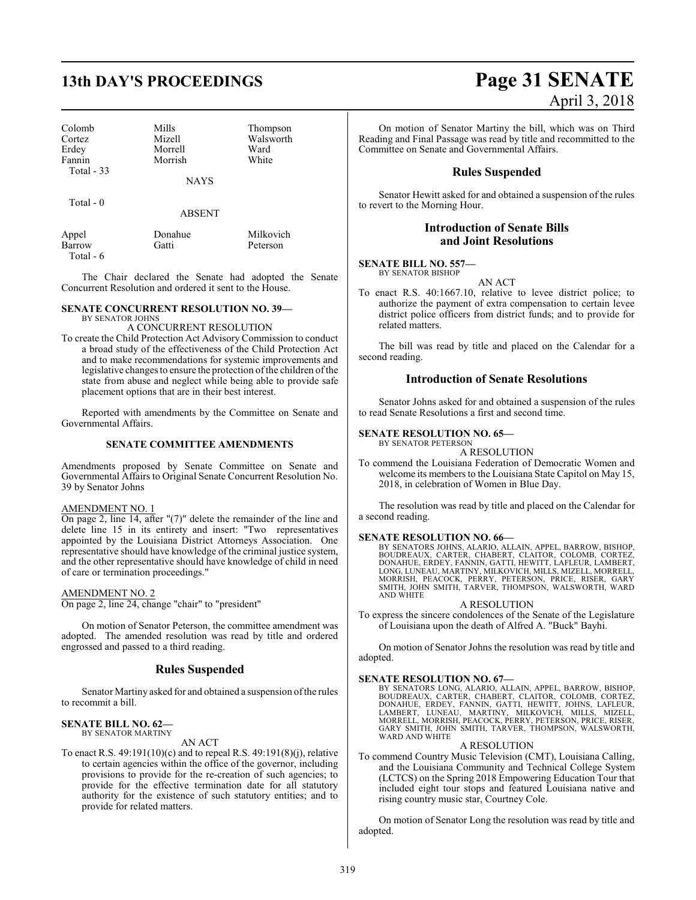| Colomb      | Mills       | Thompson  |
|-------------|-------------|-----------|
| Cortez      | Mizell      | Walsworth |
| Erdey       | Morrell     | Ward      |
| Fannin      | Morrish     | White     |
| Total $-33$ |             |           |
|             | <b>NAYS</b> |           |

Total - 0

ABSENT

| Appel     | Donahue | Milkovich |
|-----------|---------|-----------|
| Barrow    | Gatti   | Peterson  |
| Total - 6 |         |           |

The Chair declared the Senate had adopted the Senate Concurrent Resolution and ordered it sent to the House.

#### **SENATE CONCURRENT RESOLUTION NO. 39—** BY SENATOR JOHNS

A CONCURRENT RESOLUTION

To create the Child Protection Act Advisory Commission to conduct a broad study of the effectiveness of the Child Protection Act and to make recommendations for systemic improvements and legislative changes to ensure the protection of the children of the state from abuse and neglect while being able to provide safe placement options that are in their best interest.

Reported with amendments by the Committee on Senate and Governmental Affairs.

#### **SENATE COMMITTEE AMENDMENTS**

Amendments proposed by Senate Committee on Senate and Governmental Affairs to Original Senate Concurrent Resolution No. 39 by Senator Johns

#### AMENDMENT NO. 1

On page 2, line 14, after "(7)" delete the remainder of the line and delete line 15 in its entirety and insert: "Two representatives appointed by the Louisiana District Attorneys Association. One representative should have knowledge of the criminal justice system, and the other representative should have knowledge of child in need of care or termination proceedings."

#### AMENDMENT NO. 2

On page 2, line 24, change "chair" to "president"

On motion of Senator Peterson, the committee amendment was adopted. The amended resolution was read by title and ordered engrossed and passed to a third reading.

#### **Rules Suspended**

Senator Martiny asked for and obtained a suspension of the rules to recommit a bill.

#### **SENATE BILL NO. 62—** BY SENATOR MARTINY

AN ACT

To enact R.S. 49:191(10)(c) and to repeal R.S. 49:191(8)(j), relative to certain agencies within the office of the governor, including provisions to provide for the re-creation of such agencies; to provide for the effective termination date for all statutory authority for the existence of such statutory entities; and to provide for related matters.

# **13th DAY'S PROCEEDINGS Page 31 SENATE** April 3, 2018

On motion of Senator Martiny the bill, which was on Third Reading and Final Passage was read by title and recommitted to the Committee on Senate and Governmental Affairs.

### **Rules Suspended**

Senator Hewitt asked for and obtained a suspension of the rules to revert to the Morning Hour.

#### **Introduction of Senate Bills and Joint Resolutions**

**SENATE BILL NO. 557—** BY SENATOR BISHOP

AN ACT

To enact R.S. 40:1667.10, relative to levee district police; to authorize the payment of extra compensation to certain levee district police officers from district funds; and to provide for related matters.

The bill was read by title and placed on the Calendar for a second reading.

#### **Introduction of Senate Resolutions**

Senator Johns asked for and obtained a suspension of the rules to read Senate Resolutions a first and second time.

#### **SENATE RESOLUTION NO. 65—** BY SENATOR PETERSON

A RESOLUTION

To commend the Louisiana Federation of Democratic Women and welcome its members to the Louisiana State Capitol on May 15, 2018, in celebration of Women in Blue Day.

The resolution was read by title and placed on the Calendar for a second reading.

**SENATE RESOLUTION NO. 66—** BY SENATORS JOHNS, ALARIO, ALLAIN, APPEL, BARROW, BISHOP, BOUDREAUX, CARTER, CHABERT, CLAITOR, COLOMB, CORTEZ, DONAHUE, ERDEY, FANNIN, GATTI, HEWITT, LAFLEUR, LAMBERT,<br>LONG, LUNEAU, MARTINY, MILKOVICH, MILLS, MIZELL, MORRELL,<br>MORRISH, PEACOCK, PERRY, PETERSON, PRICE, RISER, GARY<br>SMITH, JOHN SMITH, TARVER, THOMPSON, WALSWORTH, WARD AND WHITE

#### A RESOLUTION

To express the sincere condolences of the Senate of the Legislature of Louisiana upon the death of Alfred A. "Buck" Bayhi.

On motion of Senator Johns the resolution was read by title and adopted.

#### **SENATE RESOLUTION NO. 67—**

BY SENATORS LONG, ALARIO, ALLAIN, APPEL, BARROW, BISHOP,<br>BOUDREAUX, CARTER, CHABERT, CLAITOR, COLOMB, CORTEZ,<br>DONAHUE, ERDEY, FANNIN, GATTI, HEWITT, JOHNS, LAFLEUR,<br>LAMBERT, LUNEAU, MARTINY, MILKOVICH, MILLS, MIZELL,<br>MORRE WARD AND WHITE

#### A RESOLUTION

To commend Country Music Television (CMT), Louisiana Calling, and the Louisiana Community and Technical College System (LCTCS) on the Spring 2018 Empowering Education Tour that included eight tour stops and featured Louisiana native and rising country music star, Courtney Cole.

On motion of Senator Long the resolution was read by title and adopted.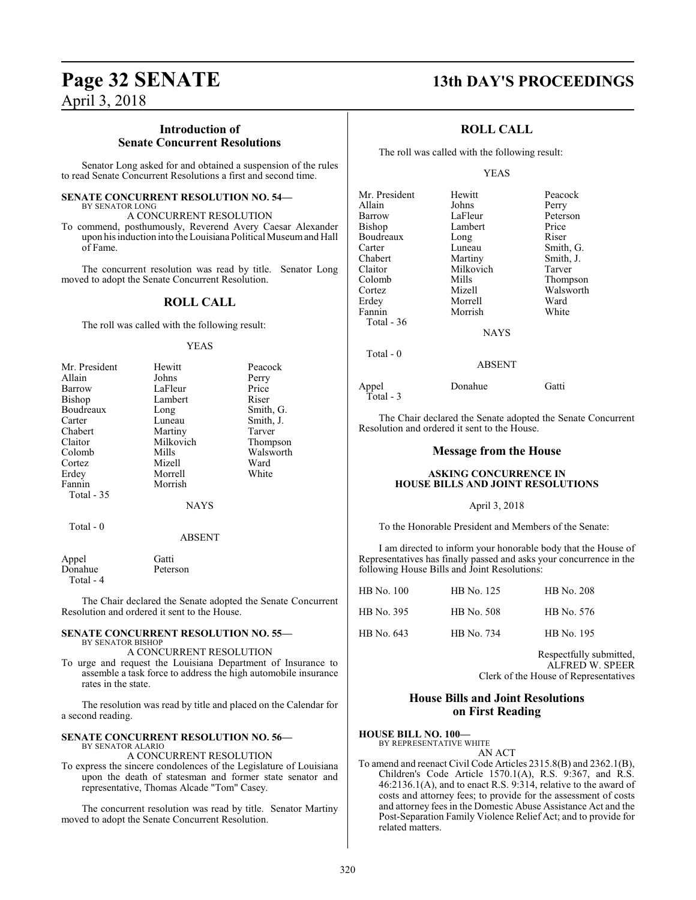### **Introduction of Senate Concurrent Resolutions**

Senator Long asked for and obtained a suspension of the rules to read Senate Concurrent Resolutions a first and second time.

#### **SENATE CONCURRENT RESOLUTION NO. 54—**

BY SENATOR LONG A CONCURRENT RESOLUTION

To commend, posthumously, Reverend Avery Caesar Alexander upon his induction into the Louisiana Political Museumand Hall of Fame.

The concurrent resolution was read by title. Senator Long moved to adopt the Senate Concurrent Resolution.

#### **ROLL CALL**

The roll was called with the following result:

#### YEAS

| Mr. President | Hewitt      | Peacock   |
|---------------|-------------|-----------|
| Allain        | Johns       | Perry     |
| Barrow        | LaFleur     | Price     |
| Bishop        | Lambert     | Riser     |
| Boudreaux     | Long        | Smith, G. |
| Carter        | Luneau      | Smith, J. |
| Chabert       | Martiny     | Tarver    |
| Claitor       | Milkovich   | Thompson  |
| Colomb        | Mills       | Walsworth |
| Cortez        | Mizell      | Ward      |
| Erdey         | Morrell     | White     |
| Fannin        | Morrish     |           |
| Total $-35$   |             |           |
|               | <b>NAYS</b> |           |
| Total - 0     |             |           |

#### ABSENT

| Appel     | Gatti    |
|-----------|----------|
| Donahue   | Peterson |
| Total - 4 |          |

The Chair declared the Senate adopted the Senate Concurrent Resolution and ordered it sent to the House.

#### **SENATE CONCURRENT RESOLUTION NO. 55—** BY SENATOR BISHOP

A CONCURRENT RESOLUTION

To urge and request the Louisiana Department of Insurance to assemble a task force to address the high automobile insurance rates in the state.

The resolution was read by title and placed on the Calendar for a second reading.

#### **SENATE CONCURRENT RESOLUTION NO. 56—** BY SENATOR ALARIO

A CONCURRENT RESOLUTION

To express the sincere condolences of the Legislature of Louisiana upon the death of statesman and former state senator and representative, Thomas Alcade "Tom" Casey.

The concurrent resolution was read by title. Senator Martiny moved to adopt the Senate Concurrent Resolution.

# **Page 32 SENATE 13th DAY'S PROCEEDINGS**

### **ROLL CALL**

The roll was called with the following result:

#### YEAS

| Mr. President | Hewitt      | Peacock   |
|---------------|-------------|-----------|
| Allain        | Johns       | Perry     |
| Barrow        | LaFleur     | Peterson  |
| Bishop        | Lambert     | Price     |
| Boudreaux     | Long        | Riser     |
| Carter        | Luneau      | Smith, G. |
| Chabert       | Martiny     | Smith, J. |
| Claitor       | Milkovich   | Tarver    |
| Colomb        | Mills       | Thompson  |
| Cortez        | Mizell      | Walsworth |
| Erdey         | Morrell     | Ward      |
| Fannin        | Morrish     | White     |
| Total - 36    |             |           |
|               | <b>NAYS</b> |           |
| Total $-0$    |             |           |
| <b>ABSENT</b> |             |           |

Appel Donahue Gatti Total - 3

The Chair declared the Senate adopted the Senate Concurrent Resolution and ordered it sent to the House.

#### **Message from the House**

#### **ASKING CONCURRENCE IN HOUSE BILLS AND JOINT RESOLUTIONS**

#### April 3, 2018

To the Honorable President and Members of the Senate:

I am directed to inform your honorable body that the House of Representatives has finally passed and asks your concurrence in the following House Bills and Joint Resolutions:

| HB No. 100 | HB No. 125 | HB No. 208 |
|------------|------------|------------|
| HB No. 395 | HB No. 508 | HB No. 576 |
| HB No. 643 | HB No. 734 | HB No. 195 |

Respectfully submitted, ALFRED W. SPEER Clerk of the House of Representatives

### **House Bills and Joint Resolutions on First Reading**

#### **HOUSE BILL NO. 100—**

BY REPRESENTATIVE WHITE

AN ACT

To amend and reenact Civil Code Articles 2315.8(B) and 2362.1(B), Children's Code Article 1570.1(A), R.S.  $9:367$ , and R.S. 46:2136.1(A), and to enact R.S. 9:314, relative to the award of costs and attorney fees; to provide for the assessment of costs and attorney fees in the Domestic Abuse Assistance Act and the Post-Separation Family Violence Relief Act; and to provide for related matters.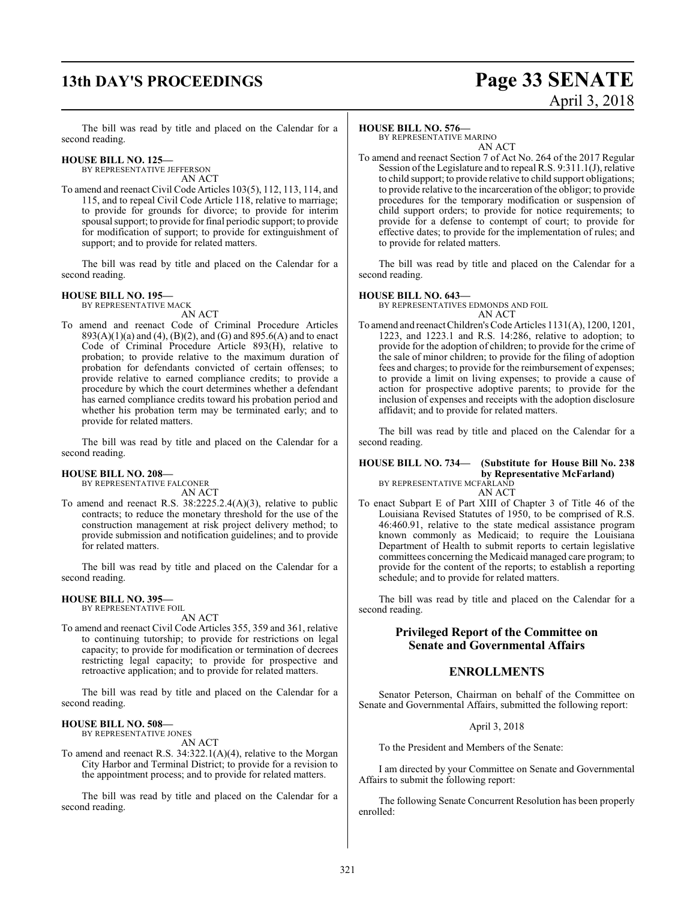# **13th DAY'S PROCEEDINGS Page 33 SENATE**

# April 3, 2018

The bill was read by title and placed on the Calendar for a second reading.

### **HOUSE BILL NO. 125—**

BY REPRESENTATIVE JEFFERSON AN ACT

To amend and reenact Civil Code Articles 103(5), 112, 113, 114, and 115, and to repeal Civil Code Article 118, relative to marriage; to provide for grounds for divorce; to provide for interim spousal support; to provide for final periodic support; to provide for modification of support; to provide for extinguishment of support; and to provide for related matters.

The bill was read by title and placed on the Calendar for a second reading.

#### **HOUSE BILL NO. 195—**

BY REPRESENTATIVE MACK AN ACT

To amend and reenact Code of Criminal Procedure Articles 893(A)(1)(a) and (4), (B)(2), and (G) and 895.6(A) and to enact Code of Criminal Procedure Article 893(H), relative to probation; to provide relative to the maximum duration of probation for defendants convicted of certain offenses; to provide relative to earned compliance credits; to provide a procedure by which the court determines whether a defendant has earned compliance credits toward his probation period and whether his probation term may be terminated early; and to provide for related matters.

The bill was read by title and placed on the Calendar for a second reading.

#### **HOUSE BILL NO. 208—**

BY REPRESENTATIVE FALCONER AN ACT

To amend and reenact R.S. 38:2225.2.4(A)(3), relative to public contracts; to reduce the monetary threshold for the use of the construction management at risk project delivery method; to provide submission and notification guidelines; and to provide for related matters.

The bill was read by title and placed on the Calendar for a second reading.

#### **HOUSE BILL NO. 395—** BY REPRESENTATIVE FOIL

AN ACT

To amend and reenact Civil Code Articles 355, 359 and 361, relative to continuing tutorship; to provide for restrictions on legal capacity; to provide for modification or termination of decrees restricting legal capacity; to provide for prospective and retroactive application; and to provide for related matters.

The bill was read by title and placed on the Calendar for a second reading.

### **HOUSE BILL NO. 508—**

BY REPRESENTATIVE JONES AN ACT

To amend and reenact R.S. 34:322.1(A)(4), relative to the Morgan City Harbor and Terminal District; to provide for a revision to the appointment process; and to provide for related matters.

The bill was read by title and placed on the Calendar for a second reading.

#### **HOUSE BILL NO. 576—**

BY REPRESENTATIVE MARINO AN ACT

To amend and reenact Section 7 of Act No. 264 of the 2017 Regular Session of the Legislature and to repeal R.S. 9:311.1(J), relative to child support; to provide relative to child support obligations; to provide relative to the incarceration of the obligor; to provide procedures for the temporary modification or suspension of child support orders; to provide for notice requirements; to provide for a defense to contempt of court; to provide for effective dates; to provide for the implementation of rules; and to provide for related matters.

The bill was read by title and placed on the Calendar for a second reading.

#### **HOUSE BILL NO. 643—**

BY REPRESENTATIVES EDMONDS AND FOIL AN ACT

To amend and reenact Children's Code Articles 1131(A), 1200, 1201, 1223, and 1223.1 and R.S. 14:286, relative to adoption; to provide for the adoption of children; to provide for the crime of the sale of minor children; to provide for the filing of adoption fees and charges; to provide for the reimbursement of expenses; to provide a limit on living expenses; to provide a cause of action for prospective adoptive parents; to provide for the inclusion of expenses and receipts with the adoption disclosure affidavit; and to provide for related matters.

The bill was read by title and placed on the Calendar for a second reading.

#### **HOUSE BILL NO. 734— (Substitute for House Bill No. 238 by Representative McFarland)** BY REPRESENTATIVE MCFARLAND

AN ACT

To enact Subpart E of Part XIII of Chapter 3 of Title 46 of the Louisiana Revised Statutes of 1950, to be comprised of R.S. 46:460.91, relative to the state medical assistance program known commonly as Medicaid; to require the Louisiana Department of Health to submit reports to certain legislative committees concerning the Medicaid managed care program; to provide for the content of the reports; to establish a reporting schedule; and to provide for related matters.

The bill was read by title and placed on the Calendar for a second reading.

### **Privileged Report of the Committee on Senate and Governmental Affairs**

#### **ENROLLMENTS**

Senator Peterson, Chairman on behalf of the Committee on Senate and Governmental Affairs, submitted the following report:

April 3, 2018

To the President and Members of the Senate:

I am directed by your Committee on Senate and Governmental Affairs to submit the following report:

The following Senate Concurrent Resolution has been properly enrolled: